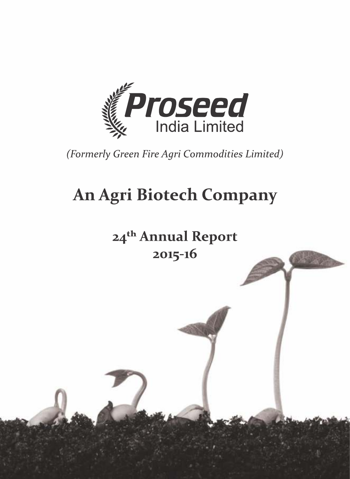

(Formerly Green Fire Agri Commodities Limited)

# **An Agri Biotech Company**

24<sup>th</sup> Annual Report 2015-16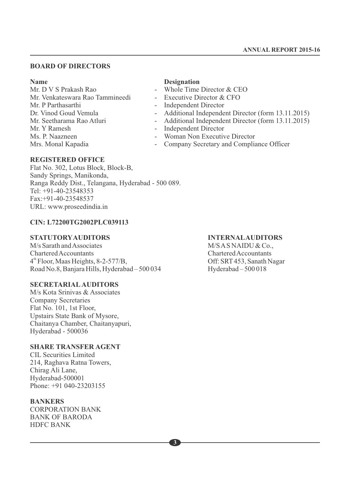#### **BOARD OF DIRECTORS**

**Name Designation**<br>
Mr. D V S Prakash Rao **Designation**<br> **Designation** Mr. Venkateswara Rao Tammineedi<br>Mr. P Parthasarthi Mr. P Parthasarthi - Independent Director<br>Dr. Vinod Goud Vemula - Additional Independent Dr. Vinod Goud Vemula - Additional Independent Director (form 13.11.2015)<br>Mr. Seetharama Rao Atluri - Additional Independent Director (form 13.11.2015) Mr. Seetharama Rao Atluri - Additional Independent Director (form 13.11.2015)<br>Mr. Y Ramesh - Independent Director Mr. Y Ramesh - Independent Director<br>
Ms. P. Naazneen - Woman Non Executiv Ms. P. Naazneen - Woman Non Executive Director<br>Mrs. Monal Kapadia - Company Secretary and Complia

- Whole Time Director & CEO<br>- Executive Director & CFO
- 
- 
- 
- 
- 
- 
- Company Secretary and Compliance Officer

#### **REGISTERED OFFICE**

Flat No. 302, Lotus Block, Block-B, Sandy Springs, Manikonda, Ranga Reddy Dist., Telangana, Hyderabad - 500 089. Tel: +91-40-23548353 Fax:+91-40-23548537 URL: www.proseedindia.in

#### **CIN: L72200TG2002PLC039113**

#### **STATUTORYAUDITORS INTERNALAUDITORS**

M/s Sarath and Associates M/S AS NAIDU & Co., Chartered Accountants<br>
4<sup>th</sup> Floor, Maas Heights, 8-2-577/B, Chartered Accountants<br>
Off: SRT 453, Sanath Nagar 4<sup>th</sup> Floor, Maas Heights, 8-2-577/B,<br>Road No.8, Banjara Hills, Hyderabad – 500 034 Hyderabad – 500 018 Road No.8, Banjara Hills, Hyderabad – 500 034

#### **SECRETARIALAUDITORS**

M/s Kota Srinivas & Associates Company Secretaries Flat No. 101, 1st Floor, Upstairs State Bank of Mysore, Chaitanya Chamber, Chaitanyapuri, Hyderabad - 500036

#### **SHARE TRANSFER AGENT**

CIL Securities Limited 214, Raghava Ratna Towers, Chirag Ali Lane, Hyderabad-500001 Phone: +91 040-23203155

#### **BANKERS**

CORPORATION BANK BANK OF BARODA HDFC BANK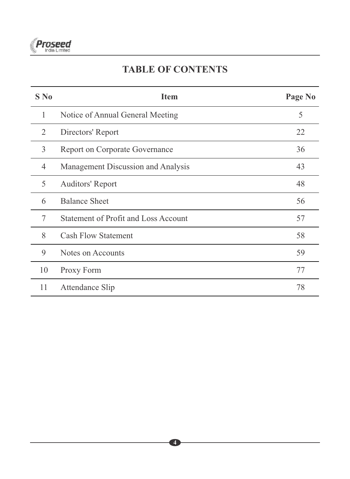

# **TABLE OF CONTENTS**

| $S$ No | <b>Item</b>                                 | Page No |
|--------|---------------------------------------------|---------|
| 1      | Notice of Annual General Meeting            | 5       |
| 2      | Directors' Report                           | 22      |
| 3      | <b>Report on Corporate Governance</b>       | 36      |
| 4      | Management Discussion and Analysis          | 43      |
| 5      | Auditors' Report                            | 48      |
| 6      | <b>Balance Sheet</b>                        | 56      |
| 7      | <b>Statement of Profit and Loss Account</b> | 57      |
| 8      | <b>Cash Flow Statement</b>                  | 58      |
| 9      | Notes on Accounts                           | 59      |
| 10     | Proxy Form                                  | 77      |
| 11     | Attendance Slip                             | 78      |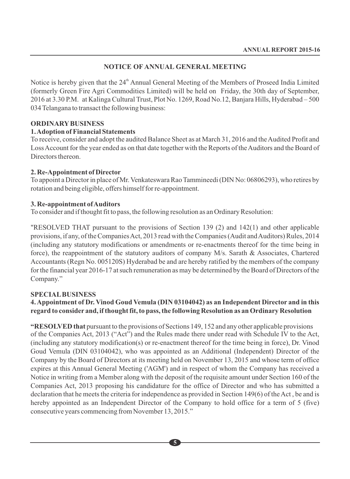# **NOTICE OF ANNUAL GENERAL MEETING**

Notice is hereby given that the 24<sup>th</sup> Annual General Meeting of the Members of Proseed India Limited (formerly Green Fire Agri Commodities Limited) will be held on Friday, the 30th day of September, 2016 at 3.30 P.M. at Kalinga Cultural Trust, Plot No. 1269, Road No.12, Banjara Hills, Hyderabad – 500 034 Telangana to transact the following business:

#### **ORDINARYBUSINESS**

#### **1. Adoption of Financial Statements**

To receive, consider and adopt the audited Balance Sheet as at March 31, 2016 and the Audited Profit and Loss Account for the year ended as on that date together with the Reports of the Auditors and the Board of Directors thereon.

#### **2. Re-Appointment of Director**

To appoint a Director in place of Mr. Venkateswara Rao Tammineedi (DIN No: 06806293), who retires by rotation and being eligible, offers himself for re-appointment.

#### **3. Re-appointment of Auditors**

To consider and if thought fit to pass, the following resolution as an Ordinary Resolution:

"RESOLVED THAT pursuant to the provisions of Section 139 (2) and 142(1) and other applicable provisions, if any, of the Companies Act, 2013 read with the Companies (Audit and Auditors) Rules, 2014 (including any statutory modifications or amendments or re-enactments thereof for the time being in force), the reappointment of the statutory auditors of company M/s. Sarath & Associates, Chartered Accountants (Regn No. 005120S) Hyderabad be and are hereby ratified by the members of the company for the financial year 2016-17 at such remuneration as may be determined by the Board of Directors of the Company."

#### **SPECIALBUSINESS**

# **4. Appointment of Dr. Vinod Goud Vemula (DIN 03104042) as an Independent Director and in this regard to consider and, if thought fit, to pass, the following Resolution as an Ordinary Resolution**

**"RESOLVED that** pursuant to the provisions of Sections 149, 152 and any other applicable provisions of the Companies Act, 2013 ("Act") and the Rules made there under read with Schedule IV to the Act, (including any statutory modification(s) or re-enactment thereof for the time being in force), Dr. Vinod Goud Vemula (DIN 03104042), who was appointed as an Additional (Independent) Director of the Company by the Board of Directors at its meeting held on November 13, 2015 and whose term of office expires at this Annual General Meeting ('AGM') and in respect of whom the Company has received a Notice in writing from a Member along with the deposit of the requisite amount under Section 160 of the Companies Act, 2013 proposing his candidature for the office of Director and who has submitted a declaration that he meets the criteria for independence as provided in Section 149(6) of the Act , be and is hereby appointed as an Independent Director of the Company to hold office for a term of 5 (five) consecutive years commencing from November 13, 2015."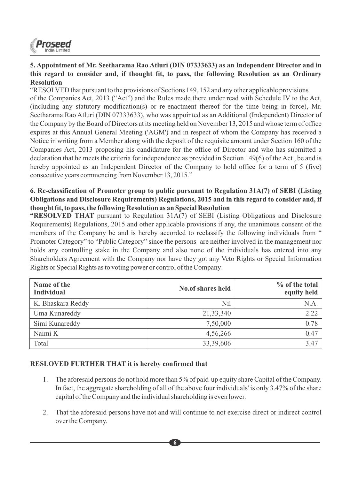

## **5. Appointment of Mr. Seetharama Rao Atluri (DIN 07333633) as an Independent Director and in this regard to consider and, if thought fit, to pass, the following Resolution as an Ordinary Resolution**

"RESOLVED that pursuant to the provisions of Sections 149, 152 and any other applicable provisions of the Companies Act, 2013 ("Act") and the Rules made there under read with Schedule IV to the Act, (including any statutory modification(s) or re-enactment thereof for the time being in force), Mr. Seetharama Rao Atluri (DIN 07333633), who was appointed as an Additional (Independent) Director of the Company by the Board of Directors at its meeting held on November 13, 2015 and whose term of office expires at this Annual General Meeting ('AGM') and in respect of whom the Company has received a Notice in writing from a Member along with the deposit of the requisite amount under Section 160 of the Companies Act, 2013 proposing his candidature for the office of Director and who has submitted a declaration that he meets the criteria for independence as provided in Section 149(6) of the Act , be and is hereby appointed as an Independent Director of the Company to hold office for a term of 5 (five) consecutive years commencing from November 13, 2015."

#### **6. Re-classification of Promoter group to public pursuant to Regulation 31A(7) of SEBI (Listing Obligations and Disclosure Requirements) Regulations, 2015 and in this regard to consider and, if thought fit, to pass, the following Resolution as an Special Resolution**

**"RESOLVED THAT** pursuant to Regulation 31A(7) of SEBI (Listing Obligations and Disclosure Requirements) Regulations, 2015 and other applicable provisions if any, the unanimous consent of the members of the Company be and is hereby accorded to reclassify the following individuals from " Promoter Category" to "Public Category" since the persons are neither involved in the management nor holds any controlling stake in the Company and also none of the individuals has entered into any Shareholders Agreement with the Company nor have they got any Veto Rights or Special Information Rights or Special Rights as to voting power or control of the Company:

| Name of the<br><b>Individual</b> | No.of shares held | % of the total<br>equity held |  |  |
|----------------------------------|-------------------|-------------------------------|--|--|
| K. Bhaskara Reddy                | Nil               | N.A                           |  |  |
| Uma Kunareddy                    | 21, 33, 340       | 2.22                          |  |  |
| Simi Kunareddy                   | 7,50,000          | 0.78                          |  |  |
| Naimi K                          | 4,56,266          | 0.47                          |  |  |
| Total                            | 33,39,606         | 3.47                          |  |  |

### **RESLOVED FURTHER THAT it is hereby confirmed that**

- 1. The aforesaid persons do not hold more than 5% of paid-up equity share Capital of the Company. In fact, the aggregate shareholding of all of the above four individuals' is only 3.47% of the share capital of the Company and the individual shareholding is even lower.
- 2. That the aforesaid persons have not and will continue to not exercise direct or indirect control over the Company.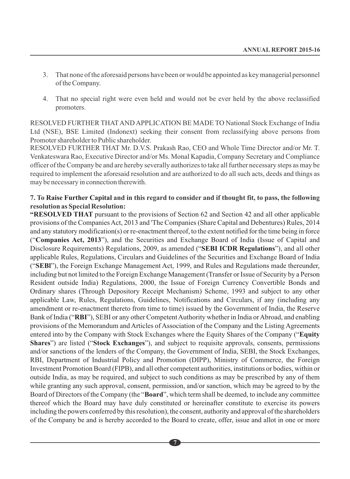- 3. That none of the aforesaid persons have been or would be appointed as key managerial personnel of the Company.
- 4. That no special right were even held and would not be ever held by the above reclassified promoters.

RESOLVED FURTHER THATAND APPLICATION BE MADE TO National Stock Exchange of India Ltd (NSE), BSE Limited (Indonext) seeking their consent from reclassifying above persons from Promoter shareholder to Public shareholder.

RESOLVED FURTHER THAT Mr. D.V.S. Prakash Rao, CEO and Whole Time Director and/or Mr. T. Venkateswara Rao, Executive Director and/or Ms. Monal Kapadia, Company Secretary and Compliance officer of the Company be and are hereby severally authorizes to take all further necessary steps as may be required to implement the aforesaid resolution and are authorized to do all such acts, deeds and things as may be necessary in connection therewith.

#### **7. To Raise Further Capital and in this regard to consider and if thought fit, to pass, the following resolution as Special Resolution:**

**"RESOLVED THAT** pursuant to the provisions of Section 62 and Section 42 and all other applicable provisions of the Companies Act, 2013 and 'The Companies (Share Capital and Debentures) Rules, 2014 and any statutory modification(s) or re-enactment thereof, to the extent notified for the time being in force ("**Companies Act, 2013**"), and the Securities and Exchange Board of India (Issue of Capital and Disclosure Requirements) Regulations, 2009, as amended ("**SEBI ICDR Regulations**"), and all other applicable Rules, Regulations, Circulars and Guidelines of the Securities and Exchange Board of India ("**SEBl**"), the Foreign Exchange Management Act, 1999, and Rules and Regulations made thereunder, including but not limited to the Foreign Exchange Management (Transfer or Issue of Security by a Person Resident outside India) Regulations, 2000, the Issue of Foreign Currency Convertible Bonds and Ordinary shares (Through Depository Receipt Mechanism) Scheme, 1993 and subject to any other applicable Law, Rules, Regulations, Guidelines, Notifications and Circulars, if any (including any amendment or re-enactment thereto from time to time) issued by the Government of India, the Reserve Bank of India ("**RBI**"), SEBI or any other Competent Authority whether in India or Abroad, and enabling provisions of the Memorandum and Articles of Association of the Company and the Listing Agreements entered into by the Company with Stock Exchanges where the Equity Shares of the Company ("**Equity Shares**") are listed ("**Stock Exchanges**"), and subject to requisite approvals, consents, permissions and/or sanctions of the lenders of the Company, the Government of India, SEBI, the Stock Exchanges, RBI, Department of Industrial Policy and Promotion (DIPP), Ministry of Commerce, the Foreign Investment Promotion Board (FIPB), and all other competent authorities, institutions or bodies, within or outside India, as may be required, and subject to such conditions as may be prescribed by any of them while granting any such approval, consent, permission, and/or sanction, which may be agreed to by the Board of Directors of the Company (the "**Board**", which term shall be deemed, to include any committee thereof which the Board may have duly constituted or hereinafter constitute to exercise its powers including the powers conferred by this resolution), the consent, authority and approval of the shareholders of the Company be and is hereby accorded to the Board to create, offer, issue and allot in one or more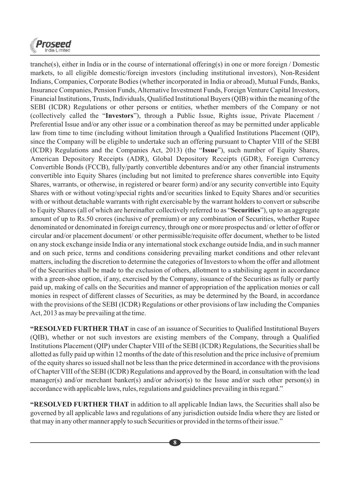

tranche(s), either in India or in the course of international offering(s) in one or more foreign / Domestic markets, to all eligible domestic/foreign investors (including institutional investors), Non-Resident Indians, Companies, Corporate Bodies (whether incorporated in India or abroad), Mutual Funds, Banks, Insurance Companies, Pension Funds, Alternative Investment Funds, Foreign Venture Capital Investors, Financial Institutions, Trusts, Individuals, Qualified Institutional Buyers (QIB) within the meaning of the SEBI (ICDR) Regulations or other persons or entities, whether members of the Company or not (collectively called the "**Investors**"), through a Public Issue, Rights issue, Private Placement / Preferential Issue and/or any other issue or a combination thereof as may be permitted under applicable law from time to time (including without limitation through a Qualified Institutions Placement (QIP), since the Company will be eligible to undertake such an offering pursuant to Chapter VIII of the SEBI (ICDR) Regulations and the Companies Act, 2013) (the "**Issue**"), such number of Equity Shares, American Depository Receipts (ADR), Global Depository Receipts (GDR), Foreign Currency Convertible Bonds (FCCB), fully/partly convertible debentures and/or any other financial instruments convertible into Equity Shares (including but not limited to preference shares convertible into Equity Shares, warrants, or otherwise, in registered or bearer form) and/or any security convertible into Equity Shares with or without voting/special rights and/or securities linked to Equity Shares and/or securities with or without detachable warrants with right exercisable by the warrant holders to convert or subscribe to Equity Shares (all of which are hereinafter collectively referred to as "**Securities**"), up to an aggregate amount of up to Rs.50 crores (inclusive of premium) or any combination of Securities, whether Rupee denominated or denominated in foreign currency, through one or more prospectus and/ or letter of offer or circular and/or placement document/ or other permissible/requisite offer document, whether to be listed on any stock exchange inside India or any international stock exchange outside India, and in such manner and on such price, terms and conditions considering prevailing market conditions and other relevant matters, including the discretion to determine the categories of Investors to whom the offer and allotment of the Securities shall be made to the exclusion of others, allotment to a stabilising agent in accordance with a green-shoe option, if any, exercised by the Company, issuance of the Securities as fully or partly paid up, making of calls on the Securities and manner of appropriation of the application monies or call monies in respect of different classes of Securities, as may be determined by the Board, in accordance with the provisions of the SEBI (ICDR) Regulations or other provisions of law including the Companies Act, 2013 as may be prevailing at the time.

**"RESOLVED FURTHER THAT** in case of an issuance of Securities to Qualified Institutional Buyers (QIB), whether or not such investors are existing members of the Company, through a Qualified Institutions Placement (QIP) under Chapter VIII of the SEBI (ICDR) Regulations, the Securities shall be allotted as fully paid up within 12 months of the date of this resolution and the price inclusive of premium of the equity shares so issued shall not be less than the price determined in accordance with the provisions of Chapter VIII of the SEBI (ICDR) Regulations and approved by the Board, in consultation with the lead manager(s) and/or merchant banker(s) and/or advisor(s) to the Issue and/or such other person(s) in accordance with applicable laws, rules, regulations and guidelines prevailing in this regard."

**"RESOLVED FURTHER THAT** in addition to all applicable Indian laws, the Securities shall also be governed by all applicable laws and regulations of any jurisdiction outside India where they are listed or that may in any other manner apply to such Securities or provided in the terms of their issue."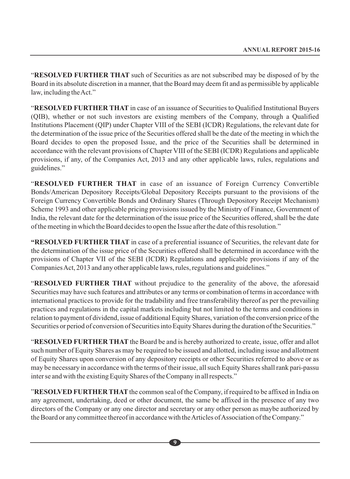"**RESOLVED FURTHER THAT** such of Securities as are not subscribed may be disposed of by the Board in its absolute discretion in a manner, that the Board may deem fit and as permissible by applicable law, including the Act."

"**RESOLVED FURTHER THAT** in case of an issuance of Securities to Qualified Institutional Buyers (QIB), whether or not such investors are existing members of the Company, through a Qualified Institutions Placement (QIP) under Chapter VIII of the SEBI (ICDR) Regulations, the relevant date for the determination of the issue price of the Securities offered shall be the date of the meeting in which the Board decides to open the proposed Issue, and the price of the Securities shall be determined in accordance with the relevant provisions of Chapter VIII of the SEBI (ICDR) Regulations and applicable provisions, if any, of the Companies Act, 2013 and any other applicable laws, rules, regulations and guidelines."

"**RESOLVED FURTHER THAT** in case of an issuance of Foreign Currency Convertible Bonds/American Depository Receipts/Global Depository Receipts pursuant to the provisions of the Foreign Currency Convertible Bonds and Ordinary Shares (Through Depository Receipt Mechanism) Scheme 1993 and other applicable pricing provisions issued by the Ministry of Finance, Government of India, the relevant date for the determination of the issue price of the Securities offered, shall be the date of the meeting in which the Board decides to open the Issue after the date of this resolution."

**"RESOLVED FURTHER THAT** in case of a preferential issuance of Securities, the relevant date for the determination of the issue price of the Securities offered shall be determined in accordance with the provisions of Chapter VII of the SEBI (ICDR) Regulations and applicable provisions if any of the Companies Act, 2013 and any other applicable laws, rules, regulations and guidelines."

"**RESOLVED FURTHER THAT** without prejudice to the generality of the above, the aforesaid Securities may have such features and attributes or any terms or combination of terms in accordance with international practices to provide for the tradability and free transferability thereof as per the prevailing practices and regulations in the capital markets including but not limited to the terms and conditions in relation to payment of dividend, issue of additional Equity Shares, variation of the conversion price of the Securities or period of conversion of Securities into Equity Shares during the duration of the Securities."

"**RESOLVED FURTHER THAT** the Board be and is hereby authorized to create, issue, offer and allot such number of Equity Shares as may be required to be issued and allotted, including issue and allotment of Equity Shares upon conversion of any depository receipts or other Securities referred to above or as may be necessary in accordance with the terms of their issue, all such Equity Shares shall rank pari-passu inter se and with the existing Equity Shares of the Company in all respects."

"**RESOLVED FURTHER THAT**the common seal of the Company, if required to be affixed in India on any agreement, undertaking, deed or other document, the same be affixed in the presence of any two directors of the Company or any one director and secretary or any other person as maybe authorized by the Board or any committee thereof in accordance with the Articles of Association of the Company."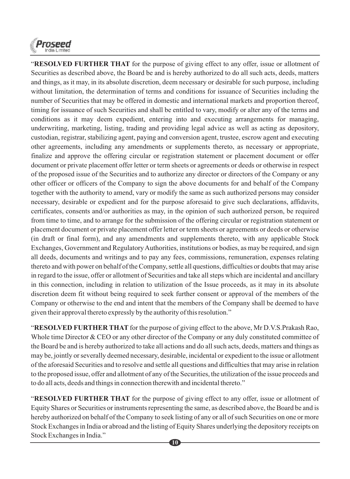

"**RESOLVED FURTHER THAT** for the purpose of giving effect to any offer, issue or allotment of Securities as described above, the Board be and is hereby authorized to do all such acts, deeds, matters and things, as it may, in its absolute discretion, deem necessary or desirable for such purpose, including without limitation, the determination of terms and conditions for issuance of Securities including the number of Securities that may be offered in domestic and international markets and proportion thereof, timing for issuance of such Securities and shall be entitled to vary, modify or alter any of the terms and conditions as it may deem expedient, entering into and executing arrangements for managing, underwriting, marketing, listing, trading and providing legal advice as well as acting as depository, custodian, registrar, stabilizing agent, paying and conversion agent, trustee, escrow agent and executing other agreements, including any amendments or supplements thereto, as necessary or appropriate, finalize and approve the offering circular or registration statement or placement document or offer document or private placement offer letter or term sheets or agreements or deeds or otherwise in respect of the proposed issue of the Securities and to authorize any director or directors of the Company or any other officer or officers of the Company to sign the above documents for and behalf of the Company together with the authority to amend, vary or modify the same as such authorized persons may consider necessary, desirable or expedient and for the purpose aforesaid to give such declarations, affidavits, certificates, consents and/or authorities as may, in the opinion of such authorized person, be required from time to time, and to arrange for the submission of the offering circular or registration statement or placement document or private placement offer letter or term sheets or agreements or deeds or otherwise (in draft or final form), and any amendments and supplements thereto, with any applicable Stock Exchanges, Government and Regulatory Authorities, institutions or bodies, as may be required, and sign all deeds, documents and writings and to pay any fees, commissions, remuneration, expenses relating thereto and with power on behalf of the Company, settle all questions, difficulties or doubts that may arise in regard to the issue, offer or allotment of Securities and take all steps which are incidental and ancillary in this connection, including in relation to utilization of the Issue proceeds, as it may in its absolute discretion deem fit without being required to seek further consent or approval of the members of the Company or otherwise to the end and intent that the members of the Company shall be deemed to have given their approval thereto expressly by the authority of this resolution."

"**RESOLVED FURTHER THAT** for the purpose of giving effect to the above, Mr D.V.S.Prakash Rao, Whole time Director & CEO or any other director of the Company or any duly constituted committee of the Board be and is hereby authorized to take all actions and do all such acts, deeds, matters and things as may be, jointly or severally deemed necessary, desirable, incidental or expedient to the issue or allotment of the aforesaid Securities and to resolve and settle all questions and difficulties that may arise in relation to the proposed issue, offer and allotment of any of the Securities, the utilization of the issue proceeds and to do all acts, deeds and things in connection therewith and incidental thereto."

"**RESOLVED FURTHER THAT** for the purpose of giving effect to any offer, issue or allotment of Equity Shares or Securities or instruments representing the same, as described above, the Board be and is hereby authorized on behalf of the Company to seek listing of any or all of such Securities on one or more Stock Exchanges in India or abroad and the listing of Equity Shares underlying the depository receipts on Stock Exchanges in India."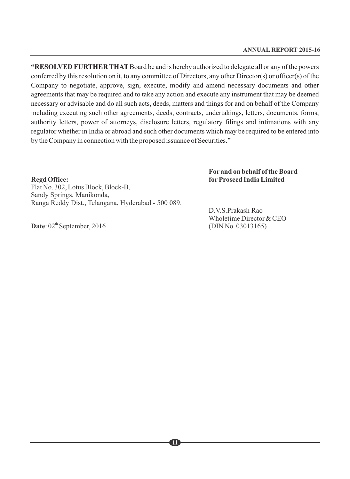**"RESOLVED FURTHER THAT**Board be and is hereby authorized to delegate all or any of the powers conferred by this resolution on it, to any committee of Directors, any other Director(s) or officer(s) of the Company to negotiate, approve, sign, execute, modify and amend necessary documents and other agreements that may be required and to take any action and execute any instrument that may be deemed necessary or advisable and do all such acts, deeds, matters and things for and on behalf of the Company including executing such other agreements, deeds, contracts, undertakings, letters, documents, forms, authority letters, power of attorneys, disclosure letters, regulatory filings and intimations with any regulator whether in India or abroad and such other documents which may be required to be entered into by the Company in connection with the proposed issuance of Securities."

#### **For and on behalf of the Board Regd Office: forProseed India Limited**

Flat No. 302, Lotus Block, Block-B, Sandy Springs, Manikonda, Ranga Reddy Dist., Telangana, Hyderabad - 500 089.

> D.V.S.Prakash Rao Wholetime Director & CEO<br>(DIN No. 03013165)

Date:  $02<sup>th</sup>$  September, 2016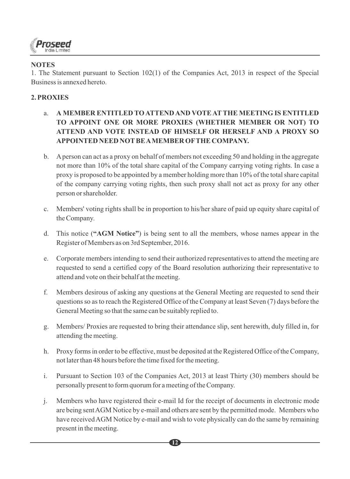

# **NOTES**

1. The Statement pursuant to Section 102(1) of the Companies Act, 2013 in respect of the Special Business is annexed hereto.

# **2. PROXIES**

- a. **A MEMBER ENTITLED TO ATTEND AND VOTE ATTHE MEETING IS ENTITLED TO APPOINT ONE OR MORE PROXIES (WHETHER MEMBER OR NOT) TO ATTEND AND VOTE INSTEAD OF HIMSELF OR HERSELF AND A PROXY SO APPOINTED NEED NOTBE AMEMBER OFTHE COMPANY.**
- b. Aperson can act as a proxy on behalf of members not exceeding 50 and holding in the aggregate not more than 10% of the total share capital of the Company carrying voting rights. In case a proxy is proposed to be appointed by a member holding more than 10% of the total share capital of the company carrying voting rights, then such proxy shall not act as proxy for any other person or shareholder.
- c. Members' voting rights shall be in proportion to his/her share of paid up equity share capital of the Company.
- d. This notice (**"AGM Notice"**) is being sent to all the members, whose names appear in the Register of Members as on 3rd September, 2016.
- e. Corporate members intending to send their authorized representatives to attend the meeting are requested to send a certified copy of the Board resolution authorizing their representative to attend and vote on their behalf at the meeting.
- f. Members desirous of asking any questions at the General Meeting are requested to send their questions so as to reach the Registered Office of the Company at least Seven (7) days before the General Meeting so that the same can be suitably replied to.
- g. Members/ Proxies are requested to bring their attendance slip, sent herewith, duly filled in, for attending the meeting.
- h. Proxy forms in order to be effective, must be deposited at the Registered Office of the Company, not later than 48 hours before the time fixed for the meeting.
- i. Pursuant to Section 103 of the Companies Act, 2013 at least Thirty (30) members should be personally present to form quorum for a meeting of the Company.
- j. Members who have registered their e-mail Id for the receipt of documents in electronic mode are being sent AGM Notice by e-mail and others are sent by the permitted mode. Members who have received AGM Notice by e-mail and wish to vote physically can do the same by remaining present in the meeting.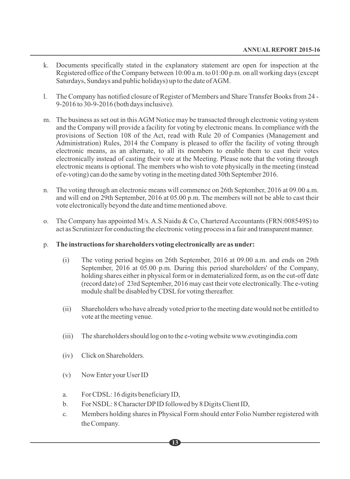- k. Documents specifically stated in the explanatory statement are open for inspection at the Registered office of the Company between 10:00 a.m. to 01:00 p.m. on all working days (except Saturdays, Sundays and public holidays) up to the date of AGM.
- l. The Company has notified closure of Register of Members and Share Transfer Books from 24 9-2016 to 30-9-2016 (both days inclusive).
- m. The business as set out in this AGM Notice may be transacted through electronic voting system and the Company will provide a facility for voting by electronic means. In compliance with the provisions of Section 108 of the Act, read with Rule 20 of Companies (Management and Administration) Rules, 2014 the Company is pleased to offer the facility of voting through electronic means, as an alternate, to all its members to enable them to cast their votes electronically instead of casting their vote at the Meeting. Please note that the voting through electronic means is optional. The members who wish to vote physically in the meeting (instead of e-voting) can do the same by voting in the meeting dated 30th September 2016.
- n. The voting through an electronic means will commence on 26th September, 2016 at 09.00 a.m. and will end on 29th September, 2016 at 05.00 p.m. The members will not be able to cast their vote electronically beyond the date and time mentioned above.
- o. The Company has appointed M/s. A.S.Naidu & Co, Chartered Accountants (FRN:008549S) to act as Scrutinizer for conducting the electronic voting process in a fair and transparent manner.
- p. **The instructions for shareholders voting electronically are as under:**
	- (i) The voting period begins on 26th September, 2016 at 09.00 a.m. and ends on 29th September, 2016 at 05.00 p.m. During this period shareholders' of the Company, holding shares either in physical form or in dematerialized form, as on the cut-off date (record date) of 23rd September, 2016 may cast their vote electronically. The e-voting module shall be disabled by CDSL for voting thereafter.
	- (ii) Shareholders who have already voted prior to the meeting date would not be entitled to vote at the meeting venue.
	- (iii) The shareholders should log on to the e-voting website www.evotingindia.com
	- (iv) Click on Shareholders.
	- (v) Now Enter your User ID
	- a. For CDSL: 16 digits beneficiary ID,
	- b. For NSDL: 8 Character DPID followed by 8 Digits Client ID,
	- c. Members holding shares in Physical Form should enter Folio Number registered with the Company.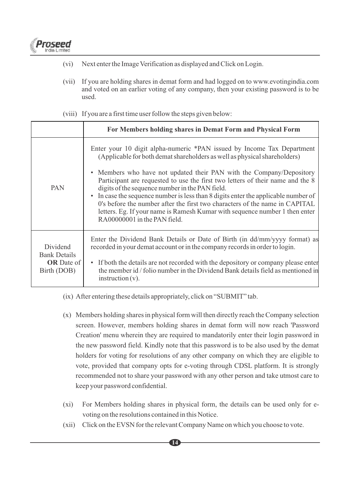

- (vi) Next enter the Image Verification as displayed and Click on Login.
- (vii) If you are holding shares in demat form and had logged on to www.evotingindia.com and voted on an earlier voting of any company, then your existing password is to be used.

|                                                                     | For Members holding shares in Demat Form and Physical Form                                                                                                                                                                                                                                                                                                                                                                                                                                                                                                                                                                                                      |
|---------------------------------------------------------------------|-----------------------------------------------------------------------------------------------------------------------------------------------------------------------------------------------------------------------------------------------------------------------------------------------------------------------------------------------------------------------------------------------------------------------------------------------------------------------------------------------------------------------------------------------------------------------------------------------------------------------------------------------------------------|
| <b>PAN</b>                                                          | Enter your 10 digit alpha-numeric *PAN issued by Income Tax Department<br>(Applicable for both demat shareholders as well as physical shareholders)<br>• Members who have not updated their PAN with the Company/Depository<br>Participant are requested to use the first two letters of their name and the 8<br>digits of the sequence number in the PAN field.<br>In case the sequence number is less than 8 digits enter the applicable number of<br>$\bullet$<br>0's before the number after the first two characters of the name in CAPITAL<br>letters. Eg. If your name is Ramesh Kumar with sequence number 1 then enter<br>RA00000001 in the PAN field. |
| Dividend<br><b>Bank Details</b><br><b>OR</b> Date of<br>Birth (DOB) | Enter the Dividend Bank Details or Date of Birth (in dd/mm/yyyy format) as<br>recorded in your demat account or in the company records in order to login.<br>• If both the details are not recorded with the depository or company please enter<br>the member id / folio number in the Dividend Bank details field as mentioned in<br>$instruction(v)$ .                                                                                                                                                                                                                                                                                                        |

(viii) If you are a first time user follow the steps given below:

- (ix) After entering these details appropriately, click on "SUBMIT" tab.
- (x) Members holding shares in physical form will then directly reach the Company selection screen. However, members holding shares in demat form will now reach 'Password Creation' menu wherein they are required to mandatorily enter their login password in the new password field. Kindly note that this password is to be also used by the demat holders for voting for resolutions of any other company on which they are eligible to vote, provided that company opts for e-voting through CDSL platform. It is strongly recommended not to share your password with any other person and take utmost care to keep your password confidential.
- (xi) For Members holding shares in physical form, the details can be used only for evoting on the resolutions contained in this Notice.
- (xii) Click on the EVSN for the relevant Company Name on which you choose to vote.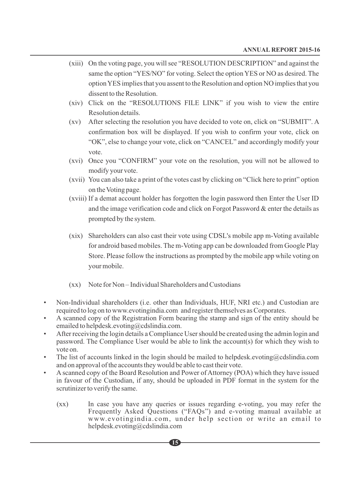- (xiii) On the voting page, you will see "RESOLUTION DESCRIPTION" and against the same the option "YES/NO" for voting. Select the option YES or NO as desired. The option YES implies that you assent to the Resolution and option NO implies that you dissent to the Resolution.
- (xiv) Click on the "RESOLUTIONS FILE LINK" if you wish to view the entire Resolution details.
- (xv) After selecting the resolution you have decided to vote on, click on "SUBMIT". A confirmation box will be displayed. If you wish to confirm your vote, click on "OK", else to change your vote, click on "CANCEL" and accordingly modify your vote.
- (xvi) Once you "CONFIRM" your vote on the resolution, you will not be allowed to modify your vote.
- (xvii) You can also take a print of the votes cast by clicking on "Click here to print" option on the Voting page.
- (xviii) If a demat account holder has forgotten the login password then Enter the User ID and the image verification code and click on Forgot Password  $\&$  enter the details as prompted by the system.
- (xix) Shareholders can also cast their vote using CDSL's mobile app m-Voting available for android based mobiles. The m-Voting app can be downloaded from Google Play Store. Please follow the instructions as prompted by the mobile app while voting on your mobile.
- (xx) Note for Non Individual Shareholders and Custodians
- Non-Individual shareholders (i.e. other than Individuals, HUF, NRI etc.) and Custodian are required to log on to www.evotingindia.com and register themselves as Corporates.
- A scanned copy of the Registration Form bearing the stamp and sign of the entity should be emailed to helpdesk.evoting@cdslindia.com.
- After receiving the login details a Compliance User should be created using the admin login and password. The Compliance User would be able to link the account(s) for which they wish to vote on.
- The list of accounts linked in the login should be mailed to helpdesk, evoting  $@cds$  linding com and on approval of the accounts they would be able to cast their vote.
- A scanned copy of the Board Resolution and Power of Attorney (POA) which they have issued in favour of the Custodian, if any, should be uploaded in PDF format in the system for the scrutinizer to verify the same.
	- (xx) In case you have any queries or issues regarding e-voting, you may refer the Frequently Asked Questions ("FAQs") and e-voting manual available at www.evotingindia.com, under help section or write an email to helpdesk.evoting@cdslindia.com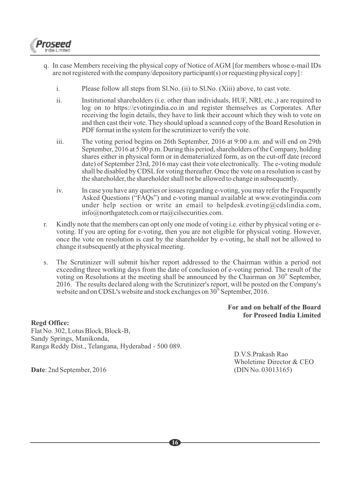

- q. In case Members receiving the physical copy of Notice of AGM [for members whose e-mail IDs are not registered with the company/depository participant(s) or requesting physical copy] :
	- i. Please follow all steps from Sl.No. (ii) to Sl.No. (Xiii) above, to cast vote.
	- ii. Institutional shareholders (i.e. other than individuals, HUF, NRI, etc.,) are required to log on to https://evotingindia.co.in and register themselves as Corporates. After receiving the login details, they have to link their account which they wish to vote on and then cast their vote. They should upload a scanned copy of the Board Resolution in PDF format in the system for the scrutinizer to verify the vote.
	- iii. The voting period begins on 26th September, 2016 at 9:00 a.m. and will end on 29th September, 2016 at 5:00 p.m. During this period, shareholders of the Company, holding shares either in physical form or in dematerialized form, as on the cut-off date (record date) of September 23rd, 2016 may cast their vote electronically. The e-voting module shall be disabled by CDSL for voting thereafter. Once the vote on a resolution is cast by the shareholder, the shareholder shall not be allowed to change in subsequently.
	- iv. In case you have any queries or issues regarding e-voting, you may refer the Frequently Asked Questions ("FAQs") and e-voting manual available at www.evotingindia.com under help section or write an email to helpdesk.evoting@cdslindia.com, info@northgatetech.com or rta@cilsecurities.com.
- r. Kindly note that the members can opt only one mode of voting i.e. either by physical voting or evoting. If you are opting for e-voting, then you are not eligible for physical voting. However, once the vote on resolution is cast by the shareholder by e-voting, he shall not be allowed to change it subsequently at the physical meeting.
- s. The Scrutinizer will submit his/her report addressed to the Chairman within a period not exceeding three working days from the date of conclusion of e-voting period. The result of the voting on Resolutions at the meeting shall be announced by the Chairman on  $30<sup>th</sup>$  September, 2016. The results declared along with the Scrutinizer's report, will be posted on the Company's website and on CDSL's website and stock exchanges on  $30<sup>th</sup>$  September, 2016.

#### **For and on behalf of the Board for Proseed India Limited**

**Regd Office:** Flat No. 302, Lotus Block, Block-B, Sandy Springs, Manikonda, Ranga Reddy Dist., Telangana, Hyderabad - 500 089.

D.V.S.Prakash Rao Wholetime Director & CEO

**Date**: 2nd September, 2016 (DIN No. 03013165)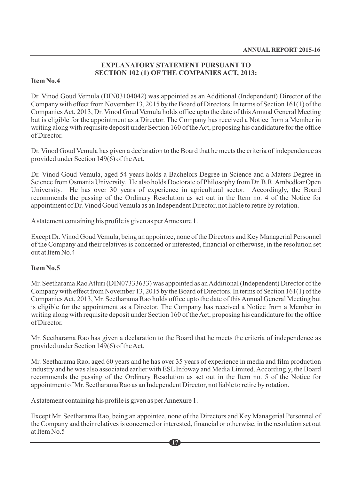#### **EXPLANATORY STATEMENT PURSUANT TO SECTION 102 (1) OF THE COMPANIES ACT, 2013:**

#### **Item No.4**

Dr. Vinod Goud Vemula (DIN03104042) was appointed as an Additional (Independent) Director of the Company with effect from November 13, 2015 by the Board of Directors. In terms of Section 161(1) of the Companies Act, 2013, Dr. Vinod Goud Vemula holds office upto the date of this Annual General Meeting but is eligible for the appointment as a Director. The Company has received a Notice from a Member in writing along with requisite deposit under Section 160 of the Act, proposing his candidature for the office of Director.

Dr. Vinod Goud Vemula has given a declaration to the Board that he meets the criteria of independence as provided under Section 149(6) of the Act.

Dr. Vinod Goud Vemula, aged 54 years holds a Bachelors Degree in Science and a Maters Degree in Science from Osmania University. He also holds Doctorate of Philosophy from Dr. B.R. Ambedkar Open University. He has over 30 years of experience in agricultural sector. Accordingly, the Board recommends the passing of the Ordinary Resolution as set out in the Item no. 4 of the Notice for appointment of Dr. Vinod Goud Vemula as an Independent Director, not liable to retire by rotation.

Astatement containing his profile is given as per Annexure 1.

Except Dr. Vinod Goud Vemula, being an appointee, none of the Directors and Key Managerial Personnel of the Company and their relatives is concerned or interested, financial or otherwise, in the resolution set out at Item No.4

#### **Item No.5**

Mr. Seetharama Rao Atluri (DIN07333633) was appointed as an Additional (Independent) Director of the Company with effect from November 13, 2015 by the Board of Directors. In terms of Section 161(1) of the Companies Act, 2013, Mr. Seetharama Rao holds office upto the date of this Annual General Meeting but is eligible for the appointment as a Director. The Company has received a Notice from a Member in writing along with requisite deposit under Section 160 of the Act, proposing his candidature for the office of Director.

Mr. Seetharama Rao has given a declaration to the Board that he meets the criteria of independence as provided under Section 149(6) of the Act.

Mr. Seetharama Rao, aged 60 years and he has over 35 years of experience in media and film production industry and he was also associated earlier with ESLInfoway and Media Limited. Accordingly, the Board recommends the passing of the Ordinary Resolution as set out in the Item no. 5 of the Notice for appointment of Mr. Seetharama Rao as an Independent Director, not liable to retire by rotation.

Astatement containing his profile is given as per Annexure 1.

Except Mr. Seetharama Rao, being an appointee, none of the Directors and Key Managerial Personnel of the Company and their relatives is concerned or interested, financial or otherwise, in the resolution set out at Item No.5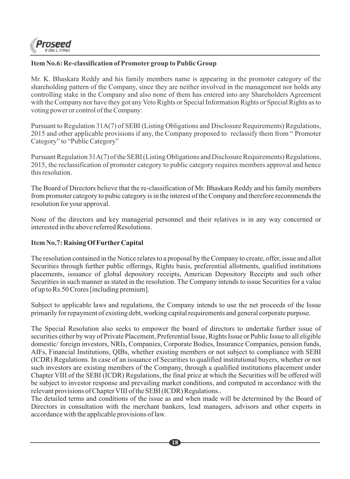

### **Item No.6: Re-classification of Promoter group to Public Group**

Mr. K. Bhaskara Reddy and his family members name is appearing in the promoter category of the shareholding pattern of the Company, since they are neither involved in the management nor holds any controlling stake in the Company and also none of them has entered into any Shareholders Agreement with the Company nor have they got any Veto Rights or Special Information Rights or Special Rights as to voting power or control of the Company:

Pursuant to Regulation 31A(7) of SEBI (Listing Obligations and Disclosure Requirements) Regulations, 2015 and other applicable provisions if any, the Company proposed to reclassify them from " Promoter Category" to "Public Category"

Pursuant Regulation 31A(7) of the SEBI (Listing Obligations and Disclosure Requirements) Regulations, 2015, the reclassification of promoter category to public category requires members approval and hence this resolution.

The Board of Directors believe that the re-classification of Mr. Bhaskara Reddy and his family members from promoter category to pubic category is in the interest of the Company and therefore recommends the resolution for your approval.

None of the directors and key managerial personnel and their relatives is in any way concerned or interested in the above referred Resolutions.

#### **Item No.7: Raising Of FurtherCapital**

The resolution contained in the Notice relates to a proposal by the Company to create, offer, issue and allot Securities through further public offerings, Rights basis, preferential allotments, qualified institutions placements, issuance of global depository receipts, American Depository Receipts and such other Securities in such manner as stated in the resolution. The Company intends to issue Securities for a value of up to Rs.50 Crores [including premium].

Subject to applicable laws and regulations, the Company intends to use the net proceeds of the Issue primarily for repayment of existing debt, working capital requirements and general corporate purpose.

The Special Resolution also seeks to empower the board of directors to undertake further issue of securities either by way of Private Placement, Preferential Issue, Rights Issue or Public Issue to all eligible domestic/ foreign investors, NRIs, Companies, Corporate Bodies, Insurance Companies, pension funds, AIFs, Financial Institutions, QIBs, whether existing members or not subject to compliance with SEBI (ICDR) Regulations. In case of an issuance of Securities to qualified institutional buyers, whether or not such investors are existing members of the Company, through a qualified institutions placement under Chapter VIII of the SEBI (ICDR) Regulations, the final price at which the Securities will be offered will be subject to investor response and prevailing market conditions, and computed in accordance with the relevant provisions of Chapter VIII of the SEBI (ICDR) Regulations..

The detailed terms and conditions of the issue as and when made will be determined by the Board of Directors in consultation with the merchant bankers, lead managers, advisors and other experts in accordance with the applicable provisions of law.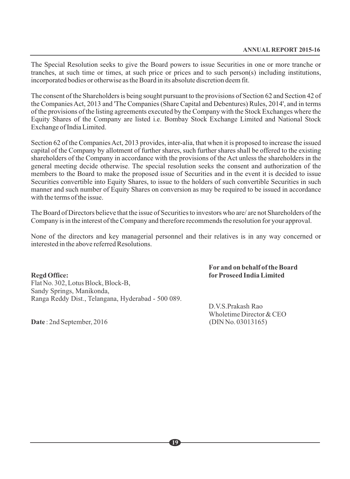The Special Resolution seeks to give the Board powers to issue Securities in one or more tranche or tranches, at such time or times, at such price or prices and to such person(s) including institutions, incorporated bodies or otherwise as the Board in its absolute discretion deem fit.

The consent of the Shareholders is being sought pursuant to the provisions of Section 62 and Section 42 of the Companies Act, 2013 and 'The Companies (Share Capital and Debentures) Rules, 2014', and in terms of the provisions of the listing agreements executed by the Company with the Stock Exchanges where the Equity Shares of the Company are listed i.e. Bombay Stock Exchange Limited and National Stock Exchange of India Limited.

Section 62 of the Companies Act, 2013 provides, inter-alia, that when it is proposed to increase the issued capital of the Company by allotment of further shares, such further shares shall be offered to the existing shareholders of the Company in accordance with the provisions of the Act unless the shareholders in the general meeting decide otherwise. The special resolution seeks the consent and authorization of the members to the Board to make the proposed issue of Securities and in the event it is decided to issue Securities convertible into Equity Shares, to issue to the holders of such convertible Securities in such manner and such number of Equity Shares on conversion as may be required to be issued in accordance with the terms of the issue.

The Board of Directors believe that the issue of Securities to investors who are/ are not Shareholders of the Company is in the interest of the Company and therefore recommends the resolution for your approval.

None of the directors and key managerial personnel and their relatives is in any way concerned or interested in the above referred Resolutions.

**Regd Office: forProseed India Limited** Flat No. 302, Lotus Block, Block-B, Sandy Springs, Manikonda, Ranga Reddy Dist., Telangana, Hyderabad - 500 089.

# **For and on behalf of the Board**

D.V.S.Prakash Rao Wholetime Director & CEO

**Date** : 2nd September, 2016 (DIN No. 03013165)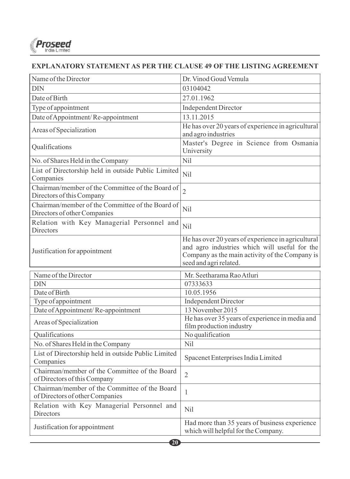

#### **EXPLANATORY STATEMENT AS PER THE CLAUSE 49 OF THE LISTING AGREEMENT**

| <b>DIN</b>                                                                       | 03104042                                                                                                                                                                        |
|----------------------------------------------------------------------------------|---------------------------------------------------------------------------------------------------------------------------------------------------------------------------------|
|                                                                                  |                                                                                                                                                                                 |
| Date of Birth                                                                    | 27.01.1962                                                                                                                                                                      |
| Type of appointment                                                              | <b>Independent Director</b>                                                                                                                                                     |
| Date of Appointment/Re-appointment                                               | 13.11.2015                                                                                                                                                                      |
| Areas of Specialization                                                          | He has over 20 years of experience in agricultural<br>and agro industries                                                                                                       |
| Qualifications                                                                   | Master's Degree in Science from Osmania<br>University                                                                                                                           |
| No. of Shares Held in the Company                                                | Nil                                                                                                                                                                             |
| List of Directorship held in outside Public Limited<br>Companies                 | Nil                                                                                                                                                                             |
| Chairman/member of the Committee of the Board of<br>Directors of this Company    | $\overline{2}$                                                                                                                                                                  |
| Chairman/member of the Committee of the Board of<br>Directors of other Companies | Nil                                                                                                                                                                             |
| Relation with Key Managerial Personnel and<br><b>Directors</b>                   | Nil                                                                                                                                                                             |
| Justification for appointment                                                    | He has over 20 years of experience in agricultural<br>and agro industries which will useful for the<br>Company as the main activity of the Company is<br>seed and agri related. |
| Name of the Director                                                             | Mr. Seetharama Rao Atluri                                                                                                                                                       |
| <b>DIN</b>                                                                       | 07333633                                                                                                                                                                        |
| Date of Birth                                                                    | 10.05.1956                                                                                                                                                                      |
| Type of appointment                                                              | <b>Independent Director</b>                                                                                                                                                     |
| Date of Appointment/Re-appointment                                               | 13 November 2015                                                                                                                                                                |
| Areas of Specialization                                                          | He has over 35 years of experience in media and<br>film production industry                                                                                                     |
| Qualifications                                                                   | No qualification                                                                                                                                                                |
| No. of Shares Held in the Company                                                | Nil                                                                                                                                                                             |
| List of Directorship held in outside Public Limited<br>Companies                 | Spacenet Enterprises India Limited                                                                                                                                              |
| Chairman/member of the Committee of the Board<br>of Directors of this Company    | $\overline{2}$                                                                                                                                                                  |
| Chairman/member of the Committee of the Board<br>of Directors of other Companies | $\mathbf{1}$                                                                                                                                                                    |
| Relation with Key Managerial Personnel and<br><b>Directors</b>                   | Ni1                                                                                                                                                                             |
| Justification for appointment                                                    | Had more than 35 years of business experience<br>which will helpful for the Company.                                                                                            |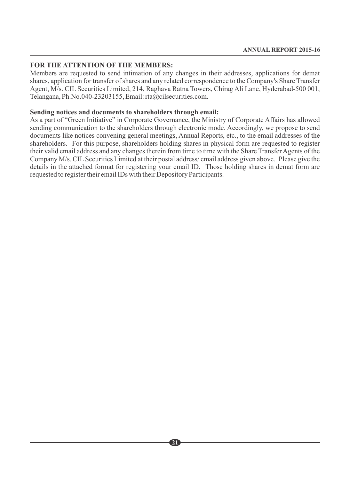#### **FOR THE ATTENTION OF THE MEMBERS:**

Members are requested to send intimation of any changes in their addresses, applications for demat shares, application for transfer of shares and any related correspondence to the Company's Share Transfer Agent, M/s. CIL Securities Limited, 214, Raghava Ratna Towers, Chirag Ali Lane, Hyderabad-500 001, Telangana, Ph.No.040-23203155, Email: rta@cilsecurities.com.

#### **Sending notices and documents to shareholders through email:**

As a part of "Green Initiative" in Corporate Governance, the Ministry of Corporate Affairs has allowed sending communication to the shareholders through electronic mode. Accordingly, we propose to send documents like notices convening general meetings, Annual Reports, etc., to the email addresses of the shareholders. For this purpose, shareholders holding shares in physical form are requested to register their valid email address and any changes therein from time to time with the Share Transfer Agents of the Company M/s. CILSecurities Limited at their postal address/ email address given above. Please give the details in the attached format for registering your email ID. Those holding shares in demat form are requested to register their email IDs with their Depository Participants.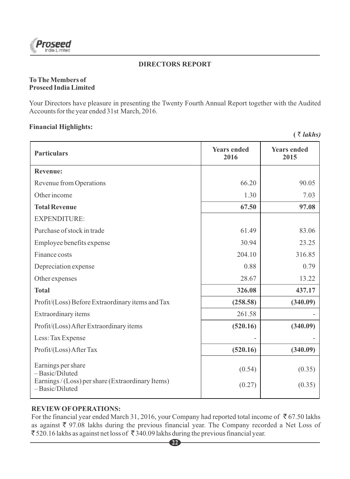

#### **DIRECTORS REPORT**

#### **To The Members of Proseed India Limited**

Your Directors have pleasure in presenting the Twenty Fourth Annual Report together with the Audited Accounts for the year ended 31st March, 2016.

#### **Financial Highlights:**

 $($   $\bar{\tau}$  *lakhs* $)$ 

| <b>Particulars</b>                                                                                          | <b>Years ended</b><br>2016 | <b>Years ended</b><br>2015 |  |
|-------------------------------------------------------------------------------------------------------------|----------------------------|----------------------------|--|
| <b>Revenue:</b>                                                                                             |                            |                            |  |
| Revenue from Operations                                                                                     | 66.20                      | 90.05                      |  |
| Other income                                                                                                | 1.30                       | 7.03                       |  |
| <b>Total Revenue</b>                                                                                        | 67.50                      | 97.08                      |  |
| <b>EXPENDITURE:</b>                                                                                         |                            |                            |  |
| Purchase of stock in trade                                                                                  | 61.49                      | 83.06                      |  |
| Employee benefits expense                                                                                   | 30.94                      | 23.25                      |  |
| Finance costs                                                                                               | 204.10                     | 316.85                     |  |
| Depreciation expense                                                                                        | 0.88                       | 0.79                       |  |
| Other expenses                                                                                              | 28.67                      | 13.22                      |  |
| <b>Total</b>                                                                                                | 326.08                     | 437.17                     |  |
| Profit/(Loss) Before Extraordinary items and Tax                                                            | (258.58)                   | (340.09)                   |  |
| Extraordinary items                                                                                         | 261.58                     |                            |  |
| Profit/(Loss) After Extraordinary items                                                                     | (520.16)                   | (340.09)                   |  |
| Less: Tax Expense                                                                                           |                            |                            |  |
| Profit/(Loss) After Tax                                                                                     | (520.16)                   | (340.09)                   |  |
| Earnings per share<br>-Basic/Diluted<br>Earnings / (Loss) per share (Extraordinary Items)<br>-Basic/Diluted | (0.54)<br>(0.27)           | (0.35)<br>(0.35)           |  |
|                                                                                                             |                            |                            |  |

### **REVIEWOFOPERATIONS:**

For the financial year ended March 31, 2016, your Company had reported total income of  $\bar{\tau}$  67.50 lakhs as against  $\overline{\xi}$  97.08 lakhs during the previous financial year. The Company recorded a Net Loss of  $\bar{\xi}$  520.16 lakhs as against net loss of  $\bar{\xi}$  340.09 lakhs during the previous financial year.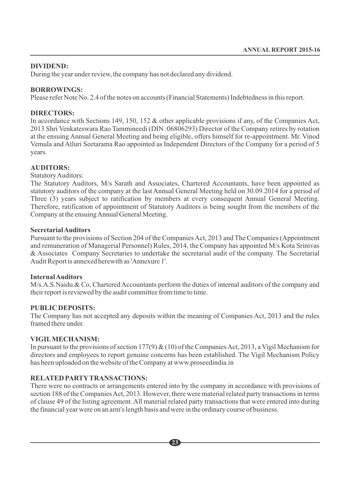#### **DIVIDEND:**

During the year under review, the company has not declared any dividend.

#### **BORROWINGS:**

Please refer Note No. 2.4 of the notes on accounts (Financial Statements) Indebtedness in this report.

#### **DIRECTORS:**

In accordance with Sections 149, 150, 152 & other applicable provisions if any, of the Companies Act, 2013 Shri Venkateswara Rao Tammineedi (DIN :06806293) Director of the Company retires by rotation at the ensuing Annual General Meeting and being eligible, offers himself for re-appointment. Mr. Vinod Vemula and Atluri Seetarama Rao appointed as Independent Directors of the Company for a period of 5 years.

#### **AUDITORS:**

Statutory Auditors:

The Statutory Auditors, M/s Sarath and Associates, Chartered Accountants, have been appointed as statutory auditors of the company at the last Annual General Meeting held on 30.09.2014 for a period of Three (3) years subject to ratification by members at every consequent Annual General Meeting. Therefore, ratification of appointment of Statutory Auditors is being sought from the members of the Company at the ensuing Annual General Meeting.

#### **Secretarial Auditors**

Pursuant to the provisions of Section 204 of the Companies Act, 2013 and The Companies (Appointment and remuneration of Managerial Personnel) Rules, 2014, the Company has appointed M/s Kota Srinivas & Associates Company Secretaries to undertake the secretarial audit of the company. The Secretarial Audit Report is annexed herewith as 'Annexure 1'.

#### **Internal Auditors**

M/s.A.S.Naidu & Co, Chartered Accountants perform the duties of internal auditors of the company and their report is reviewed by the audit committee from time to time.

#### **PUBLIC DEPOSITS:**

The Company has not accepted any deposits within the meaning of Companies Act, 2013 and the rules framed there under.

### **VIGILMECHANISM:**

In pursuant to the provisions of section 177(9) & (10) of the Companies Act, 2013, a Vigil Mechanism for directors and employees to report genuine concerns has been established. The Vigil Mechanism Policy has been uploaded on the website of the Company at www.proseedindia.in

### **RELATED PARTYTRANSACTIONS:**

There were no contracts or arrangements entered into by the company in accordance with provisions of section 188 of the Companies Act, 2013. However, there were material related party transactions in terms of clause 49 of the listing agreement. All material related party transactions that were entered into during the financial year were on an arm's length basis and were in the ordinary course of business.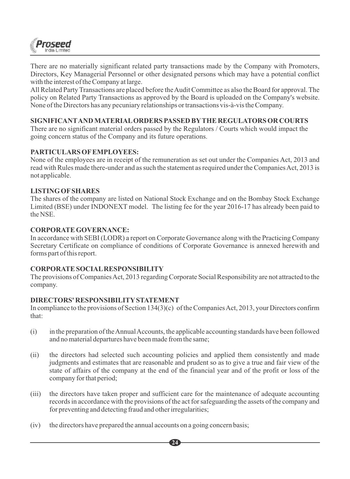

There are no materially significant related party transactions made by the Company with Promoters, Directors, Key Managerial Personnel or other designated persons which may have a potential conflict with the interest of the Company at large.

All Related Party Transactions are placed before the Audit Committee as also the Board for approval. The policy on Related Party Transactions as approved by the Board is uploaded on the Company's website. None of the Directors has any pecuniary relationships or transactions vis-à-vis the Company.

#### **SIGNIFICANTAND MATERIALORDERS PASSED BYTHE REGULATORS OR COURTS**

There are no significant material orders passed by the Regulators / Courts which would impact the going concern status of the Company and its future operations.

#### **PARTICULARS OFEMPLOYEES:**

None of the employees are in receipt of the remuneration as set out under the Companies Act, 2013 and read with Rules made there-under and as such the statement as required under the Companies Act, 2013 is not applicable.

#### **LISTING OFSHARES**

The shares of the company are listed on National Stock Exchange and on the Bombay Stock Exchange Limited (BSE) under INDONEXT model. The listing fee for the year 2016-17 has already been paid to the NSE.

#### **CORPORATE GOVERNANCE:**

In accordance with SEBI (LODR) a report on Corporate Governance along with the Practicing Company Secretary Certificate on compliance of conditions of Corporate Governance is annexed herewith and forms part of this report.

#### **CORPORATE SOCIALRESPONSIBILITY**

The provisions of Companies Act, 2013 regarding Corporate Social Responsibility are not attracted to the company.

#### **DIRECTORS' RESPONSIBILITYSTATEMENT**

In compliance to the provisions of Section 134(3)(c) of the Companies Act, 2013, your Directors confirm that:

- (i) in the preparation of the Annual Accounts, the applicable accounting standards have been followed and no material departures have been made from the same;
- (ii) the directors had selected such accounting policies and applied them consistently and made judgments and estimates that are reasonable and prudent so as to give a true and fair view of the state of affairs of the company at the end of the financial year and of the profit or loss of the company for that period;
- (iii) the directors have taken proper and sufficient care for the maintenance of adequate accounting records in accordance with the provisions of the act for safeguarding the assets of the company and for preventing and detecting fraud and other irregularities;

**24**

(iv) the directors have prepared the annual accounts on a going concern basis;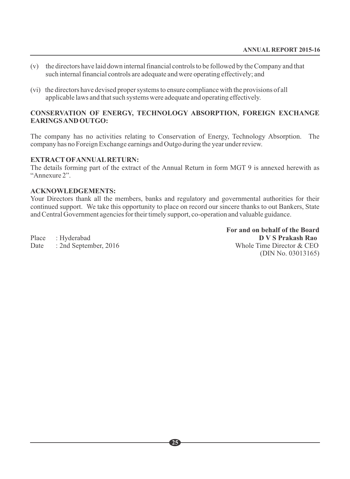- (v) the directors have laid down internal financial controls to be followed by the Company and that such internal financial controls are adequate and were operating effectively; and
- (vi) the directors have devised proper systems to ensure compliance with the provisions of all applicable laws and that such systems were adequate and operating effectively.

#### **CONSERVATION OF ENERGY, TECHNOLOGY ABSORPTION, FOREIGN EXCHANGE EARINGS AND OUTGO:**

The company has no activities relating to Conservation of Energy, Technology Absorption. The company has no Foreign Exchange earnings and Outgo during the year under review.

# **EXTRACTOFANNUALRETURN:**

The details forming part of the extract of the Annual Return in form MGT 9 is annexed herewith as "Annexure 2".

#### **ACKNOWLEDGEMENTS:**

Your Directors thank all the members, banks and regulatory and governmental authorities for their continued support. We take this opportunity to place on record our sincere thanks to out Bankers, State and Central Government agencies for their timely support, co-operation and valuable guidance.

**For and on behalf of the Board** Place : Hyderabad **D V S Prakash Rao** Date : 2nd September, 2016 Whole Time Director & CEO (DIN No. 03013165)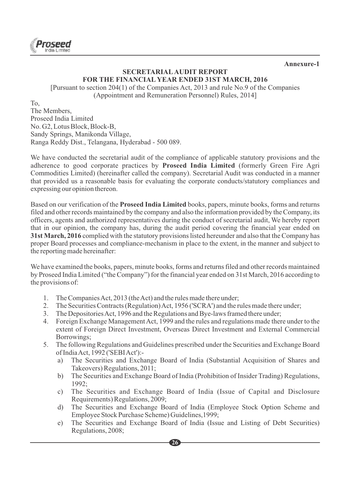

**Annexure-1**

#### **SECRETARIALAUDIT REPORT FOR THE FINANCIAL YEAR ENDED 31ST MARCH, 2016**

[Pursuant to section 204(1) of the Companies Act, 2013 and rule No.9 of the Companies (Appointment and Remuneration Personnel) Rules, 2014]

To,

The Members, Proseed India Limited No. G2, Lotus Block, Block-B, Sandy Springs, Manikonda Village, Ranga Reddy Dist., Telangana, Hyderabad - 500 089.

We have conducted the secretarial audit of the compliance of applicable statutory provisions and the adherence to good corporate practices by **Proseed India Limited** (formerly Green Fire Agri Commodities Limited) (hereinafter called the company). Secretarial Audit was conducted in a manner that provided us a reasonable basis for evaluating the corporate conducts/statutory compliances and expressing our opinion thereon.

Based on our verification of the **Proseed India Limited**books, papers, minute books, forms and returns filed and other records maintained by the company and also the information provided by the Company, its officers, agents and authorized representatives during the conduct of secretarial audit, We hereby report that in our opinion, the company has, during the audit period covering the financial year ended on **31st March, 2016** complied with the statutory provisions listed hereunder and also that the Company has proper Board processes and compliance-mechanism in place to the extent, in the manner and subject to the reporting made hereinafter:

We have examined the books, papers, minute books, forms and returns filed and other records maintained by Proseed India Limited ("the Company") for the financial year ended on 31st March, 2016 according to the provisions of:

- 1. The Companies Act, 2013 (the Act) and the rules made there under;
- 2. The Securities Contracts (Regulation) Act, 1956 ('SCRA') and the rules made there under;
- 3. The Depositories Act, 1996 and the Regulations and Bye-laws framed there under;
- 4. Foreign Exchange Management Act, 1999 and the rules and regulations made there under to the extent of Foreign Direct Investment, Overseas Direct Investment and External Commercial Borrowings;
- 5. The following Regulations and Guidelines prescribed under the Securities and Exchange Board of India Act, 1992 ('SEBI Act'):
	- a) The Securities and Exchange Board of India (Substantial Acquisition of Shares and Takeovers) Regulations, 2011;
	- b) The Securities and Exchange Board of India (Prohibition of Insider Trading) Regulations, 1992;
	- c) The Securities and Exchange Board of India (Issue of Capital and Disclosure Requirements) Regulations, 2009;
	- d) The Securities and Exchange Board of India (Employee Stock Option Scheme and Employee Stock Purchase Scheme) Guidelines,1999;
	- e) The Securities and Exchange Board of India (Issue and Listing of Debt Securities) Regulations, 2008;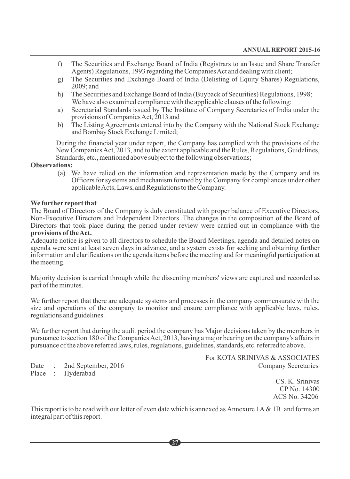- f) The Securities and Exchange Board of India (Registrars to an Issue and Share Transfer Agents) Regulations, 1993 regarding the Companies Act and dealing with client;
- g) The Securities and Exchange Board of India (Delisting of Equity Shares) Regulations, 2009; and
- h) The Securities and Exchange Board of India (Buyback of Securities) Regulations, 1998; We have also examined compliance with the applicable clauses of the following:
- a) Secretarial Standards issued by The Institute of Company Secretaries of India under the provisions of Companies Act, 2013 and
- b) The Listing Agreements entered into by the Company with the National Stock Exchange and Bombay Stock Exchange Limited;

During the financial year under report, the Company has complied with the provisions of the New Companies Act, 2013, and to the extent applicable and the Rules, Regulations, Guidelines, Standards, etc., mentioned above subject to the following observations;

#### **Observations:**

(a) We have relied on the information and representation made by the Company and its Officers for systems and mechanism formed by the Company for compliances under other applicable Acts, Laws, and Regulations to the Company.

#### **We further report that**

The Board of Directors of the Company is duly constituted with proper balance of Executive Directors, Non-Executive Directors and Independent Directors. The changes in the composition of the Board of Directors that took place during the period under review were carried out in compliance with the **provisions of the Act.**

Adequate notice is given to all directors to schedule the Board Meetings, agenda and detailed notes on agenda were sent at least seven days in advance, and a system exists for seeking and obtaining further information and clarifications on the agenda items before the meeting and for meaningful participation at the meeting.

Majority decision is carried through while the dissenting members' views are captured and recorded as part of the minutes.

We further report that there are adequate systems and processes in the company commensurate with the size and operations of the company to monitor and ensure compliance with applicable laws, rules, regulations and guidelines.

We further report that during the audit period the company has Major decisions taken by the members in pursuance to section 180 of the Companies Act, 2013, having a major bearing on the company's affairs in pursuance of the above referred laws, rules, regulations, guidelines, standards, etc. referred to above.

Place : Hyderabad

For KOTA SRINIVAS & ASSOCIATES Date : 2nd September, 2016 Company Secretaries

> CS. K. Srinivas CP No. 14300 ACS No. 34206

This report is to be read with our letter of even date which is annexed as Annexure  $1A \& 1B$  and forms an integral part of this report.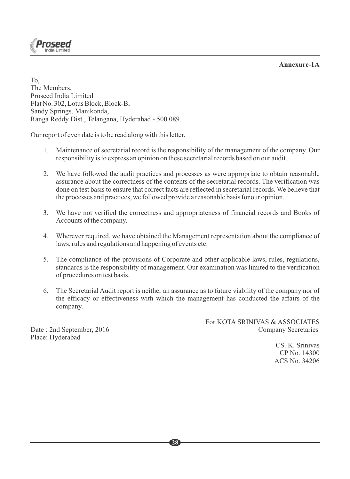**Annexure-1A**



To, The Members, Proseed India Limited Flat No. 302, Lotus Block, Block-B, Sandy Springs, Manikonda, Ranga Reddy Dist., Telangana, Hyderabad - 500 089.

Our report of even date is to be read along with this letter.

- 1. Maintenance of secretarial record is the responsibility of the management of the company. Our responsibility is to express an opinion on these secretarial records based on our audit.
- 2. We have followed the audit practices and processes as were appropriate to obtain reasonable assurance about the correctness of the contents of the secretarial records. The verification was done on test basis to ensure that correct facts are reflected in secretarial records. We believe that the processes and practices, we followed provide a reasonable basis for our opinion.
- 3. We have not verified the correctness and appropriateness of financial records and Books of Accounts of the company.
- 4. Wherever required, we have obtained the Management representation about the compliance of laws, rules and regulations and happening of events etc.
- 5. The compliance of the provisions of Corporate and other applicable laws, rules, regulations, standards is the responsibility of management. Our examination was limited to the verification of procedures on test basis.
- 6. The Secretarial Audit report is neither an assurance as to future viability of the company nor of the efficacy or effectiveness with which the management has conducted the affairs of the company.

For KOTA SRINIVAS & ASSOCIATES Date : 2nd September, 2016 Company Secretaries

> CS. K. Srinivas CP No. 14300 ACS No. 34206

Place: Hyderabad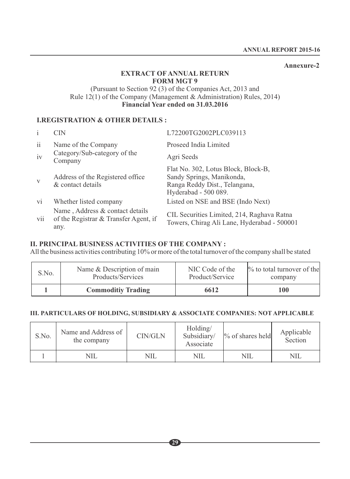#### **Annexure-2**

#### **EXTRACT OF ANNUAL RETURN FORM MGT 9**

#### (Pursuant to Section 92 (3) of the Companies Act, 2013 and Rule 12(1) of the Company (Management & Administration) Rules, 2014) **Financial Year ended on 31.03.2016**

#### **I.REGISTRATION & OTHER DETAILS :**

| $\mathbf{i}$            | CIN                                                                              | L72200TG2002PLC039113                                                                                                     |
|-------------------------|----------------------------------------------------------------------------------|---------------------------------------------------------------------------------------------------------------------------|
| $\overline{11}$         | Name of the Company                                                              | Proseed India Limited                                                                                                     |
| iv                      | Category/Sub-category of the<br>Company                                          | Agri Seeds                                                                                                                |
| V                       | Address of the Registered office.<br>& contact details                           | Flat No. 302, Lotus Block, Block-B,<br>Sandy Springs, Manikonda,<br>Ranga Reddy Dist., Telangana,<br>Hyderabad - 500 089. |
| $\overline{\mathbf{v}}$ | Whether listed company                                                           | Listed on NSE and BSE (Indo Next)                                                                                         |
| vii                     | Name, Address & contact details<br>of the Registrar & Transfer Agent, if<br>any. | CIL Securities Limited, 214, Raghava Ratna<br>Towers, Chirag Ali Lane, Hyderabad - 500001                                 |

### **II. PRINCIPAL BUSINESS ACTIVITIES OF THE COMPANY :**

All the business activities contributing 10% or more of the total turnover of the company shall be stated

| S.No. | Name & Description of main | NIC Code of the | $\%$ to total turnover of the |
|-------|----------------------------|-----------------|-------------------------------|
|       | Products/Services          | Product/Service | company                       |
|       | <b>Commoditiv Trading</b>  | 6612            | 100                           |

#### **III. PARTICULARS OF HOLDING, SUBSIDIARY & ASSOCIATE COMPANIES: NOT APPLICABLE**

| S.No. | Name and Address of<br>the company | CIN/GLN | Holding/<br>Subsidiary/<br>Associate | $\%$ of shares held | Applicable<br>Section |
|-------|------------------------------------|---------|--------------------------------------|---------------------|-----------------------|
|       | NIL                                | NIL     | NIL                                  | NIL                 | NIL                   |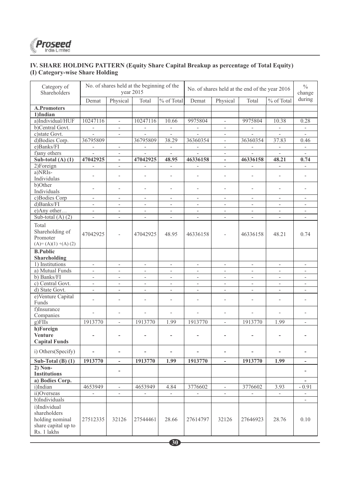

#### **IV. SHARE HOLDING PATTERN (Equity Share Capital Breakup as percentage of Total Equity) (I) Category-wise Share Holding**

| Category of<br>Shareholders                                                           | No. of shares held at the beginning of the<br>year 2015 |                          |                          |                             | No. of shares held at the end of the year 2016 |                          |                          |                             | $\frac{0}{0}$<br>change  |
|---------------------------------------------------------------------------------------|---------------------------------------------------------|--------------------------|--------------------------|-----------------------------|------------------------------------------------|--------------------------|--------------------------|-----------------------------|--------------------------|
|                                                                                       | Demat                                                   | Physical                 | Total                    | % of Total                  | Demat                                          | Physical                 | Total                    | % of Total                  | during                   |
| <b>A.Promoters</b>                                                                    |                                                         |                          |                          |                             |                                                |                          |                          |                             |                          |
| 1)Indian                                                                              |                                                         |                          |                          |                             |                                                |                          |                          |                             |                          |
| a)Individual/HUF                                                                      | 10247116                                                | $\bar{\phantom{a}}$      | 10247116                 | 10.66                       | 9975804                                        | $\overline{\phantom{a}}$ | 9975804                  | 10.38                       | 0.28                     |
| b)Central Govt.                                                                       | $\overline{\phantom{a}}$                                | $\overline{\phantom{a}}$ | $\overline{\phantom{a}}$ | $\overline{\phantom{a}}$    | $\overline{\phantom{a}}$                       | $\overline{\phantom{a}}$ | $\overline{\phantom{a}}$ | $\sim$                      | $\overline{\phantom{a}}$ |
| c)state Govt.                                                                         | $\overline{a}$                                          | L.                       | $\overline{a}$           | $\sim$                      | L.                                             | $\sim$                   |                          | $\mathbf{r}$                | $\overline{a}$           |
| d)Bodies Corp.                                                                        | 36795809                                                |                          | 36795809                 | 38.29                       | 36360354                                       | $\overline{\phantom{a}}$ | 36360354                 | 37.83                       | 0.46                     |
| e)Banks/FI                                                                            | $\overline{\phantom{a}}$                                | $\mathcal{L}$            | $\overline{\phantom{a}}$ | $\mathcal{L}_{\mathcal{A}}$ | $\omega$                                       | $\omega$                 | $\omega$                 | $\mathcal{L}_{\mathcal{A}}$ | $\sim$                   |
| f) any others                                                                         | $\overline{a}$                                          | $\overline{\phantom{a}}$ | $\overline{a}$           | $\overline{\phantom{a}}$    | $\overline{a}$                                 | $\frac{1}{2}$            | $\overline{a}$           | $\overline{a}$              | $\frac{1}{2}$            |
| Sub-total $(A)$ $(1)$                                                                 | 47042925                                                | $\overline{\phantom{a}}$ | 47042925                 | 48.95                       | 46336158                                       | $\overline{\phantom{a}}$ | 46336158                 | 48.21                       | 0.74                     |
| 2)Foreign                                                                             | $\overline{\phantom{a}}$                                | $\overline{\phantom{a}}$ | $\equiv$                 | $\overline{\phantom{a}}$    | $\overline{\phantom{a}}$                       | $\overline{\phantom{a}}$ | $\sim$                   | $\sim$                      | $\overline{\phantom{a}}$ |
| a)NRIs-                                                                               | ÷                                                       | L.                       | ÷                        | ÷                           | ÷                                              | ÷                        | ÷.                       | $\overline{a}$              | ÷.                       |
| Individulas                                                                           |                                                         |                          |                          |                             |                                                |                          |                          |                             |                          |
| b)Other                                                                               | L,                                                      | L,                       | L.                       | L.                          | ÷,                                             | L.                       | L.                       | $\overline{\phantom{a}}$    | L.                       |
| Individuals                                                                           |                                                         |                          |                          |                             |                                                |                          |                          |                             |                          |
| c)Bodies Corp                                                                         | $\overline{\phantom{a}}$                                | $\overline{\phantom{a}}$ | $\sim$                   | $\sim$                      | $\sim$                                         | $\sim$                   | ÷.                       | $\overline{a}$              | $\overline{\phantom{a}}$ |
| d)Banks/FI                                                                            | $\overline{\phantom{a}}$                                | $\overline{\phantom{a}}$ | $\sim$                   | $\overline{\phantom{a}}$    | $\overline{\phantom{a}}$                       | $\overline{\phantom{a}}$ | $\sim$                   | $\overline{\phantom{a}}$    | $\overline{\phantom{a}}$ |
| e)Any other                                                                           | $\overline{\phantom{a}}$                                | $\overline{\phantom{a}}$ | $\overline{\phantom{a}}$ | $\overline{\phantom{a}}$    | $\overline{\phantom{a}}$                       | $\blacksquare$           | $\overline{\phantom{a}}$ | $\overline{\phantom{a}}$    | $\overline{\phantom{a}}$ |
| Sub-total $(A)$ $(2)$                                                                 | $\frac{1}{2}$                                           | $\mathbf{r}$             | L.                       | $\overline{\phantom{a}}$    | L.                                             | $\overline{\phantom{a}}$ | $\overline{a}$           | $\overline{a}$              | $\overline{a}$           |
| Total<br>Shareholding of<br>Promoter<br>$(A)=(A)(1)+(A)(2)$                           | 47042925                                                | $\overline{\phantom{a}}$ | 47042925                 | 48.95                       | 46336158                                       | L,                       | 46336158                 | 48.21                       | 0.74                     |
| <b>B.Public</b><br>Shareholding                                                       |                                                         |                          |                          |                             |                                                |                          |                          |                             |                          |
| 1) Institutions                                                                       | $\mathbb{L}$                                            | $\bar{\phantom{a}}$      | $\omega$                 | $\omega$                    | $\mathbb{L}$                                   | $\overline{\phantom{a}}$ | $\overline{\phantom{0}}$ | $\bar{\phantom{a}}$         | $\overline{\phantom{a}}$ |
| a) Mutual Funds                                                                       | $\overline{\phantom{a}}$                                | $\Box$                   | $\blacksquare$           | $\blacksquare$              | $\blacksquare$                                 | $\blacksquare$           | L.                       | $\blacksquare$              | $\frac{1}{2}$            |
| b) Banks/FI                                                                           | $\overline{\phantom{a}}$                                | $\overline{\phantom{a}}$ | L.                       | L.                          | $\overline{a}$                                 | $\overline{a}$           | ÷                        | $\overline{a}$              | ÷.                       |
| c) Central Govt.                                                                      | $\overline{\phantom{a}}$                                | $\overline{\phantom{a}}$ | $\overline{\phantom{a}}$ | $\overline{\phantom{a}}$    | $\overline{\phantom{a}}$                       | $\overline{\phantom{a}}$ | $\overline{\phantom{a}}$ | $\overline{\phantom{a}}$    | $\overline{\phantom{a}}$ |
| d) State Govt.                                                                        | $\overline{\phantom{a}}$                                | $\overline{\phantom{a}}$ | ÷.                       | $\overline{\phantom{a}}$    | $\overline{\phantom{a}}$                       | $\overline{\phantom{a}}$ | $\sim$                   | $\overline{\phantom{a}}$    | $\overline{\phantom{a}}$ |
| e)Venture Capital<br>Funds                                                            | $\overline{a}$                                          | L,                       | ÷                        | L.                          | L,                                             | L.                       |                          | $\overline{a}$              | L,                       |
| f)Insurance                                                                           | $\overline{a}$                                          | $\overline{a}$           | $\overline{a}$           | L.                          | $\overline{a}$                                 | L.                       | $\overline{a}$           | $\overline{a}$              | L,                       |
| Companies                                                                             |                                                         |                          |                          |                             |                                                |                          |                          |                             |                          |
| g)FIIs                                                                                | 1913770                                                 | $\overline{\phantom{a}}$ | 1913770                  | 1.99                        | 1913770                                        | $\overline{\phantom{a}}$ | 1913770                  | 1.99                        | $\overline{a}$           |
| h)Foreign<br><b>Venture</b><br><b>Capital Funds</b>                                   | ÷,                                                      | $\overline{\phantom{a}}$ | ä,                       | $\overline{\phantom{a}}$    | $\blacksquare$                                 | $\overline{\phantom{a}}$ | ÷,                       | $\overline{\phantom{a}}$    | ä,                       |
| i) Others (Specify)                                                                   |                                                         | ÷,                       |                          | $\overline{\phantom{a}}$    |                                                |                          |                          |                             |                          |
| Sub-Total $(B)$ $(1)$                                                                 | 1913770                                                 | $\overline{\phantom{a}}$ | 1913770                  | 1.99                        | 1913770                                        | $\overline{a}$           | 1913770                  | 1.99                        | $\overline{\phantom{0}}$ |
| $2)$ Non-<br><b>Institutions</b>                                                      |                                                         | ä,                       |                          |                             |                                                |                          |                          |                             |                          |
| a) Bodies Corp.                                                                       |                                                         |                          |                          |                             |                                                |                          |                          |                             |                          |
| i)Indian                                                                              | 4653949                                                 | $\overline{\phantom{a}}$ | 4653949                  | 4.84                        | 3776602                                        | $\overline{a}$           | 3776602                  | 3.93                        | $-0.91$                  |
| ii)Overseas                                                                           | $\overline{\phantom{a}}$                                | $\overline{\phantom{a}}$ | $\blacksquare$           | $\sim$                      | $\overline{\phantom{a}}$                       | $\overline{\phantom{a}}$ | $\sim$                   | $\mathcal{L}_{\mathcal{A}}$ | $\overline{\phantom{a}}$ |
| b)Individuals                                                                         |                                                         |                          |                          |                             |                                                |                          |                          |                             | $\overline{\phantom{0}}$ |
| i)Individual<br>shareholders<br>holding nominal<br>share capital up to<br>Rs. 1 lakhs | 27512335                                                | 32126                    | 27544461                 | 28.66                       | 27614797                                       | 32126                    | 27646923                 | 28.76                       | 0.10                     |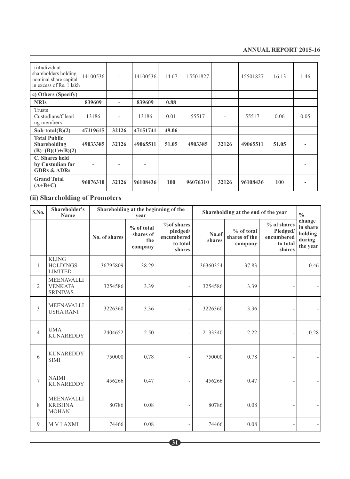#### **ANNUAL REPORT 2015-16**

| ii)Individual<br>shareholders holding<br>nominal share capital<br>in excess of Rs. 1 lakh | 14100536 | ٠     | 14100536 | 14.67 | 15501827 |       | 15501827 | 16.13 | 1.46 |
|-------------------------------------------------------------------------------------------|----------|-------|----------|-------|----------|-------|----------|-------|------|
| c) Others (Specify)                                                                       |          |       |          |       |          |       |          |       |      |
| <b>NRIS</b>                                                                               | 839609   |       | 839609   | 0.88  |          |       |          |       |      |
| <b>Trusts</b><br>Custodians/Cleari<br>ng members                                          | 13186    | ٠     | 13186    | 0.01  | 55517    |       | 55517    | 0.06  | 0.05 |
| $Sub-total(B)(2)$                                                                         | 47119615 | 32126 | 47151741 | 49.06 |          |       |          |       |      |
| <b>Total Public</b><br>Shareholding<br>$(B)=(B)(1)+(B)(2)$                                | 49033385 | 32126 | 49065511 | 51.05 | 4903385  | 32126 | 49065511 | 51.05 |      |
| C. Shares held<br>by Custodian for<br><b>GDRs &amp; ADRs</b>                              |          |       |          |       |          |       |          |       |      |
| <b>Grand Total</b><br>$(A+B+C)$                                                           | 96076310 | 32126 | 96108436 | 100   | 96076310 | 32126 | 96108436 | 100   |      |

# **(ii) Shareholding of Promoters**

| S.No.          | Shareholder's<br>Name                                  | Shareholding at the beginning of the<br>year |                                           |                                                            | Shareholding at the end of the year |                                          |                                                               | $\frac{0}{0}$                                       |
|----------------|--------------------------------------------------------|----------------------------------------------|-------------------------------------------|------------------------------------------------------------|-------------------------------------|------------------------------------------|---------------------------------------------------------------|-----------------------------------------------------|
|                |                                                        | No. of shares                                | % of total<br>shares of<br>the<br>company | %of shares<br>pledged/<br>encumbered<br>to total<br>shares | No.of<br>shares                     | $%$ of total<br>shares of the<br>company | $%$ of shares<br>Pledged/<br>encumbered<br>to total<br>shares | change<br>in share<br>holding<br>during<br>the year |
| 1              | <b>KLING</b><br><b>HOLDINGS</b><br><b>LIMITED</b>      | 36795809                                     | 38.29                                     | $\overline{\phantom{0}}$                                   | 36360354                            | 37.83                                    |                                                               | 0.46                                                |
| 2              | <b>MEENAVALLI</b><br><b>VENKATA</b><br><b>SRINIVAS</b> | 3254586                                      | 3.39                                      |                                                            | 3254586                             | 3.39                                     |                                                               |                                                     |
| 3              | <b>MEENAVALLI</b><br><b>USHA RANI</b>                  | 3226360                                      | 3.36                                      |                                                            | 3226360                             | 3.36                                     |                                                               |                                                     |
| $\overline{4}$ | <b>UMA</b><br><b>KUNAREDDY</b>                         | 2404652                                      | 2.50                                      |                                                            | 2133340                             | 2.22                                     |                                                               | 0.28                                                |
| 6              | <b>KUNAREDDY</b><br><b>SIMI</b>                        | 750000                                       | 0.78                                      |                                                            | 750000                              | 0.78                                     |                                                               |                                                     |
| 7              | <b>NAIMI</b><br><b>KUNAREDDY</b>                       | 456266                                       | 0.47                                      |                                                            | 456266                              | 0.47                                     |                                                               |                                                     |
| 8              | <b>MEENAVALLI</b><br><b>KRISHNA</b><br><b>MOHAN</b>    | 80786                                        | 0.08                                      |                                                            | 80786                               | 0.08                                     |                                                               |                                                     |
| 9              | <b>MVLAXMI</b>                                         | 74466                                        | 0.08                                      |                                                            | 74466                               | 0.08                                     |                                                               |                                                     |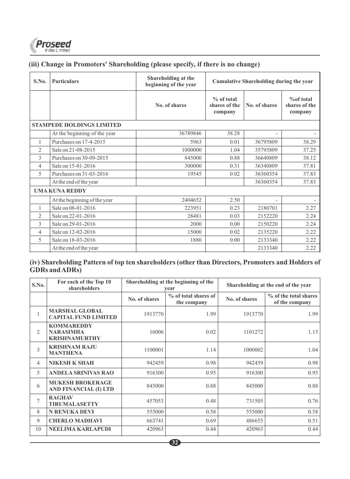

# **(iii) Change in Promoters' Shareholding (please specify, if there is no change)**

| S.No.                    | <b>Particulars</b>               | Shareholding at the<br>beginning of the year | <b>Cumulative Shareholding during the year</b>          |          |                                        |  |  |
|--------------------------|----------------------------------|----------------------------------------------|---------------------------------------------------------|----------|----------------------------------------|--|--|
|                          |                                  | No. of shares                                | % of total<br>shares of the<br>No. of shares<br>company |          | % of total<br>shares of the<br>company |  |  |
|                          | <b>STAMPEDE HOLDINGS LIMITED</b> |                                              |                                                         |          |                                        |  |  |
|                          | At the beginning of the year     | 36789846                                     | 38.28                                                   |          |                                        |  |  |
| 1                        | Purchases on 17-4-2015           | 5963                                         | 0.01                                                    | 36795809 | 38.29                                  |  |  |
| $\overline{c}$           | Sale on 21-08-2015               | 1000000                                      | 1.04                                                    | 35795809 | 37.25                                  |  |  |
| 3                        | Purchases on 30-09-2015          | 845000                                       | 0.88                                                    | 36640809 | 38.12                                  |  |  |
| $\overline{4}$           | Sale on 15-01-2016               | 300000                                       | 0.31                                                    | 36340809 | 37.81                                  |  |  |
| 5                        | Purchases on 31-03-2016          | 19545                                        | 0.02                                                    | 36360354 | 37.83                                  |  |  |
|                          | At the end of the year           |                                              |                                                         | 36360354 | 37.83                                  |  |  |
|                          | <b>UMA KUNA REDDY</b>            |                                              |                                                         |          |                                        |  |  |
|                          | At the beginning of the year     | 2404652                                      | 2.50                                                    |          |                                        |  |  |
| 1                        | Sale on 08-01-2016               | 223951                                       | 0.23                                                    | 2180701  | 2.27                                   |  |  |
| $\overline{c}$           | Sale on 22-01-2016               | 28481                                        | 0.03                                                    | 2152220  | 2.24                                   |  |  |
| 3                        | Sale on 29-01-2016               | 2000                                         | 0.00                                                    | 2150220  | 2.24                                   |  |  |
| $\overline{4}$           | Sale on 12-02-2016               | 15000                                        | 0.02                                                    | 2135220  | 2.22                                   |  |  |
| $\overline{\phantom{1}}$ | Sale on 18-03-2016               | 1880                                         | 0.00                                                    | 2133340  | 2.22                                   |  |  |
|                          | At the end of the year           |                                              |                                                         | 2133340  | 2.22                                   |  |  |

# **(iv) Shareholding Pattern of top ten shareholders (other than Directors, Promoters and Holders of GDRs and ADRs)**

| S.No.                  | For each of the Top 10<br>shareholders                        | Shareholding at the beginning of the<br>vear |                                     |               | Shareholding at the end of the year     |
|------------------------|---------------------------------------------------------------|----------------------------------------------|-------------------------------------|---------------|-----------------------------------------|
|                        |                                                               | No. of shares                                | % of total shares of<br>the company | No. of shares | % of the total shares<br>of the company |
| $\mathbf{1}$           | <b>MARSHAL GLOBAL</b><br><b>CAPITAL FUND LIMITED</b>          | 1913770                                      | 1.99                                | 1913770       | 1.99                                    |
| $\mathcal{D}_{\alpha}$ | <b>KOMMAREDDY</b><br><b>NARASIMHA</b><br><b>KRISHNAMURTHY</b> | 16006                                        | 0.02                                | 1101272       | 1.15                                    |
| 3                      | <b>KRISHNAM RAJU</b><br><b>MANTHENA</b>                       | 1100001                                      | 1.14                                | 1000002       | 1.04                                    |
| 4                      | <b>NIKESH K SHAH</b>                                          | 942459                                       | 0.98                                | 942459        | 0.98                                    |
| $\overline{5}$         | <b>ANDELA SRINIVAS RAO</b>                                    | 916300                                       | 0.95                                | 916300        | 0.95                                    |
| 6                      | <b>MUKESH BROKERAGE</b><br>AND FINANCIAL (I) LTD              | 845000                                       | 0.88                                | 845000        | 0.88                                    |
| 7                      | <b>RAGHAV</b><br><b>TIRUMALASETTY</b>                         | 457053                                       | 0.48                                | 731505        | 0.76                                    |
| 8                      | <b>N RENUKA DEVI</b>                                          | 555000                                       | 0.58                                | 555000        | 0.58                                    |
| 9                      | <b>CHERLO MADHAVI</b>                                         | 663741                                       | 0.69                                | 486655        | 0.51                                    |
| 10                     | <b>NEELIMA KARLAPUDI</b>                                      | 420963                                       | 0.44                                | 420963        | 0.44                                    |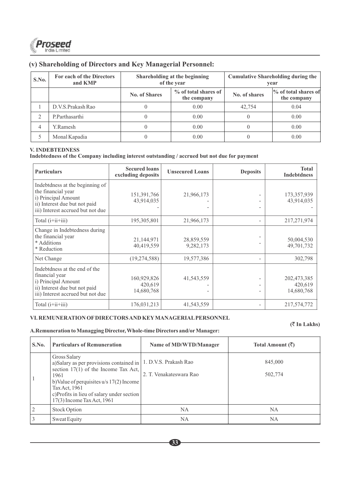

### **(v) Shareholding of Directors and Key Managerial Personnel:**

| S.No. | For each of the Directors<br>and KMP |               | Shareholding at the beginning<br>of the year |                                       | <b>Cumulative Shareholding during the</b><br>vear |
|-------|--------------------------------------|---------------|----------------------------------------------|---------------------------------------|---------------------------------------------------|
|       |                                      | No. of Shares | % of total shares of<br>the company          | % of total shares of<br>No. of shares |                                                   |
|       | D.V.S.Prakash Rao                    |               | 0.00                                         | 42,754                                | 0.04                                              |
|       | P.Parthasarthi                       |               | 0.00                                         |                                       | 0.00                                              |
| 4     | Y.Ramesh                             |               | 0.00                                         |                                       | 0.00                                              |
|       | Monal Kapadia                        |               | 0.00                                         |                                       | 0.00                                              |

#### **V. INDEBTEDNESS**

**Indebtedness of the Company including interest outstanding / accrued but not due for payment**

| <b>Particulars</b>                                                                                                                                 | <b>Secured loans</b><br>excluding deposits | <b>Unsecured Loans</b>  | <b>Deposits</b> | <b>Total</b><br><b>Indebtdness</b>   |
|----------------------------------------------------------------------------------------------------------------------------------------------------|--------------------------------------------|-------------------------|-----------------|--------------------------------------|
| Indebtdness at the beginning of<br>the financial year<br>i) Principal Amount<br>ii) Interest due but not paid<br>iii) Interest accrued but not due | 151,391,766<br>43,914,035                  | 21,966,173              |                 | 173,357,939<br>43,914,035            |
| Total $(i+i i+i i)$                                                                                                                                | 195, 305, 801                              | 21,966,173              |                 | 217, 271, 974                        |
| Change in Indebtedness during<br>the financial year<br>* Additions<br>* Reduction                                                                  | 21,144,971<br>40,419,559                   | 28,859,559<br>9,282,173 |                 | 50,004,530<br>49,701,732             |
| Net Change                                                                                                                                         | (19, 274, 588)                             | 19,577,386              |                 | 302,798                              |
| Indebtdness at the end of the<br>financial year<br>i) Principal Amount<br>ii) Interest due but not paid<br>iii) Interest accrued but not due       | 160,929,826<br>420,619<br>14,680,768       | 41,543,559              |                 | 202,473,385<br>420,619<br>14,680,768 |
| Total $(i+i i+i i j)$                                                                                                                              | 176,031,213                                | 41,543,559              |                 | 217,574,772                          |

#### **VI. REMUNERATION OFDIRECTORS AND KEYMANAGERIALPERSONNEL**

#### **(**` **In Lakhs)**

**A.Remuneration to Managging Director, Whole-time Directors and/orManager:**

| S.No. | <b>Particulars of Remuneration</b>                                                                                                                                                                                                                                             | Name of MD/WTD/Manager  | Total Amount $(\bar{\mathcal{R}})$ |
|-------|--------------------------------------------------------------------------------------------------------------------------------------------------------------------------------------------------------------------------------------------------------------------------------|-------------------------|------------------------------------|
|       | Gross Salary<br>a)Salary as per provisions contained in   1. D.V.S. Prakash Rao<br>section $17(1)$ of the Income Tax Act,<br>1961<br>b) Value of perquisites $u/s$ 17(2) Income<br>Tax Act, 1961<br>c) Profits in lieu of salary under section<br>$17(3)$ Income Tax Act, 1961 | 2. T. Venakateswara Rao | 845,000<br>502,774                 |
|       | <b>Stock Option</b>                                                                                                                                                                                                                                                            | <b>NA</b>               | <b>NA</b>                          |
|       | Sweat Equity                                                                                                                                                                                                                                                                   | NA                      | <b>NA</b>                          |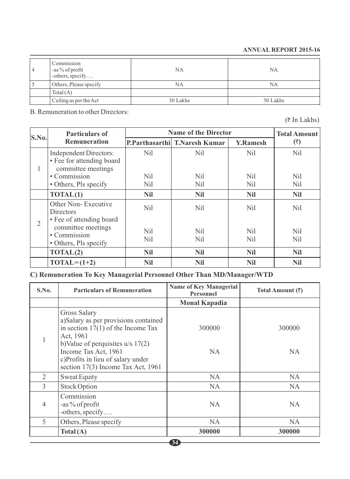#### **ANNUAL REPORT 2015-16**

| 4 | Commission<br>-as % of profit<br>-others, specify | NA       | NA       |
|---|---------------------------------------------------|----------|----------|
|   | Others, Please specify                            | NA       | NA       |
|   | Total(A)                                          |          |          |
|   | Ceiling as per the Act                            | 30 Lakhs | 30 Lakhs |

B. Remuneration to other Directors:

 $($ ₹ In Lakhs)

| S.No.          | <b>Particulars of</b>                                                                   | <b>Name of the Director</b>   | <b>Total Amount</b>           |                        |                        |
|----------------|-----------------------------------------------------------------------------------------|-------------------------------|-------------------------------|------------------------|------------------------|
|                | <b>Remuneration</b>                                                                     |                               | P.Parthasarthi T.Naresh Kumar | <b>Y.Ramesh</b>        | $(\bar{\bar{z}})$      |
| 1              | <b>Independent Directors:</b><br>• Fee for attending board<br>committee meetings        | N <sub>il</sub>               | Nil                           | Nil.                   | Nil                    |
|                | • Commission<br>• Others, Pls specify                                                   | Nil<br>Nil                    | Nil<br>Nil                    | Nil<br>Nil             | Nil<br>N <sub>il</sub> |
|                | TOTAL(1)                                                                                | <b>Nil</b>                    | <b>Nil</b>                    | <b>Nil</b>             | <b>Nil</b>             |
| $\overline{2}$ | Other Non-Executive<br>Directors                                                        | N <sub>il</sub>               | Nil                           | Nil.                   | Nil.                   |
|                | • Fee of attending board<br>committee meetings<br>• Commission<br>• Others, Pls specify | N <sub>il</sub><br><b>Nil</b> | Nil<br>Nil                    | N <sub>il</sub><br>Nil | Nil<br>Nil             |
|                | TOTAL(2)                                                                                | <b>Nil</b>                    | <b>Nil</b>                    | <b>Nil</b>             | <b>Nil</b>             |
|                | $TOTAL = (1+2)$                                                                         | <b>Nil</b>                    | <b>Nil</b>                    | <b>Nil</b>             | <b>Nil</b>             |

# **C) Remuneration To Key Managerial Personnel Other Than MD/Manager/WTD**

| S.No.          | <b>Particulars of Remuneration</b>                                                                                                                                                                                                                 | <b>Name of Key Managerial</b><br><b>Personnel</b> | Total Amount $(\bar{\tau})$ |
|----------------|----------------------------------------------------------------------------------------------------------------------------------------------------------------------------------------------------------------------------------------------------|---------------------------------------------------|-----------------------------|
|                |                                                                                                                                                                                                                                                    | <b>Monal Kapadia</b>                              |                             |
|                | Gross Salary<br>a)Salary as per provisions contained<br>in section $17(1)$ of the Income Tax<br>Act, 1961<br>b)Value of perquisites $u/s$ 17(2)<br>Income Tax Act, 1961<br>c)Profits in lieu of salary under<br>section 17(3) Income Tax Act, 1961 | 300000<br>NA.                                     | 300000<br>NA.               |
| 2              | Sweat Equity                                                                                                                                                                                                                                       | NA.                                               | NA.                         |
| 3              | <b>Stock Option</b>                                                                                                                                                                                                                                | NA.                                               | NA.                         |
| $\overline{4}$ | Commission<br>-as % of profit<br>-others, specify                                                                                                                                                                                                  | NA.                                               | <b>NA</b>                   |
| 5              | Others, Please specify                                                                                                                                                                                                                             | NA.                                               | NA.                         |
|                | Total(A)                                                                                                                                                                                                                                           | 300000                                            | 300000                      |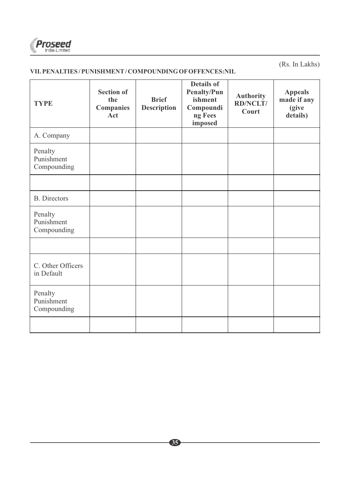

(Rs. In Lakhs)

# **VII. PENALTIES / PUNISHMENT/ COMPOUNDING OFOFFENCES:NIL**

| <b>TYPE</b>                          | <b>Section of</b><br>the<br><b>Companies</b><br>Act | <b>Brief</b><br><b>Description</b> | Details of<br>Penalty/Pun<br>ishment<br>Compoundi<br>ng Fees<br>imposed | <b>Authority</b><br><b>RD/NCLT/</b><br>Court | <b>Appeals</b><br>made if any<br>(give<br>details) |
|--------------------------------------|-----------------------------------------------------|------------------------------------|-------------------------------------------------------------------------|----------------------------------------------|----------------------------------------------------|
| A. Company                           |                                                     |                                    |                                                                         |                                              |                                                    |
| Penalty<br>Punishment<br>Compounding |                                                     |                                    |                                                                         |                                              |                                                    |
|                                      |                                                     |                                    |                                                                         |                                              |                                                    |
| <b>B.</b> Directors                  |                                                     |                                    |                                                                         |                                              |                                                    |
| Penalty<br>Punishment<br>Compounding |                                                     |                                    |                                                                         |                                              |                                                    |
|                                      |                                                     |                                    |                                                                         |                                              |                                                    |
| C. Other Officers<br>in Default      |                                                     |                                    |                                                                         |                                              |                                                    |
| Penalty<br>Punishment<br>Compounding |                                                     |                                    |                                                                         |                                              |                                                    |
|                                      |                                                     |                                    |                                                                         |                                              |                                                    |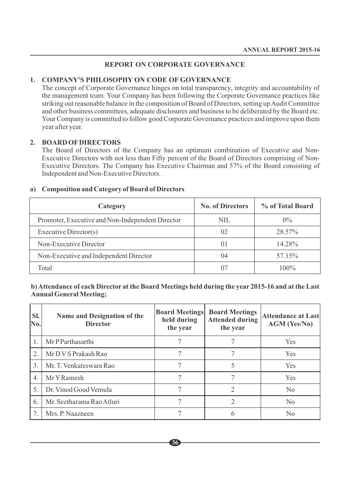#### **REPORT ON CORPORATE GOVERNANCE**

#### **1. COMPANY'S PHILOSOPHY ON CODE OF GOVERNANCE**

The concept of Corporate Governance hinges on total transparency, integrity and accountability of the management team. Your Company has been following the Corporate Governance practices like striking out reasonable balance in the composition of Board of Directors, setting up Audit Committee and other business committees, adequate disclosures and business to be deliberated by the Board etc. Your Company is committed to follow good Corporate Governance practices and improve upon them year after year.

#### **2. BOARD OFDIRECTORS**

The Board of Directors of the Company has an optimum combination of Executive and Non-Executive Directors with not less than Fifty percent of the Board of Directors comprising of Non-Executive Directors. The Company has Executive Chairman and 57% of the Board consisting of Independent and Non-Executive Directors.

| Category                                         | <b>No. of Directors</b> | % of Total Board |
|--------------------------------------------------|-------------------------|------------------|
| Promoter, Executive and Non-Independent Director | NIL                     | $0\%$            |
| Executive Director(s)                            | 02                      | 28.57%           |
| Non-Executive Director                           | $_{01}$                 | 14.28%           |
| Non-Executive and Independent Director           | 04                      | 57.15%           |
| Total                                            |                         | $100\%$          |

#### **a) Composition and Category of Board of Directors**

#### **b) Attendance of each Director at the Board Meetings held during the year 2015-16 and at the Last Annual General Meeting;**

| SI.<br>No.       | Name and Designation of the<br><b>Director</b> | <b>Board Meetings</b><br>held during<br>the year | <b>Board Meetings</b><br><b>Attended during</b><br>the year | <b>Attendance at Last</b><br><b>AGM (Yes/No)</b> |
|------------------|------------------------------------------------|--------------------------------------------------|-------------------------------------------------------------|--------------------------------------------------|
|                  | Mr P Parthasarthi                              |                                                  |                                                             | Yes                                              |
| 2.               | Mr D V S Prakash Rao                           |                                                  |                                                             | <b>Yes</b>                                       |
| $\mathcal{E}$    | Mr. T. Venkateswara Rao                        |                                                  |                                                             | <b>Yes</b>                                       |
| $\overline{4}$ . | Mr Y Ramesh                                    |                                                  |                                                             | <b>Yes</b>                                       |
| 5.               | Dr. Vinod Goud Vemula                          |                                                  | 2                                                           | N <sub>0</sub>                                   |
| 6.               | Mr. Seetharama Rao Atluri                      |                                                  | 2                                                           | N <sub>0</sub>                                   |
|                  | Mrs. P. Naazneen                               |                                                  | 6                                                           | N <sub>0</sub>                                   |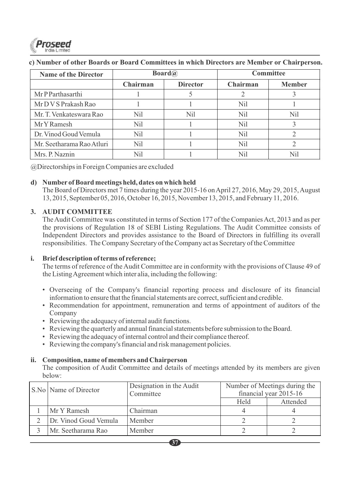

#### **c) Number of other Boards or Board Committees in which Directors are Member or Chairperson.**

| <b>Name of the Director</b> | <b>Board</b> <sup><i>a</i></sup> |                 | <b>Committee</b> |               |  |
|-----------------------------|----------------------------------|-----------------|------------------|---------------|--|
|                             | Chairman                         | <b>Director</b> | Chairman         | <b>Member</b> |  |
| Mr P Parthasarthi           |                                  |                 |                  |               |  |
| Mr D V S Prakash Rao        |                                  |                 | Nil              |               |  |
| Mr. T. Venkateswara Rao     | Ni1                              | Ni1             | Nil              | Nil           |  |
| Mr Y Ramesh                 | Nil                              |                 | Nil              |               |  |
| Dr. Vinod Goud Vemula       | Nil                              |                 | Nil              |               |  |
| Mr. Seetharama Rao Atluri   | Nil                              |                 | Nil              |               |  |
| Mrs. P. Naznin              | Nil                              |                 | Nil              | Nil           |  |

@Directorships in Foreign Companies are excluded

#### **d) Number of Board meetings held, dates on which held**

The Board of Directors met 7 times during the year 2015-16 on April 27, 2016, May 29, 2015, August 13, 2015, September 05, 2016, October 16, 2015, November 13, 2015, and February 11, 2016.

#### **3. AUDIT COMMITTEE**

The Audit Committee was constituted in terms of Section 177 of the Companies Act, 2013 and as per the provisions of Regulation 18 of SEBI Listing Regulations. The Audit Committee consists of Independent Directors and provides assistance to the Board of Directors in fulfilling its overall responsibilities. The Company Secretary of the Company act as Secretary of the Committee

#### **i. Brief description of terms of reference;**

The terms of reference of the Audit Committee are in conformity with the provisions of Clause 49 of the Listing Agreement which inter alia, including the following:

- Overseeing of the Company's financial reporting process and disclosure of its financial information to ensure that the financial statements are correct, sufficient and credible.
- Recommendation for appointment, remuneration and terms of appointment of auditors of the Company
- Reviewing the adequacy of internal audit functions.
- Reviewing the quarterly and annual financial statements before submission to the Board.
- Reviewing the adequacy of internal control and their compliance thereof.
- Reviewing the company's financial and risk management policies.

#### **ii. Composition, name of members and Chairperson**

The composition of Audit Committee and details of meetings attended by its members are given below:

| S.No   Name of Director | Designation in the Audit<br>Committee | Number of Meetings during the<br>financial year 2015-16 |          |
|-------------------------|---------------------------------------|---------------------------------------------------------|----------|
|                         |                                       | Held                                                    | Attended |
| Mr Y Ramesh             | Chairman                              |                                                         |          |
| Dr. Vinod Goud Vemula   | Member                                |                                                         |          |
| Mr. Seetharama Rao      | Member                                |                                                         |          |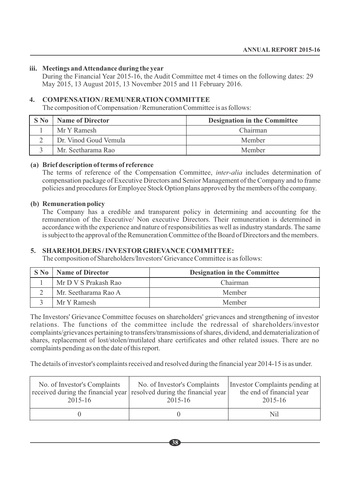#### **iii. Meetings and Attendance during the year**

During the Financial Year 2015-16, the Audit Committee met 4 times on the following dates: 29 May 2015, 13 August 2015, 13 November 2015 and 11 February 2016.

#### **4. COMPENSATION / REMUNERATION COMMITTEE**

The composition of Compensation / Remuneration Committee is as follows:

| $S$ No | <b>Name of Director</b> | <b>Designation in the Committee</b> |
|--------|-------------------------|-------------------------------------|
|        | Mr Y Ramesh             | Chairman                            |
|        | Dr. Vinod Goud Vemula   | Member                              |
|        | Mr. Seetharama Rao      | Member                              |

#### **(a) Brief description of terms of reference**

The terms of reference of the Compensation Committee, *inter-alia* includes determination of compensation package of Executive Directors and Senior Management of the Company and to frame policies and procedures for Employee Stock Option plans approved by the members of the company.

#### **(b) Remuneration policy**

The Company has a credible and transparent policy in determining and accounting for the remuneration of the Executive/ Non executive Directors. Their remuneration is determined in accordance with the experience and nature of responsibilities as well as industry standards. The same is subject to the approval of the Remuneration Committee of the Board of Directors and the members.

#### **5. SHAREHOLDERS / INVESTOR GRIEVANCE COMMITTEE:**

The composition of Shareholders/Investors' Grievance Committee is as follows:

| S No | <b>Name of Director</b> | <b>Designation in the Committee</b> |
|------|-------------------------|-------------------------------------|
|      | Mr D V S Prakash Rao    | Chairman                            |
|      | Mr. Seetharama Rao A    | Member                              |
|      | Mr Y Ramesh             | Member                              |

The Investors' Grievance Committee focuses on shareholders' grievances and strengthening of investor relations. The functions of the committee include the redressal of shareholders/investor complaints/grievances pertaining to transfers/transmissions of shares, dividend, and dematerialization of shares, replacement of lost/stolen/mutilated share certificates and other related issues. There are no complaints pending as on the date of this report.

The details of investor's complaints received and resolved during the financial year 2014-15 is as under.

| No. of Investor's Complaints<br>2015-16 | No. of Investor's Complaints<br>received during the financial year resolved during the financial year<br>2015-16 | Investor Complaints pending at<br>the end of financial year<br>2015-16 |
|-----------------------------------------|------------------------------------------------------------------------------------------------------------------|------------------------------------------------------------------------|
|                                         |                                                                                                                  | Nil                                                                    |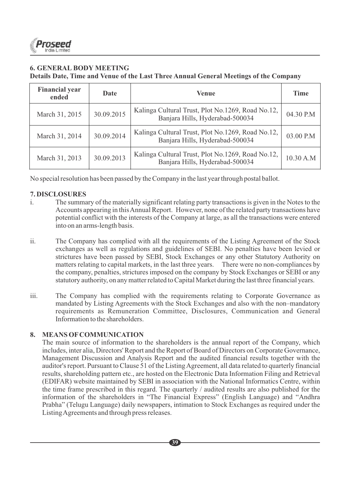

#### **6. GENERAL BODY MEETING Details Date, Time and Venue of the Last Three Annual General Meetings of the Company**

| <b>Financial year</b><br>ended | Date       | Venue                                                                                | <b>Time</b> |
|--------------------------------|------------|--------------------------------------------------------------------------------------|-------------|
| March 31, 2015                 | 30.09.2015 | Kalinga Cultural Trust, Plot No.1269, Road No.12,<br>Banjara Hills, Hyderabad-500034 | 04.30 P.M   |
| March 31, 2014                 | 30.09.2014 | Kalinga Cultural Trust, Plot No.1269, Road No.12,<br>Banjara Hills, Hyderabad-500034 | 03.00 P.M   |
| March 31, 2013                 | 30.09.2013 | Kalinga Cultural Trust, Plot No.1269, Road No.12,<br>Banjara Hills, Hyderabad-500034 | 10.30 A.M   |

No special resolution has been passed by the Company in the last year through postal ballot.

#### **7. DISCLOSURES**

- i. The summary of the materially significant relating party transactions is given in the Notes to the Accounts appearing in this Annual Report. However, none of the related party transactions have potential conflict with the interests of the Company at large, as all the transactions were entered into on an arms-length basis.
- ii. The Company has complied with all the requirements of the Listing Agreement of the Stock exchanges as well as regulations and guidelines of SEBI. No penalties have been levied or strictures have been passed by SEBI, Stock Exchanges or any other Statutory Authority on matters relating to capital markets, in the last three years. There were no non-compliances by the company, penalties, strictures imposed on the company by Stock Exchanges or SEBI or any statutory authority, on any matter related to Capital Market during the last three financial years.
- iii. The Company has complied with the requirements relating to Corporate Governance as mandated by Listing Agreements with the Stock Exchanges and also with the non–mandatory requirements as Remuneration Committee, Disclosures, Communication and General Information to the shareholders.

#### **8. MEANS OFCOMMUNICATION**

The main source of information to the shareholders is the annual report of the Company, which includes, inter alia, Directors' Report and the Report of Board of Directors on Corporate Governance, Management Discussion and Analysis Report and the audited financial results together with the auditor's report. Pursuant to Clause 51 of the Listing Agreement, all data related to quarterly financial results, shareholding pattern etc., are hosted on the Electronic Data Information Filing and Retrieval (EDIFAR) website maintained by SEBI in association with the National Informatics Centre, within the time frame prescribed in this regard. The quarterly / audited results are also published for the information of the shareholders in "The Financial Express" (English Language) and "Andhra Prabha" (Telugu Language) daily newspapers, intimation to Stock Exchanges as required under the Listing Agreements and through press releases.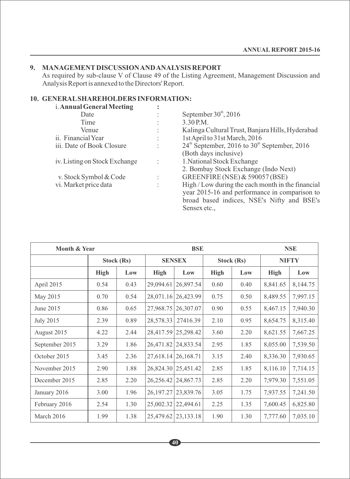#### **9. MANAGEMENTDISCUSSION AND ANALYSIS REPORT**

As required by sub-clause V of Clause 49 of the Listing Agreement, Management Discussion and Analysis Report is annexed to the Directors' Report.

# **10. GENERALSHAREHOLDERS INFORMATION:**

| i. Annual General Meeting     |                |                                                                      |
|-------------------------------|----------------|----------------------------------------------------------------------|
| Date                          |                | September $30^{\text{th}}$ , 2016                                    |
| Time                          |                | 3.30 P.M.                                                            |
| Venue                         |                | Kalinga Cultural Trust, Banjara Hills, Hyderabad                     |
| ii. Financial Year            |                | 1st April to 31st March, 2016                                        |
| iii. Date of Book Closure     |                | $24^{\text{th}}$ September, 2016 to 30 <sup>th</sup> September, 2016 |
|                               |                | (Both days inclusive)                                                |
| iv. Listing on Stock Exchange | $\ddot{\cdot}$ | 1. National Stock Exchange                                           |
|                               |                | 2. Bombay Stock Exchange (Indo Next)                                 |
| v. Stock Symbol & Code        |                | GREENFIRE (NSE) & 590057 (BSE)                                       |
| vi. Market price data         |                | High / Low during the each month in the financial                    |
|                               |                | year 2015-16 and performance in comparison to                        |
|                               |                | broad based indices, NSE's Nifty and BSE's                           |
|                               |                | Sensex etc                                                           |

| Month & Year     |            |      | <b>BSE</b> |                             |      | <b>NSE</b> |          |              |  |
|------------------|------------|------|------------|-----------------------------|------|------------|----------|--------------|--|
|                  | Stock (Rs) |      |            | <b>SENSEX</b><br>Stock (Rs) |      |            |          | <b>NIFTY</b> |  |
|                  | High       | Low  | High       | Low                         | High | Low        | High     | Low          |  |
| April 2015       | 0.54       | 0.43 | 29,094.61  | 26,897.54                   | 0.60 | 0.40       | 8,841.65 | 8,144.75     |  |
| May 2015         | 0.70       | 0.54 |            | 28,071.16 26,423.99         | 0.75 | 0.50       | 8,489.55 | 7,997.15     |  |
| June 2015        | 0.86       | 0.65 | 27,968.75  | 26,307.07                   | 0.90 | 0.55       | 8,467.15 | 7,940.30     |  |
| <b>July 2015</b> | 2.39       | 0.89 | 28,578.33  | 27416.39                    | 2.10 | 0.95       | 8,654.75 | 8,315.40     |  |
| August 2015      | 4.22       | 2.44 |            | 28,417.59 25,298.42         | 3.60 | 2.20       | 8,621.55 | 7,667.25     |  |
| September 2015   | 3.29       | 1.86 | 26,471.82  | 24,833.54                   | 2.95 | 1.85       | 8,055.00 | 7,539.50     |  |
| October 2015     | 3.45       | 2.36 |            | 27,618.14   26,168.71       | 3.15 | 2.40       | 8,336.30 | 7,930.65     |  |
| November 2015    | 2.90       | 1.88 |            | 26,824.30   25,451.42       | 2.85 | 1.85       | 8,116.10 | 7,714.15     |  |
| December 2015    | 2.85       | 2.20 | 26,256.42  | 24,867.73                   | 2.85 | 2.20       | 7,979.30 | 7,551.05     |  |
| January 2016     | 3.00       | 1.96 | 26,197.27  | 23,839.76                   | 3.05 | 1.75       | 7,937.55 | 7,241.50     |  |
| February 2016    | 2.54       | 1.30 | 25,002.32  | 22,494.61                   | 2.25 | 1.35       | 7,600.45 | 6,825.80     |  |
| March 2016       | 1.99       | 1.38 | 25,479.62  | 23, 133. 18                 | 1.90 | 1.30       | 7,777.60 | 7,035.10     |  |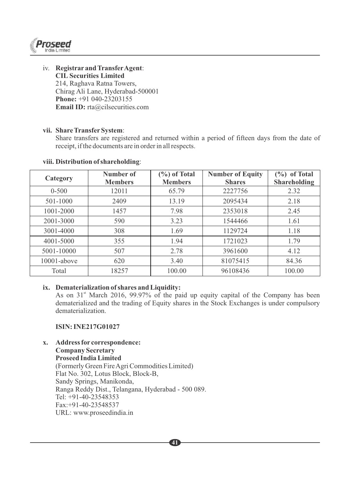

iv. **Registrar and TransferAgent**: **CIL Securities Limited** 214, Raghava Ratna Towers, Chirag Ali Lane, Hyderabad-500001 **Phone:** +91 040-23203155 **Email ID:** rta@cilsecurities.com

#### **vii. Share TransferSystem**:

Share transfers are registered and returned within a period of fifteen days from the date of receipt, if the documents are in order in all respects.

| Category       | Number of<br><b>Members</b> | $(\%)$ of Total<br><b>Members</b> | <b>Number of Equity</b><br><b>Shares</b> | $(\%)$ of Total<br><b>Shareholding</b> |
|----------------|-----------------------------|-----------------------------------|------------------------------------------|----------------------------------------|
| $0 - 500$      | 12011                       | 65.79                             | 2227756                                  | 2.32                                   |
| 501-1000       | 2409                        | 13.19                             | 2095434                                  | 2.18                                   |
| 1001-2000      | 1457                        | 7.98                              | 2353018                                  | 2.45                                   |
| 2001-3000      | 590                         | 3.23                              | 1544466                                  | 1.61                                   |
| 3001-4000      | 308                         | 1.69                              | 1129724                                  | 1.18                                   |
| 4001-5000      | 355                         | 1.94                              | 1721023                                  | 1.79                                   |
| 5001-10000     | 507                         | 2.78                              | 3961600                                  | 4.12                                   |
| $10001$ -above | 620                         | 3.40                              | 81075415                                 | 84.36                                  |
| Total          | 18257                       | 100.00                            | 96108436                                 | 100.00                                 |

#### **viii. Distribution of shareholding**:

#### **ix. Dematerialization of shares and Liquidity:**

As on  $31<sup>st</sup>$  March 2016, 99.97% of the paid up equity capital of the Company has been dematerialized and the trading of Equity shares in the Stock Exchanges is under compulsory dematerialization.

#### **ISIN: INE217G01027**

**x. Address for correspondence: Company Secretary Proseed India Limited** (Formerly Green Fire Agri Commodities Limited) Flat No. 302, Lotus Block, Block-B, Sandy Springs, Manikonda, Ranga Reddy Dist., Telangana, Hyderabad - 500 089. Tel: +91-40-23548353 Fax:+91-40-23548537 URL: www.proseedindia.in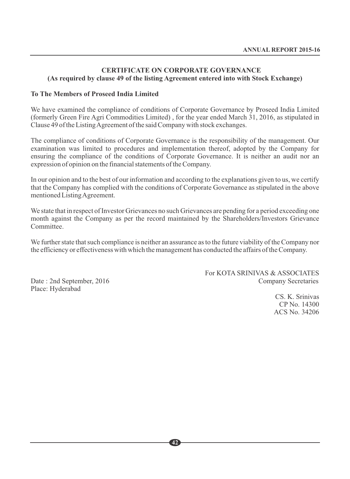#### **CERTIFICATE ON CORPORATE GOVERNANCE (As required by clause 49 of the listing Agreement entered into with Stock Exchange)**

#### **To The Members of Proseed India Limited**

We have examined the compliance of conditions of Corporate Governance by Proseed India Limited (formerly Green Fire Agri Commodities Limited) , for the year ended March 31, 2016, as stipulated in Clause 49 of the Listing Agreement of the said Company with stock exchanges.

The compliance of conditions of Corporate Governance is the responsibility of the management. Our examination was limited to procedures and implementation thereof, adopted by the Company for ensuring the compliance of the conditions of Corporate Governance. It is neither an audit nor an expression of opinion on the financial statements of the Company.

In our opinion and to the best of our information and according to the explanations given to us, we certify that the Company has complied with the conditions of Corporate Governance as stipulated in the above mentioned Listing Agreement.

We state that in respect of Investor Grievances no such Grievances are pending for a period exceeding one month against the Company as per the record maintained by the Shareholders/Investors Grievance Committee.

We further state that such compliance is neither an assurance as to the future viability of the Company nor the efficiency or effectiveness with which the management has conducted the affairs of the Company.

Place: Hyderabad

For KOTA SRINIVAS & ASSOCIATES Date : 2nd September, 2016 Company Secretaries

> CS. K. Srinivas CP No. 14300 ACS No. 34206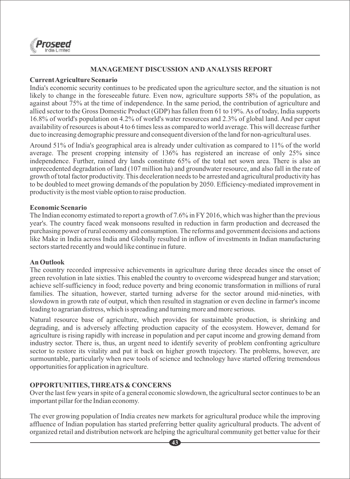

#### **MANAGEMENT DISCUSSION AND ANALYSIS REPORT**

#### **Current Agriculture Scenario**

India's economic security continues to be predicated upon the agriculture sector, and the situation is not likely to change in the foreseeable future. Even now, agriculture supports 58% of the population, as against about 75% at the time of independence. In the same period, the contribution of agriculture and allied sector to the Gross Domestic Product (GDP) has fallen from 61 to 19%. As of today, India supports 16.8% of world's population on 4.2% of world's water resources and 2.3% of global land. And per caput availability of resources is about 4 to 6 times less as compared to world average. This will decrease further due to increasing demographic pressure and consequent diversion of the land for non-agricultural uses.

Around 51% of India's geographical area is already under cultivation as compared to 11% of the world average. The present cropping intensity of 136% has registered an increase of only 25% since independence. Further, rained dry lands constitute 65% of the total net sown area. There is also an unprecedented degradation of land (107 million ha) and groundwater resource, and also fall in the rate of growth of total factor productivity. This deceleration needs to be arrested and agricultural productivity has to be doubled to meet growing demands of the population by 2050. Efficiency-mediated improvement in productivity is the most viable option to raise production.

#### **Economic Scenario**

The Indian economy estimated to report a growth of 7.6% in FY2016, which was higher than the previous year's. The country faced weak monsoons resulted in reduction in farm production and decreased the purchasing power of rural economy and consumption. The reforms and government decisions and actions like Make in India across India and Globally resulted in inflow of investments in Indian manufacturing sectors started recently and would like continue in future.

#### **An Outlook**

The country recorded impressive achievements in agriculture during three decades since the onset of green revolution in late sixties. This enabled the country to overcome widespread hunger and starvation; achieve self-sufficiency in food; reduce poverty and bring economic transformation in millions of rural families. The situation, however, started turning adverse for the sector around mid-nineties, with slowdown in growth rate of output, which then resulted in stagnation or even decline in farmer's income leading to agrarian distress, which is spreading and turning more and more serious.

Natural resource base of agriculture, which provides for sustainable production, is shrinking and degrading, and is adversely affecting production capacity of the ecosystem. However, demand for agriculture is rising rapidly with increase in population and per caput income and growing demand from industry sector. There is, thus, an urgent need to identify severity of problem confronting agriculture sector to restore its vitality and put it back on higher growth trajectory. The problems, however, are surmountable, particularly when new tools of science and technology have started offering tremendous opportunities for application in agriculture.

#### **OPPORTUNITIES, THREATS & CONCERNS**

Over the last few years in spite of a general economic slowdown, the agricultural sector continues to be an important pillar for the Indian economy.

The ever growing population of India creates new markets for agricultural produce while the improving affluence of Indian population has started preferring better quality agricultural products. The advent of organized retail and distribution network are helping the agricultural community get better value for their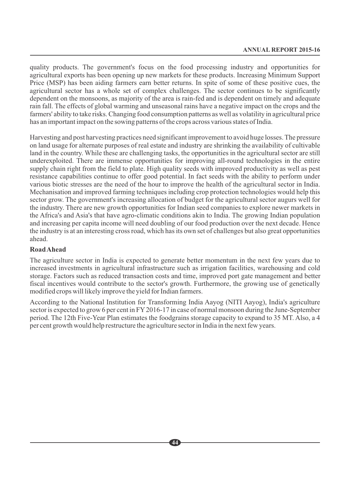quality products. The government's focus on the food processing industry and opportunities for agricultural exports has been opening up new markets for these products. Increasing Minimum Support Price (MSP) has been aiding farmers earn better returns. In spite of some of these positive cues, the agricultural sector has a whole set of complex challenges. The sector continues to be significantly dependent on the monsoons, as majority of the area is rain-fed and is dependent on timely and adequate rain fall. The effects of global warming and unseasonal rains have a negative impact on the crops and the farmers' ability to take risks. Changing food consumption patterns as well as volatility in agricultural price has an important impact on the sowing patterns of the crops across various states of India.

Harvesting and post harvesting practices need significant improvement to avoid huge losses. The pressure on land usage for alternate purposes of real estate and industry are shrinking the availability of cultivable land in the country. While these are challenging tasks, the opportunities in the agricultural sector are still underexploited. There are immense opportunities for improving all-round technologies in the entire supply chain right from the field to plate. High quality seeds with improved productivity as well as pest resistance capabilities continue to offer good potential. In fact seeds with the ability to perform under various biotic stresses are the need of the hour to improve the health of the agricultural sector in India. Mechanisation and improved farming techniques including crop protection technologies would help this sector grow. The government's increasing allocation of budget for the agricultural sector augurs well for the industry. There are new growth opportunities for Indian seed companies to explore newer markets in the Africa's and Asia's that have agro-climatic conditions akin to India. The growing Indian population and increasing per capita income will need doubling of our food production over the next decade. Hence the industry is at an interesting cross road, which has its own set of challenges but also great opportunities ahead.

#### **Road Ahead**

The agriculture sector in India is expected to generate better momentum in the next few years due to increased investments in agricultural infrastructure such as irrigation facilities, warehousing and cold storage. Factors such as reduced transaction costs and time, improved port gate management and better fiscal incentives would contribute to the sector's growth. Furthermore, the growing use of genetically modified crops will likely improve the yield for Indian farmers.

According to the National Institution for Transforming India Aayog (NITI Aayog), India's agriculture sector is expected to grow 6 per cent in FY 2016-17 in case of normal monsoon during the June-September period. The 12th Five-Year Plan estimates the foodgrains storage capacity to expand to 35 MT. Also, a 4 per cent growth would help restructure the agriculture sector in India in the next few years.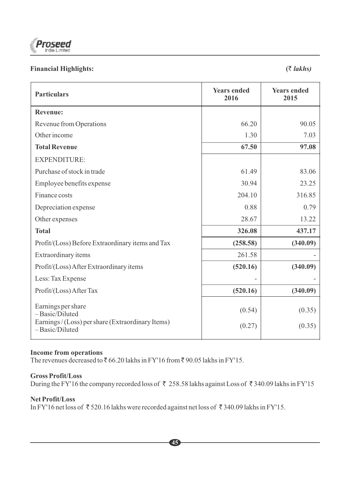

# **Financial Highlights: (**` *lakhs)*

| <b>Particulars</b>                                                                                          | <b>Years ended</b><br>2016 | <b>Years ended</b><br>2015 |
|-------------------------------------------------------------------------------------------------------------|----------------------------|----------------------------|
| <b>Revenue:</b>                                                                                             |                            |                            |
| Revenue from Operations                                                                                     | 66.20                      | 90.05                      |
| Other income                                                                                                | 1.30                       | 7.03                       |
| <b>Total Revenue</b>                                                                                        | 67.50                      | 97.08                      |
| <b>EXPENDITURE:</b>                                                                                         |                            |                            |
| Purchase of stock in trade                                                                                  | 61.49                      | 83.06                      |
| Employee benefits expense                                                                                   | 30.94                      | 23.25                      |
| Finance costs                                                                                               | 204.10                     | 316.85                     |
| Depreciation expense                                                                                        | 0.88                       | 0.79                       |
| Other expenses                                                                                              | 28.67                      | 13.22                      |
| <b>Total</b>                                                                                                | 326.08                     | 437.17                     |
| Profit/(Loss) Before Extraordinary items and Tax                                                            | (258.58)                   | (340.09)                   |
| Extraordinary items                                                                                         | 261.58                     |                            |
| Profit/(Loss) After Extraordinary items                                                                     | (520.16)                   | (340.09)                   |
| Less: Tax Expense                                                                                           |                            |                            |
| Profit/(Loss) After Tax                                                                                     | (520.16)                   | (340.09)                   |
| Earnings per share<br>-Basic/Diluted<br>Earnings / (Loss) per share (Extraordinary Items)<br>-Basic/Diluted | (0.54)<br>(0.27)           | (0.35)<br>(0.35)           |
|                                                                                                             |                            |                            |

# **Income from operations**

The revenues decreased to  $\bar{e}$  66.20 lakhs in FY'16 from  $\bar{e}$  90.05 lakhs in FY'15.

# **Gross Profit/Loss**

During the FY'16 the company recorded loss of  $\bar{\tau}$  258.58 lakhs against Loss of  $\bar{\tau}$  340.09 lakhs in FY'15

# **Net Profit/Loss**

In FY'16 net loss of  $\bar{\tau}$  520.16 lakhs were recorded against net loss of  $\bar{\tau}$  340.09 lakhs in FY'15.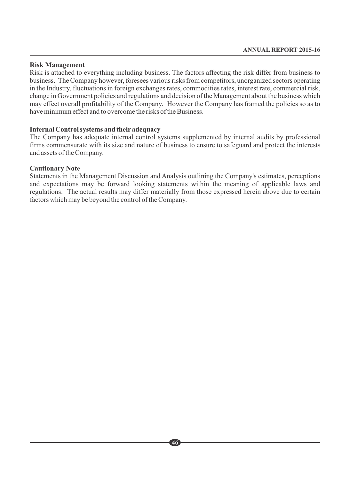#### **Risk Management**

Risk is attached to everything including business. The factors affecting the risk differ from business to business. The Company however, foresees various risks from competitors, unorganized sectors operating in the Industry, fluctuations in foreign exchanges rates, commodities rates, interest rate, commercial risk, change in Government policies and regulations and decision of the Management about the business which may effect overall profitability of the Company. However the Company has framed the policies so as to have minimum effect and to overcome the risks of the Business.

#### **Internal Control systems and their adequacy**

The Company has adequate internal control systems supplemented by internal audits by professional firms commensurate with its size and nature of business to ensure to safeguard and protect the interests and assets of the Company.

#### **Cautionary Note**

Statements in the Management Discussion and Analysis outlining the Company's estimates, perceptions and expectations may be forward looking statements within the meaning of applicable laws and regulations. The actual results may differ materially from those expressed herein above due to certain factors which may be beyond the control of the Company.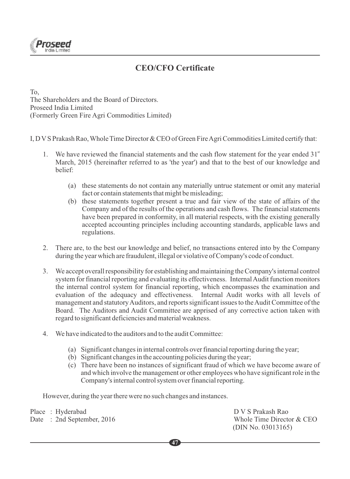

# **CEO/CFO Certificate**

To, The Shareholders and the Board of Directors. Proseed India Limited (Formerly Green Fire Agri Commodities Limited)

I, D VS Prakash Rao, Whole Time Director & CEO of Green Fire Agri Commodities Limited certify that:

- 1. We have reviewed the financial statements and the cash flow statement for the year ended  $31<sup>st</sup>$ March, 2015 (hereinafter referred to as 'the year') and that to the best of our knowledge and belief:
	- (a) these statements do not contain any materially untrue statement or omit any material fact or contain statements that might be misleading;
	- (b) these statements together present a true and fair view of the state of affairs of the Company and of the results of the operations and cash flows. The financial statements have been prepared in conformity, in all material respects, with the existing generally accepted accounting principles including accounting standards, applicable laws and regulations.
- 2. There are, to the best our knowledge and belief, no transactions entered into by the Company during the year which are fraudulent, illegal or violative of Company's code of conduct.
- 3. We accept overall responsibility for establishing and maintaining the Company's internal control system for financial reporting and evaluating its effectiveness. Internal Audit function monitors the internal control system for financial reporting, which encompasses the examination and evaluation of the adequacy and effectiveness. Internal Audit works with all levels of management and statutory Auditors, and reports significant issues to the Audit Committee of the Board. The Auditors and Audit Committee are apprised of any corrective action taken with regard to significant deficiencies and material weakness.
- 4. We have indicated to the auditors and to the audit Committee:
	- (a) Significant changes in internal controls over financial reporting during the year;
	- (b) Significant changes in the accounting policies during the year;
	- (c) There have been no instances of significant fraud of which we have become aware of and which involve the management or other employees who have significant role in the Company's internal control system over financial reporting.

However, during the year there were no such changes and instances.

Date : 2nd September, 2016

Place : Hyderabad DV S Prakash Rao<br>
D V S Prakash Rao<br>
D V S Prakash Rao<br>
Whole Time Director & CEO (DIN No. 03013165)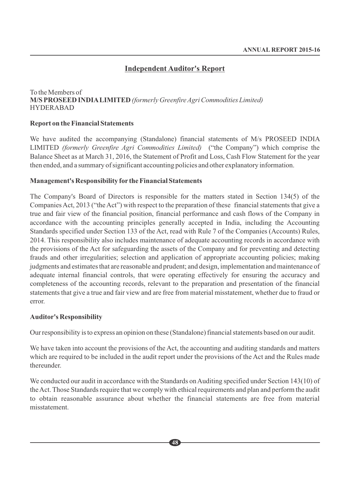# **Independent Auditor's Report**

# To the Members of **M/S PROSEED INDIALIMITED** *(formerly Greenfire Agri Commodities Limited)*  HYDERABAD

#### **Report on the Financial Statements**

We have audited the accompanying (Standalone) financial statements of M/s PROSEED INDIA LIMITED *(formerly Greenfire Agri Commodities Limited)* ("the Company") which comprise the Balance Sheet as at March 31, 2016, the Statement of Profit and Loss, Cash Flow Statement for the year then ended, and a summary of significant accounting policies and other explanatory information.

#### **Management's Responsibility for the Financial Statements**

The Company's Board of Directors is responsible for the matters stated in Section 134(5) of the Companies Act, 2013 ("the Act") with respect to the preparation of these financial statements that give a true and fair view of the financial position, financial performance and cash flows of the Company in accordance with the accounting principles generally accepted in India, including the Accounting Standards specified under Section 133 of the Act, read with Rule 7 of the Companies (Accounts) Rules, 2014. This responsibility also includes maintenance of adequate accounting records in accordance with the provisions of the Act for safeguarding the assets of the Company and for preventing and detecting frauds and other irregularities; selection and application of appropriate accounting policies; making judgments and estimates that are reasonable and prudent; and design, implementation and maintenance of adequate internal financial controls, that were operating effectively for ensuring the accuracy and completeness of the accounting records, relevant to the preparation and presentation of the financial statements that give a true and fair view and are free from material misstatement, whether due to fraud or error.

#### **Auditor's Responsibility**

Our responsibility is to express an opinion on these (Standalone) financial statements based on our audit.

We have taken into account the provisions of the Act, the accounting and auditing standards and matters which are required to be included in the audit report under the provisions of the Act and the Rules made thereunder.

We conducted our audit in accordance with the Standards on Auditing specified under Section 143(10) of the Act. Those Standards require that we comply with ethical requirements and plan and perform the audit to obtain reasonable assurance about whether the financial statements are free from material misstatement.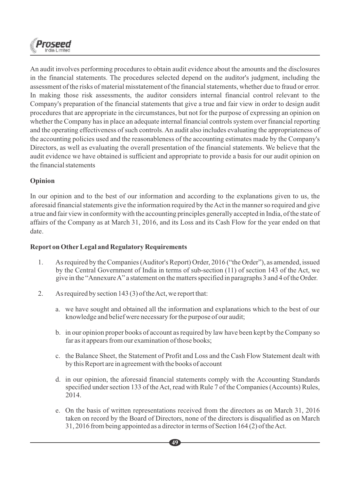

An audit involves performing procedures to obtain audit evidence about the amounts and the disclosures in the financial statements. The procedures selected depend on the auditor's judgment, including the assessment of the risks of material misstatement of the financial statements, whether due to fraud or error. In making those risk assessments, the auditor considers internal financial control relevant to the Company's preparation of the financial statements that give a true and fair view in order to design audit procedures that are appropriate in the circumstances, but not for the purpose of expressing an opinion on whether the Company has in place an adequate internal financial controls system over financial reporting and the operating effectiveness of such controls. An audit also includes evaluating the appropriateness of the accounting policies used and the reasonableness of the accounting estimates made by the Company's Directors, as well as evaluating the overall presentation of the financial statements. We believe that the audit evidence we have obtained is sufficient and appropriate to provide a basis for our audit opinion on the financial statements

# **Opinion**

In our opinion and to the best of our information and according to the explanations given to us, the aforesaid financial statements give the information required by the Act in the manner so required and give a true and fair view in conformity with the accounting principles generally accepted in India, of the state of affairs of the Company as at March 31, 2016, and its Loss and its Cash Flow for the year ended on that date.

# **Report on OtherLegal and Regulatory Requirements**

- 1. As required by the Companies (Auditor's Report) Order, 2016 ("the Order"), as amended, issued by the Central Government of India in terms of sub-section (11) of section 143 of the Act, we give in the "Annexure A" a statement on the matters specified in paragraphs 3 and 4 of the Order.
- 2. As required by section 143 (3) of the Act, we report that:
	- a. we have sought and obtained all the information and explanations which to the best of our knowledge and belief were necessary for the purpose of our audit;
	- b. in our opinion proper books of account as required by law have been kept by the Company so far as it appears from our examination of those books;
	- c. the Balance Sheet, the Statement of Profit and Loss and the Cash Flow Statement dealt with by this Report are in agreement with the books of account
	- d. in our opinion, the aforesaid financial statements comply with the Accounting Standards specified under section 133 of the Act, read with Rule 7 of the Companies (Accounts) Rules, 2014.
	- e. On the basis of written representations received from the directors as on March 31, 2016 taken on record by the Board of Directors, none of the directors is disqualified as on March 31, 2016 from being appointed as a director in terms of Section 164 (2) of the Act.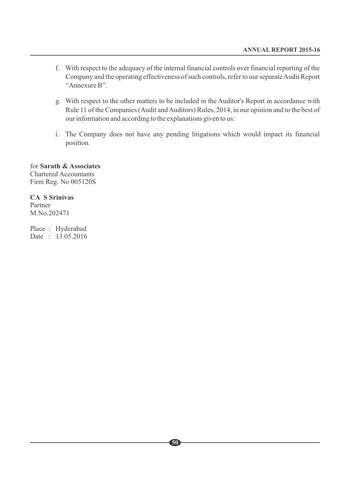- f. With respect to the adequacy of the internal financial controls over financial reporting of the Company and the operating effectiveness of such controls, refer to our separate Audit Report "Annexure B".
- g. With respect to the other matters to be included in the Auditor's Report in accordance with Rule 11 of the Companies (Audit and Auditors) Rules, 2014, in our opinion and to the best of our information and according to the explanations given to us:
- i. The Company does not have any pending litigations which would impact its financial position.

#### for **Sarath & Associates**  Chartered Accountants Firm Reg. No 005120S

#### **CA S Srinivas** Partner

M.No.202471

Place : Hyderabad Date : 13.05.2016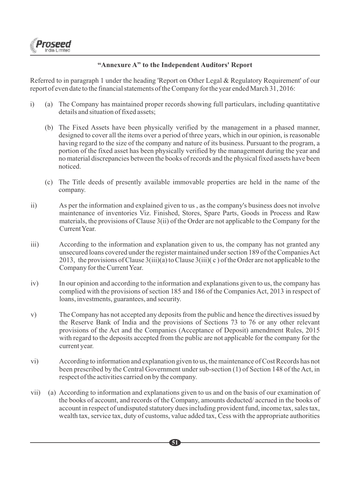

## **"Annexure A" to the Independent Auditors' Report**

Referred to in paragraph 1 under the heading 'Report on Other Legal & Regulatory Requirement' of our report of even date to the financial statements of the Company for the year ended March 31, 2016:

- i) (a) The Company has maintained proper records showing full particulars, including quantitative details and situation of fixed assets;
	- (b) The Fixed Assets have been physically verified by the management in a phased manner, designed to cover all the items over a period of three years, which in our opinion, is reasonable having regard to the size of the company and nature of its business. Pursuant to the program, a portion of the fixed asset has been physically verified by the management during the year and no material discrepancies between the books of records and the physical fixed assets have been noticed.
	- (c) The Title deeds of presently available immovable properties are held in the name of the company.
- ii) As per the information and explained given to us , as the company's business does not involve maintenance of inventories Viz. Finished, Stores, Spare Parts, Goods in Process and Raw materials, the provisions of Clause 3(ii) of the Order are not applicable to the Company for the Current Year.
- iii) According to the information and explanation given to us, the company has not granted any unsecured loans covered under the register maintained under section 189 of the Companies Act 2013, the provisions of Clause  $3(iii)(a)$  to Clause  $3(iii)(c)$  of the Order are not applicable to the Company for the Current Year.
- iv) In our opinion and according to the information and explanations given to us, the company has complied with the provisions of section 185 and 186 of the Companies Act, 2013 in respect of loans, investments, guarantees, and security.
- v) The Company has not accepted any deposits from the public and hence the directives issued by the Reserve Bank of India and the provisions of Sections 73 to 76 or any other relevant provisions of the Act and the Companies (Acceptance of Deposit) amendment Rules, 2015 with regard to the deposits accepted from the public are not applicable for the company for the current year.
- vi) According to information and explanation given to us, the maintenance of Cost Records has not been prescribed by the Central Government under sub-section (1) of Section 148 of the Act, in respect of the activities carried on by the company.
- vii) (a) According to information and explanations given to us and on the basis of our examination of the books of account, and records of the Company, amounts deducted/ accrued in the books of account in respect of undisputed statutory dues including provident fund, income tax, sales tax, wealth tax, service tax, duty of customs, value added tax, Cess with the appropriate authorities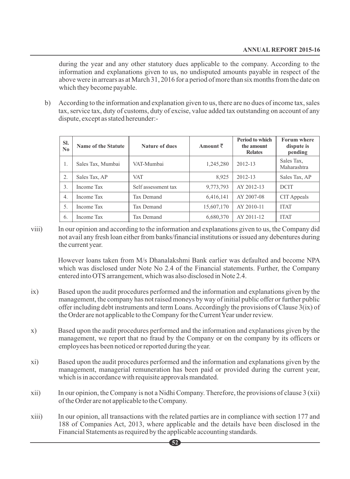during the year and any other statutory dues applicable to the company. According to the information and explanations given to us, no undisputed amounts payable in respect of the above were in arrears as at March 31, 2016 for a period of more than six months from the date on which they become payable.

b) According to the information and explanation given to us, there are no dues of income tax, sales tax, service tax, duty of customs, duty of excise, value added tax outstanding on account of any dispute, except as stated hereunder:-

| SI.<br>$\mathbf{N}\mathbf{0}$ | <b>Name of the Statute</b> | <b>Nature of dues</b> | Amount $\bar{\tau}$ | <b>Period to which</b><br>the amount<br><b>Relates</b> | <b>Forum where</b><br>dispute is<br>pending |
|-------------------------------|----------------------------|-----------------------|---------------------|--------------------------------------------------------|---------------------------------------------|
| 1.                            | Sales Tax, Mumbai          | VAT-Mumbai            | 1,245,280           | 2012-13                                                | Sales Tax,<br>Maharashtra                   |
| 2.                            | Sales Tax, AP              | <b>VAT</b>            | 8.925               | $2012 - 13$                                            | Sales Tax, AP                               |
| 3.                            | Income Tax                 | Self assessment tax   | 9,773,793           | AY 2012-13                                             | <b>DCIT</b>                                 |
| 4.                            | Income Tax                 | Tax Demand            | 6,416,141           | AY 2007-08                                             | CIT Appeals                                 |
| .5.                           | Income Tax                 | Tax Demand            | 15,607,170          | AY 2010-11                                             | <b>ITAT</b>                                 |
| 6.                            | Income Tax                 | Tax Demand            | 6,680,370           | AY 2011-12                                             | <b>ITAT</b>                                 |

viii) In our opinion and according to the information and explanations given to us, the Company did not avail any fresh loan either from banks/financial institutions or issued any debentures during the current year.

However loans taken from M/s Dhanalakshmi Bank earlier was defaulted and become NPA which was disclosed under Note No 2.4 of the Financial statements. Further, the Company entered into OTS arrangement, which was also disclosed in Note 2.4.

- ix) Based upon the audit procedures performed and the information and explanations given by the management, the company has not raised moneys by way of initial public offer or further public offer including debt instruments and term Loans. Accordingly the provisions of Clause 3(ix) of the Order are not applicable to the Company for the Current Year under review.
- x) Based upon the audit procedures performed and the information and explanations given by the management, we report that no fraud by the Company or on the company by its officers or employees has been noticed or reported during the year.
- xi) Based upon the audit procedures performed and the information and explanations given by the management, managerial remuneration has been paid or provided during the current year, which is in accordance with requisite approvals mandated.
- xii) In our opinion, the Company is not a Nidhi Company. Therefore, the provisions of clause 3 (xii) of the Order are not applicable to the Company.
- xiii) In our opinion, all transactions with the related parties are in compliance with section 177 and 188 of Companies Act, 2013, where applicable and the details have been disclosed in the Financial Statements as required by the applicable accounting standards.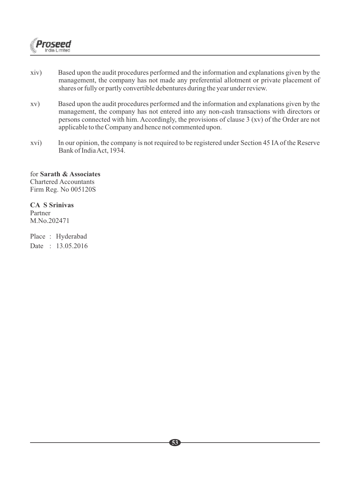

- xiv) Based upon the audit procedures performed and the information and explanations given by the management, the company has not made any preferential allotment or private placement of shares or fully or partly convertible debentures during the year under review.
- xv) Based upon the audit procedures performed and the information and explanations given by the management, the company has not entered into any non-cash transactions with directors or persons connected with him. Accordingly, the provisions of clause 3 (xv) of the Order are not applicable to the Company and hence not commented upon.
- xvi) In our opinion, the company is not required to be registered under Section 45 IAof the Reserve Bank of India Act, 1934.

for **Sarath & Associates**  Chartered Accountants Firm Reg. No 005120S

#### **CA S Srinivas**

Partner M.No.202471

Place : Hyderabad Date : 13.05.2016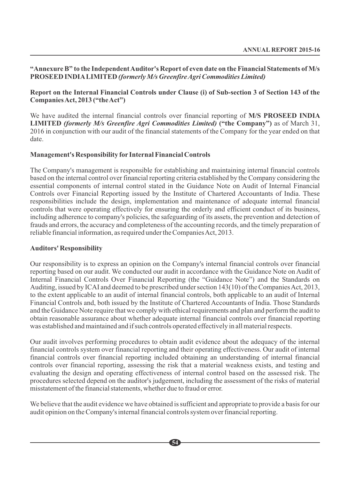#### **"Annexure B" to the Independent Auditor's Report of even date on the Financial Statements of M/s PROSEED INDIALIMITED** *(formerly M/s Greenfire Agri Commodities Limited)*

#### **Report on the Internal Financial Controls under Clause (i) of Sub-section 3 of Section 143 of the Companies Act, 2013 ("the Act")**

We have audited the internal financial controls over financial reporting of **M/S PROSEED INDIA LIMITED** *(formerly M/s Greenfire Agri Commodities Limited)* **("the Company")** as of March 31, 2016 in conjunction with our audit of the financial statements of the Company for the year ended on that date.

#### **Management's Responsibility for Internal Financial Controls**

The Company's management is responsible for establishing and maintaining internal financial controls based on the internal control over financial reporting criteria established by the Company considering the essential components of internal control stated in the Guidance Note on Audit of Internal Financial Controls over Financial Reporting issued by the Institute of Chartered Accountants of India. These responsibilities include the design, implementation and maintenance of adequate internal financial controls that were operating effectively for ensuring the orderly and efficient conduct of its business, including adherence to company's policies, the safeguarding of its assets, the prevention and detection of frauds and errors, the accuracy and completeness of the accounting records, and the timely preparation of reliable financial information, as required under the Companies Act, 2013.

#### **Auditors' Responsibility**

Our responsibility is to express an opinion on the Company's internal financial controls over financial reporting based on our audit. We conducted our audit in accordance with the Guidance Note on Audit of Internal Financial Controls Over Financial Reporting (the "Guidance Note") and the Standards on Auditing, issued by ICAI and deemed to be prescribed under section 143(10) of the Companies Act, 2013, to the extent applicable to an audit of internal financial controls, both applicable to an audit of Internal Financial Controls and, both issued by the Institute of Chartered Accountants of India. Those Standards and the Guidance Note require that we comply with ethical requirements and plan and perform the audit to obtain reasonable assurance about whether adequate internal financial controls over financial reporting was established and maintained and if such controls operated effectively in all material respects.

Our audit involves performing procedures to obtain audit evidence about the adequacy of the internal financial controls system over financial reporting and their operating effectiveness. Our audit of internal financial controls over financial reporting included obtaining an understanding of internal financial controls over financial reporting, assessing the risk that a material weakness exists, and testing and evaluating the design and operating effectiveness of internal control based on the assessed risk. The procedures selected depend on the auditor's judgement, including the assessment of the risks of material misstatement of the financial statements, whether due to fraud or error.

We believe that the audit evidence we have obtained is sufficient and appropriate to provide a basis for our audit opinion on the Company's internal financial controls system over financial reporting.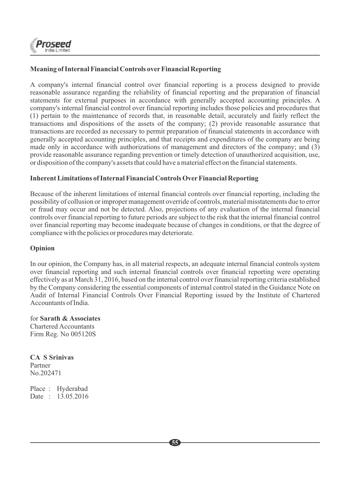

# **Meaning of Internal Financial Controls overFinancial Reporting**

A company's internal financial control over financial reporting is a process designed to provide reasonable assurance regarding the reliability of financial reporting and the preparation of financial statements for external purposes in accordance with generally accepted accounting principles. A company's internal financial control over financial reporting includes those policies and procedures that (1) pertain to the maintenance of records that, in reasonable detail, accurately and fairly reflect the transactions and dispositions of the assets of the company; (2) provide reasonable assurance that transactions are recorded as necessary to permit preparation of financial statements in accordance with generally accepted accounting principles, and that receipts and expenditures of the company are being made only in accordance with authorizations of management and directors of the company; and (3) provide reasonable assurance regarding prevention or timely detection of unauthorized acquisition, use, or disposition of the company's assets that could have a material effect on the financial statements.

#### **Inherent Limitations of Internal Financial Controls OverFinancial Reporting**

Because of the inherent limitations of internal financial controls over financial reporting, including the possibility of collusion or improper management override of controls, material misstatements due to error or fraud may occur and not be detected. Also, projections of any evaluation of the internal financial controls over financial reporting to future periods are subject to the risk that the internal financial control over financial reporting may become inadequate because of changes in conditions, or that the degree of compliance with the policies or procedures may deteriorate.

#### **Opinion**

In our opinion, the Company has, in all material respects, an adequate internal financial controls system over financial reporting and such internal financial controls over financial reporting were operating effectively as at March 31, 2016, based on the internal control over financial reporting criteria established by the Company considering the essential components of internal control stated in the Guidance Note on Audit of Internal Financial Controls Over Financial Reporting issued by the Institute of Chartered Accountants of India.

for **Sarath & Associates**  Chartered Accountants Firm Reg. No 005120S

**CA S Srinivas** Partner No.202471

Place : Hyderabad Date : 13.05.2016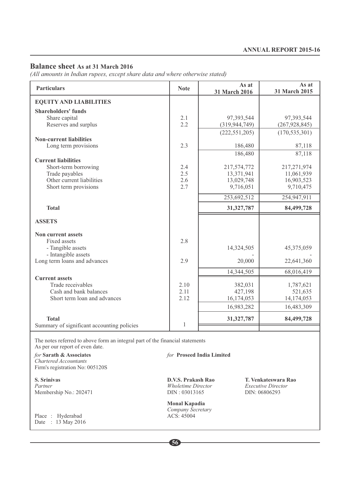#### **Balance sheet As at 31 March 2016**

*(All amounts in Indian rupees, except share data and where otherwise stated)*

| <b>Particulars</b>                                  | <b>Note</b> | As at<br>31 March 2016  | As at<br>31 March 2015  |
|-----------------------------------------------------|-------------|-------------------------|-------------------------|
| <b>EQUITY AND LIABILITIES</b>                       |             |                         |                         |
| <b>Shareholders' funds</b>                          |             |                         |                         |
| Share capital                                       | 2.1         | 97,393,544              | 97,393,544              |
| Reserves and surplus                                | 2.2         | (319, 944, 749)         | (267, 928, 845)         |
| <b>Non-current liabilities</b>                      |             | (222, 551, 205)         | (170, 535, 301)         |
| Long term provisions                                | 2.3         | 186,480                 | 87,118                  |
|                                                     |             | 186,480                 | 87,118                  |
| <b>Current liabilities</b>                          |             |                         |                         |
| Short-term borrowing                                | 2.4         | 217,574,772             | 217,271,974             |
| Trade payables<br>Other current liabilities         | 2.5<br>2.6  | 13,371,941              | 11,061,939              |
| Short term provisions                               | 2.7         | 13,029,748<br>9,716,051 | 16,903,523<br>9,710,475 |
|                                                     |             |                         |                         |
|                                                     |             | 253,692,512             | 254,947,911             |
| <b>Total</b>                                        |             | 31, 327, 787            | 84,499,728              |
| <b>ASSETS</b>                                       |             |                         |                         |
| Non current assets                                  |             |                         |                         |
| Fixed assets                                        | 2.8         |                         |                         |
| - Tangible assets                                   |             | 14,324,505              | 45,375,059              |
| - Intangible assets<br>Long term loans and advances | 2.9         | 20,000                  | 22,641,360              |
|                                                     |             |                         |                         |
| <b>Current assets</b>                               |             | 14,344,505              | 68,016,419              |
| Trade receivables                                   | 2.10        | 382,031                 | 1,787,621               |
| Cash and bank balances                              | 2.11        | 427,198                 | 521,635                 |
| Short term loan and advances                        | 2.12        | 16,174,053              | 14,174,053              |
|                                                     |             | 16,983,282              | 16,483,309              |
| <b>Total</b>                                        |             | 31,327,787              | 84,499,728              |
| Summary of significant accounting policies          | 1           |                         |                         |
|                                                     |             |                         |                         |

The notes referred to above form an integral part of the financial statements

As per our report of even date.<br>for **Sarath & Associates** *Chartered Accountants*  Firm's registration No: 005120S

Membership No.: 202471

Place : Hyderabad Date: 13 May 2016 *for* Proseed India Limited

*Partner Director Executive Director DIN*: 06806293

**Monal Kapadia**  *Company Secretary* 

**S. Srinivas D.V.S. Prakash Rao T. Venkateswara Rao**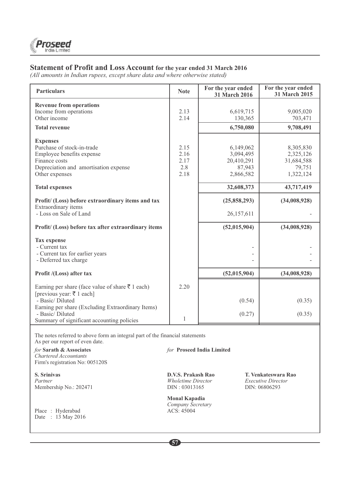#### **Statement of Profit and Loss Account for the year ended 31 March 2016**

*(All amounts in Indian rupees, except share data and where otherwise stated)*

| <b>Particulars</b>                                                                                                                                                                                                                                                                                                                           | <b>Note</b>                         | For the year ended<br>31 March 2016                                                                                       | For the year ended<br>31 March 2015                                                                       |
|----------------------------------------------------------------------------------------------------------------------------------------------------------------------------------------------------------------------------------------------------------------------------------------------------------------------------------------------|-------------------------------------|---------------------------------------------------------------------------------------------------------------------------|-----------------------------------------------------------------------------------------------------------|
| <b>Revenue from operations</b><br>Income from operations<br>Other income                                                                                                                                                                                                                                                                     | 2.13<br>2.14                        | 6,619,715<br>130,365                                                                                                      | 9,005,020<br>703,471                                                                                      |
| <b>Total revenue</b>                                                                                                                                                                                                                                                                                                                         |                                     | 6,750,080                                                                                                                 | 9,708,491                                                                                                 |
| <b>Expenses</b><br>Purchase of stock-in-trade<br>Employee benefits expense<br>Finance costs<br>Depreciation and amortisation expense<br>Other expenses<br><b>Total expenses</b><br>Profit/ (Loss) before extraordinary items and tax<br>Extraordinary items<br>- Loss on Sale of Land<br>Profit/ (Loss) before tax after extraordinary items | 2.15<br>2.16<br>2.17<br>2.8<br>2.18 | 6,149,062<br>3,094,495<br>20,410,291<br>87,943<br>2,866,582<br>32,608,373<br>(25,858,293)<br>26,157,611<br>(52, 015, 904) | 8,305,830<br>2,325,126<br>31,684,588<br>79,751<br>1,322,124<br>43,717,419<br>(34,008,928)<br>(34,008,928) |
| <b>Tax expense</b><br>- Current tax<br>- Current tax for earlier years<br>- Deferred tax charge<br>Profit /(Loss) after tax                                                                                                                                                                                                                  |                                     | (52,015,904)                                                                                                              | (34,008,928)                                                                                              |
| Earning per share (face value of share $\bar{\tau}$ 1 each)<br>[previous year: ₹ 1 each]<br>- Basic/Diluted<br>Earning per share (Excluding Extraordinary Items)<br>- Basic/Diluted<br>Summary of significant accounting policies                                                                                                            | 2.20<br>1                           | (0.54)<br>(0.27)                                                                                                          | (0.35)<br>(0.35)                                                                                          |

The notes referred to above form an integral part of the financial statements As per our report of even date.

*for* **Sarath & Associates** *for* **Proseed India Limited** *Chartered Accountants*  Firm's registration No: 005120S

Proseed India Limited

**S. Srinivas D.V.S. Prakash Rao T. Venkateswara Rao**  Partner *Partner Partner Birector Executive Director Executive Director Membership No.: 202471 DIN: 06806293* Membership No.: 202471

Place : Hyderabad Date : 13 May 2016

**Monal Kapadia**  *Company Secretary*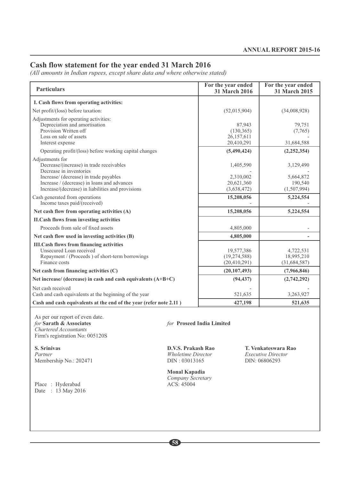# **Cash flow statement for the year ended 31 March 2016**

*(All amounts in Indian rupees, except share data and where otherwise stated)*

| <b>Particulars</b>                                                                                                                                                                                                                   |                                                                  | For the year ended<br>31 March 2016                 | For the year ended<br>31 March 2015                               |
|--------------------------------------------------------------------------------------------------------------------------------------------------------------------------------------------------------------------------------------|------------------------------------------------------------------|-----------------------------------------------------|-------------------------------------------------------------------|
| I. Cash flows from operating activities:                                                                                                                                                                                             |                                                                  |                                                     |                                                                   |
| Net profit/(loss) before taxation:                                                                                                                                                                                                   |                                                                  | (52,015,904)                                        | (34,008,928)                                                      |
| Adjustments for operating activities:<br>Depreciation and amortisation<br>Provision Written off<br>Loss on sale of assets<br>Interest expense                                                                                        |                                                                  | 87,943<br>(130, 365)<br>26,157,611<br>20,410,291    | 79,751<br>(7,765)<br>31,684,588                                   |
| Operating profit/(loss) before working capital changes                                                                                                                                                                               |                                                                  | (5,490,424)                                         | (2, 252, 354)                                                     |
| Adjustments for<br>Decrease/(increase) in trade receivables<br>Decrease in inventories<br>Increase/ (decrease) in trade payables<br>Increase / (decrease) in loans and advances<br>Increase/(decrease) in liabilities and provisions |                                                                  | 1,405,590<br>2,310,002<br>20,621,360<br>(3,638,472) | 3,129,490<br>5,664,872<br>190,540<br>(1,507,994)                  |
| Cash generated from operations<br>Income taxes paid/(received)                                                                                                                                                                       |                                                                  | 15,208,056                                          | 5,224,554                                                         |
| Net cash flow from operating activities (A)                                                                                                                                                                                          |                                                                  | 15,208,056                                          | 5,224,554                                                         |
| <b>II.Cash flows from investing activities</b>                                                                                                                                                                                       |                                                                  |                                                     |                                                                   |
| Proceeds from sale of fixed assets                                                                                                                                                                                                   |                                                                  | 4,805,000                                           |                                                                   |
| Net cash flow used in investing activities (B)                                                                                                                                                                                       |                                                                  | 4,805,000                                           |                                                                   |
| <b>III.Cash flows from financing activities</b><br>Unsecured Loan received<br>Repayment / (Proceeds) of short-term borrowings<br>Finance costs                                                                                       |                                                                  | 19,577,386<br>(19, 274, 588)<br>(20, 410, 291)      | 4,722,531<br>18,995,210<br>(31, 684, 587)                         |
| Net cash from financing activities (C)                                                                                                                                                                                               |                                                                  | (20, 107, 493)                                      | (7,966,846)                                                       |
| Net increase/ (decrease) in cash and cash equivalents (A+B+C)                                                                                                                                                                        |                                                                  | (94, 437)                                           | (2,742,292)                                                       |
| Net cash received<br>Cash and cash equivalents at the beginning of the year<br>Cash and cash equivalents at the end of the year (refer note 2.11)                                                                                    |                                                                  | 521,635<br>427,198                                  | 3,263,927<br>521,635                                              |
| As per our report of even date.<br>for Sarath & Associates<br>Chartered Accountants<br>Firm's registration No: 005120S                                                                                                               | for Proseed India Limited                                        |                                                     |                                                                   |
| S. Srinivas<br>Partner<br>Membership No.: 202471                                                                                                                                                                                     | D.V.S. Prakash Rao<br><b>Wholetime Director</b><br>DIN: 03013165 |                                                     | T. Venkateswara Rao<br><b>Executive Director</b><br>DIN: 06806293 |
|                                                                                                                                                                                                                                      | Monal Kapadia                                                    |                                                     |                                                                   |

Date : 13 May 2016

Place : Hyderabad ACS: 45004

**58**

*Company Secretary*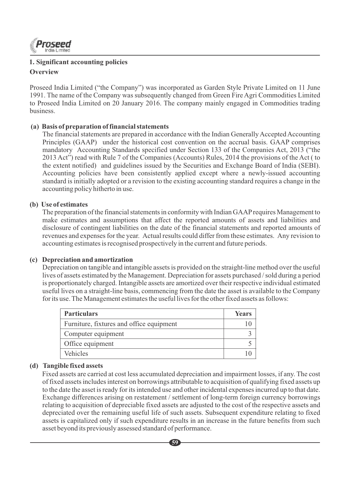

# **Overview 1. Significant accounting policies**

Proseed India Limited ("the Company") was incorporated as Garden Style Private Limited on 11 June 1991. The name of the Company was subsequently changed from Green Fire Agri Commodities Limited to Proseed India Limited on 20 January 2016. The company mainly engaged in Commodities trading business.

#### **(a) Basis of preparation of financial statements**

The financial statements are prepared in accordance with the Indian Generally Accepted Accounting Principles (GAAP) under the historical cost convention on the accrual basis. GAAP comprises mandatory Accounting Standards specified under Section 133 of the Companies Act, 2013 ("the 2013 Act") read with Rule 7 of the Companies (Accounts) Rules, 2014 the provisions of the Act ( to the extent notified) and guidelines issued by the Securities and Exchange Board of India (SEBI). Accounting policies have been consistently applied except where a newly-issued accounting standard is initially adopted or a revision to the existing accounting standard requires a change in the accounting policy hitherto in use.

#### **(b) Use of estimates**

The preparation of the financial statements in conformity with Indian GAAPrequires Management to make estimates and assumptions that affect the reported amounts of assets and liabilities and disclosure of contingent liabilities on the date of the financial statements and reported amounts of revenues and expenses for the year. Actual results could differ from these estimates. Any revision to accounting estimates is recognised prospectively in the current and future periods.

#### **(c) Depreciation and amortization**

Depreciation on tangible and intangible assets is provided on the straight-line method over the useful lives of assets estimated by the Management. Depreciation for assets purchased / sold during a period is proportionately charged. Intangible assets are amortized over their respective individual estimated useful lives on a straight-line basis, commencing from the date the asset is available to the Company for its use. The Management estimates the useful lives for the other fixed assets as follows:

| <b>Particulars</b>                       | Years |
|------------------------------------------|-------|
| Furniture, fixtures and office equipment |       |
| Computer equipment                       |       |
| Office equipment                         |       |
| Vehicles                                 |       |

#### **(d) Tangible fixed assets**

Fixed assets are carried at cost less accumulated depreciation and impairment losses, if any. The cost of fixed assets includes interest on borrowings attributable to acquisition of qualifying fixed assets up to the date the asset is ready for its intended use and other incidental expenses incurred up to that date. Exchange differences arising on restatement / settlement of long-term foreign currency borrowings relating to acquisition of depreciable fixed assets are adjusted to the cost of the respective assets and depreciated over the remaining useful life of such assets. Subsequent expenditure relating to fixed assets is capitalized only if such expenditure results in an increase in the future benefits from such asset beyond its previously assessed standard of performance.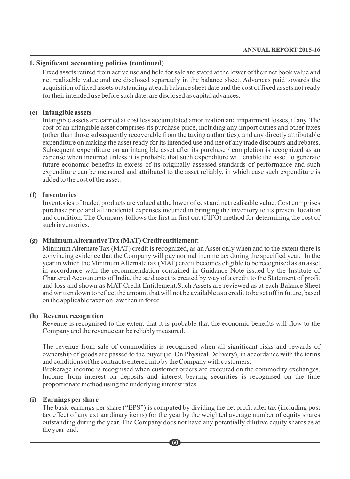#### **1. Significant accounting policies (continued)**

Fixed assets retired from active use and held for sale are stated at the lower of their net book value and net realizable value and are disclosed separately in the balance sheet. Advances paid towards the acquisition of fixed assets outstanding at each balance sheet date and the cost of fixed assets not ready for their intended use before such date, are disclosed as capital advances.

#### **(e) Intangible assets**

Intangible assets are carried at cost less accumulated amortization and impairment losses, if any. The cost of an intangible asset comprises its purchase price, including any import duties and other taxes (other than those subsequently recoverable from the taxing authorities), and any directly attributable expenditure on making the asset ready for its intended use and net of any trade discounts and rebates. Subsequent expenditure on an intangible asset after its purchase / completion is recognized as an expense when incurred unless it is probable that such expenditure will enable the asset to generate future economic benefits in excess of its originally assessed standards of performance and such expenditure can be measured and attributed to the asset reliably, in which case such expenditure is added to the cost of the asset.

#### **(f) Inventories**

Inventories of traded products are valued at the lower of cost and net realisable value. Cost comprises purchase price and all incidental expenses incurred in bringing the inventory to its present location and condition. The Company follows the first in first out (FIFO) method for determining the cost of such inventories.

#### **(g) Minimum Alternative Tax (MAT) Credit entitlement:**

Minimum Alternate Tax (MAT) credit is recognized, as an Asset only when and to the extent there is convincing evidence that the Company will pay normal income tax during the specified year. In the year in which the Minimum Alternate tax (MAT) credit becomes eligible to be recognised as an asset in accordance with the recommendation contained in Guidance Note issued by the Institute of Chartered Accountants of India, the said asset is created by way of a credit to the Statement of profit and loss and shown as MAT Credit Entitlement.Such Assets are reviewed as at each Balance Sheet and written down to reflect the amount that will not be available as a credit to be set off in future, based on the applicable taxation law then in force

#### **(h) Revenue recognition**

Revenue is recognised to the extent that it is probable that the economic benefits will flow to the Company and the revenue can be reliably measured.

The revenue from sale of commodities is recognised when all significant risks and rewards of ownership of goods are passed to the buyer (ie. On Physical Delivery), in accordance with the terms and conditions of the contracts entered into by the Company with customers.

Brokerage income is recognised when customer orders are executed on the commodity exchanges. Income from interest on deposits and interest bearing securities is recognised on the time proportionate method using the underlying interest rates.

#### **(i) Earnings per share**

The basic earnings per share ("EPS") is computed by dividing the net profit after tax (including post tax effect of any extraordinary items) for the year by the weighted average number of equity shares outstanding during the year. The Company does not have any potentially dilutive equity shares as at the year-end.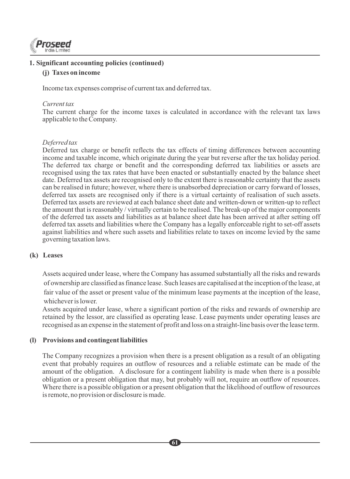

#### **1. Significant accounting policies (continued)**

#### **(j) Taxes on income**

Income tax expenses comprise of current tax and deferred tax.

#### *Current tax*

The current charge for the income taxes is calculated in accordance with the relevant tax laws applicable to the Company.

#### *Deferred tax*

Deferred tax charge or benefit reflects the tax effects of timing differences between accounting income and taxable income, which originate during the year but reverse after the tax holiday period. The deferred tax charge or benefit and the corresponding deferred tax liabilities or assets are recognised using the tax rates that have been enacted or substantially enacted by the balance sheet date. Deferred tax assets are recognised only to the extent there is reasonable certainty that the assets can be realised in future; however, where there is unabsorbed depreciation or carry forward of losses, deferred tax assets are recognised only if there is a virtual certainty of realisation of such assets. Deferred tax assets are reviewed at each balance sheet date and written-down or written-up to reflect the amount that is reasonably / virtually certain to be realised. The break-up of the major components of the deferred tax assets and liabilities as at balance sheet date has been arrived at after setting off deferred tax assets and liabilities where the Company has a legally enforceable right to set-off assets against liabilities and where such assets and liabilities relate to taxes on income levied by the same governing taxation laws.

#### **(k) Leases**

Assets acquired under lease, where the Company has assumed substantially all the risks and rewards of ownership are classified as finance lease. Such leases are capitalised at the inception of the lease, at fair value of the asset or present value of the minimum lease payments at the inception of the lease, whichever is lower.

Assets acquired under lease, where a significant portion of the risks and rewards of ownership are retained by the lessor, are classified as operating lease. Lease payments under operating leases are recognised as an expense in the statement of profit and loss on a straight-line basis over the lease term.

#### **(l) Provisions and contingent liabilities**

The Company recognizes a provision when there is a present obligation as a result of an obligating event that probably requires an outflow of resources and a reliable estimate can be made of the amount of the obligation. A disclosure for a contingent liability is made when there is a possible obligation or a present obligation that may, but probably will not, require an outflow of resources. Where there is a possible obligation or a present obligation that the likelihood of outflow of resources is remote, no provision or disclosure is made.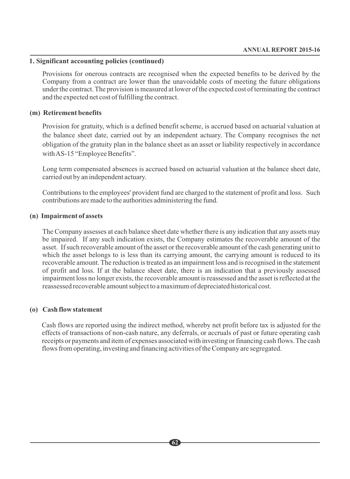#### **1. Significant accounting policies (continued)**

Provisions for onerous contracts are recognised when the expected benefits to be derived by the Company from a contract are lower than the unavoidable costs of meeting the future obligations under the contract. The provision is measured at lower of the expected cost of terminating the contract and the expected net cost of fulfilling the contract.

#### **(m) Retirement benefits**

Provision for gratuity, which is a defined benefit scheme, is accrued based on actuarial valuation at the balance sheet date, carried out by an independent actuary. The Company recognises the net obligation of the gratuity plan in the balance sheet as an asset or liability respectively in accordance with AS-15 "Employee Benefits".

Long term compensated absences is accrued based on actuarial valuation at the balance sheet date, carried out by an independent actuary.

Contributions to the employees' provident fund are charged to the statement of profit and loss. Such contributions are made to the authorities administering the fund.

#### **(n) Impairment of assets**

The Company assesses at each balance sheet date whether there is any indication that any assets may be impaired. If any such indication exists, the Company estimates the recoverable amount of the asset. If such recoverable amount of the asset or the recoverable amount of the cash generating unit to which the asset belongs to is less than its carrying amount, the carrying amount is reduced to its recoverable amount. The reduction is treated as an impairment loss and is recognised in the statement of profit and loss. If at the balance sheet date, there is an indication that a previously assessed impairment loss no longer exists, the recoverable amount is reassessed and the asset is reflected at the reassessed recoverable amount subject to a maximum of depreciated historical cost.

#### **(o) Cash flow statement**

Cash flows are reported using the indirect method, whereby net profit before tax is adjusted for the effects of transactions of non-cash nature, any deferrals, or accruals of past or future operating cash receipts or payments and item of expenses associated with investing or financing cash flows. The cash flows from operating, investing and financing activities of the Company are segregated.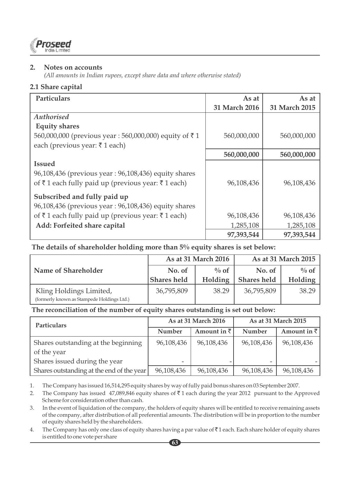

#### **2. Notes on accounts**

*(All amounts in Indian rupees, except share data and where otherwise stated)*

# **2.1 Share capital**

| <b>Particulars</b>                                    | As at         | As at         |
|-------------------------------------------------------|---------------|---------------|
|                                                       | 31 March 2016 | 31 March 2015 |
| Authorised                                            |               |               |
| <b>Equity shares</b>                                  |               |               |
| 560,000,000 (previous year: 560,000,000) equity of ₹1 | 560,000,000   | 560,000,000   |
| each (previous year: ₹1 each)                         |               |               |
|                                                       | 560,000,000   | 560,000,000   |
| <b>Issued</b>                                         |               |               |
| 96,108,436 (previous year: 96,108,436) equity shares  |               |               |
| of ₹1 each fully paid up (previous year: ₹1 each)     | 96.108.436    | 96,108,436    |
| Subscribed and fully paid up                          |               |               |
| 96,108,436 (previous year: 96,108,436) equity shares  |               |               |
|                                                       |               |               |
| of ₹1 each fully paid up (previous year: ₹1 each)     | 96,108,436    | 96,108,436    |
| Add: Forfeited share capital                          | 1,285,108     | 1,285,108     |
|                                                       | 97,393,544    | 97,393,544    |

 **The details of shareholder holding more than 5% equity shares is set below:** 

|                                                                       | As at 31 March 2016 |         |                    | As at 31 March 2015 |
|-----------------------------------------------------------------------|---------------------|---------|--------------------|---------------------|
| Name of Shareholder                                                   | No. of              | $\%$ of | No. of             | $\%$ of             |
|                                                                       | <b>Shares held</b>  | Holding | <b>Shares held</b> | <b>Holding</b>      |
| Kling Holdings Limited,<br>(formerly known as Stampede Holdings Ltd.) | 36,795,809          | 38.29   | 36,795,809         | 38.29               |

#### **The reconciliation of the number of equity shares outstanding is set out below:**

| <b>Particulars</b>                        | As at 31 March 2016<br>Amount in $\bar{z}$<br>Number |            | As at 31 March 2015 |                     |
|-------------------------------------------|------------------------------------------------------|------------|---------------------|---------------------|
|                                           |                                                      |            | Number              | Amount in $\bar{z}$ |
| Shares outstanding at the beginning       | 96,108,436                                           | 96,108,436 | 96,108,436          | 96,108,436          |
| of the year                               |                                                      |            |                     |                     |
| Shares issued during the year             | -                                                    |            |                     |                     |
| Shares outstanding at the end of the year | 96,108,436                                           | 96,108,436 | 96,108,436          | 96,108,436          |

1. The Company has issued 16,514,295 equity shares by way of fully paid bonus shares on 03 September 2007.

2. The Company has issued 47,089,846 equity shares of  $\bar{\tau}$  1 each during the year 2012 pursuant to the Approved Scheme for consideration other than cash.

3. In the event of liquidation of the company, the holders of equity shares will be entitled to receive remaining assets of the company, after distribution of all preferential amounts. The distribution will be in proportion to the number of equity shares held by the shareholders.

4. The Company has only one class of equity shares having a par value of  $\bar{z}$  1 each. Each share holder of equity shares is entitled to one vote per share **63**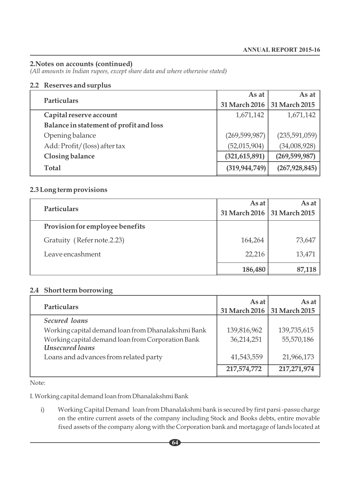*(All amounts in Indian rupees, except share data and where otherwise stated)*

#### **2.2 Reserves and surplus**

|                                         | As at           | As at           |
|-----------------------------------------|-----------------|-----------------|
| <b>Particulars</b>                      | 31 March 2016   | 31 March 2015   |
| Capital reserve account                 | 1,671,142       | 1,671,142       |
| Balance in statement of profit and loss |                 |                 |
| Opening balance                         | (269, 599, 987) | (235,591,059)   |
| Add: Profit/(loss) after tax            | (52,015,904)    | (34,008,928)    |
| <b>Closing balance</b>                  | (321, 615, 891) | (269, 599, 987) |
| Total                                   | (319, 944, 749) | (267, 928, 845) |

# **2.3 Long term provisions**

| <b>Particulars</b>              | As at<br>31 March 2016   31 March 2015 | As at $ $ |
|---------------------------------|----------------------------------------|-----------|
| Provision for employee benefits |                                        |           |
| Gratuity (Refer note.2.23)      | 164,264                                | 73,647    |
| Leave encashment                | 22,216                                 | 13,471    |
|                                 | 186,480                                | 87,118    |

#### **2.4 Short term borrowing**

| <b>Particulars</b>                                 | As at<br>31 March 2016 31 March 2015 | As at       |
|----------------------------------------------------|--------------------------------------|-------------|
| Secured loans                                      |                                      |             |
| Working capital demand loan from Dhanalakshmi Bank | 139,816,962                          | 139,735,615 |
| Working capital demand loan from Corporation Bank  | 36,214,251                           | 55,570,186  |
| Unsecured loans                                    |                                      |             |
| Loans and advances from related party              | 41,543,559                           | 21,966,173  |
|                                                    | 217,574,772                          | 217,271,974 |

Note:

I. Working capital demand loan from Dhanalakshmi Bank

i) Working Capital Demand loan from Dhanalakshmi bank is secured by first parsi -passu charge on the entire current assets of the company including Stock and Books debts, entire movable fixed assets of the company along with the Corporation bank and mortagage of lands located at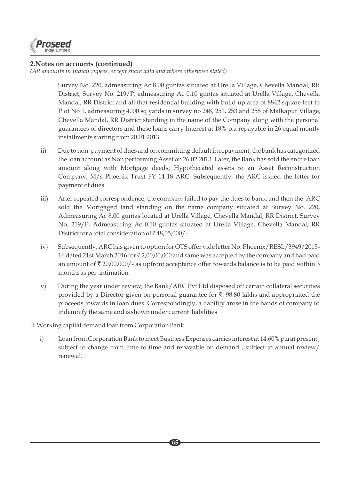

*(All amounts in Indian rupees, except share data and where otherwise stated)*

Survey No. 220, admeasuring Ac 8.00 guntas situated at Urella Village, Chevella Mandal, RR District, Survey No. 219/P, admeasuring Ac 0.10 guntas situated at Urella Village, Chevella Mandal, RR District and all that residential building with build up area of 8842 square feet in Plot No 1, admeasuring 4000 sq yards in survey no 248, 251, 253 and 258 of Malkapur Village, Chevella Mandal, RR District standing in the name of the Company along with the personal guarantees of directors and these loans carry Interest at 18% p.a repayable in 26 equal montly installments starting from 20.01.2013.

- ii) Due to non payment of dues and on committing default in repayment, the bank has categorized the loan account as Non performing Asset on 26.02.2013. Later, the Bank has sold the entire loan amount along with Mortgage deeds, Hypothecated assets to an Asset Reconstruction Company, M/s Phoenix Trust FY 14-18 ARC. Subsequently, the ARC issued the letter for payment of dues.
- iii) After repeated correspondence, the company failed to pay the dues to bank, and then the ARC sold the Mortgaged land standing on the name company situated at Survey No. 220, Admeasuring Ac 8.00 guntas located at Urella Village, Chevella Mandal, RR District, Survey No. 219/P, Admeasuring Ac 0.10 guntas situated at Urella Village, Chevella Mandal, RR District for a total consideration of  $\bar{\mathfrak{c}}$  48,05,000/-
- iv) Subsequently, ARC has given to option for OTS offer vide letter No. Phoenix/RESL/3949/2015- 16 dated 21st March 2016 for  $\bar{\tau}$  2,00,00,000 and same was accepted by the company and had paid an amount of  $\bar{\tau}$  20,00,000/- as upfront acceptance offer towards balance is to be paid within 3 months as per intimation
- v) During the year under review, the Bank/ARC Pvt Ltd disposed off certain collateral securities provided by a Director given on personal guarantee for  $\bar{\mathfrak{C}}$ . 98.80 lakhs and appropriated the proceeds towards in loan dues. Correspondingly, a liability arose in the hands of company to indemnify the same and is shown under current liabilities

#### II. Working capital demand loan from Corporation Bank

i) Loan from Corporation Bank to meet Business Expenses carries interest at 14.60% p.a at present , subject to change from time to time and repayable on demand , subject to annual review/ renewal.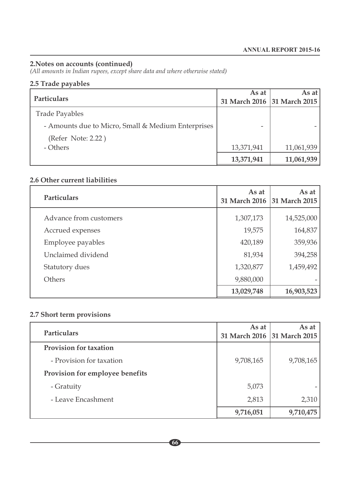*(All amounts in Indian rupees, except share data and where otherwise stated)*

# **2.5 Trade payables**

|                                                    | As at                       | As at      |
|----------------------------------------------------|-----------------------------|------------|
| <b>Particulars</b>                                 | 31 March 2016 31 March 2015 |            |
| <b>Trade Payables</b>                              |                             |            |
| - Amounts due to Micro, Small & Medium Enterprises |                             |            |
| (Refer Note: 2.22)                                 |                             |            |
| - Others                                           | 13,371,941                  | 11,061,939 |
|                                                    | 13,371,941                  | 11,061,939 |

# **2.6 Other current liabilities**

| <b>Particulars</b>     | As at      | As at<br>31 March 2016 31 March 2015 |
|------------------------|------------|--------------------------------------|
| Advance from customers | 1,307,173  | 14,525,000                           |
| Accrued expenses       | 19,575     | 164,837                              |
| Employee payables      | 420,189    | 359,936                              |
| Unclaimed dividend     | 81,934     | 394,258                              |
| Statutory dues         | 1,320,877  | 1,459,492                            |
| Others                 | 9,880,000  |                                      |
|                        | 13,029,748 | 16,903,523                           |

# **2.7 Short term provisions**

| <b>Particulars</b>              | As at<br>31 March 2016 31 March 2015 | As at     |
|---------------------------------|--------------------------------------|-----------|
| <b>Provision for taxation</b>   |                                      |           |
| - Provision for taxation        | 9,708,165                            | 9,708,165 |
| Provision for employee benefits |                                      |           |
| - Gratuity                      | 5,073                                |           |
| - Leave Encashment              | 2,813                                | 2,310     |
|                                 | 9,716,051                            | 9,710,475 |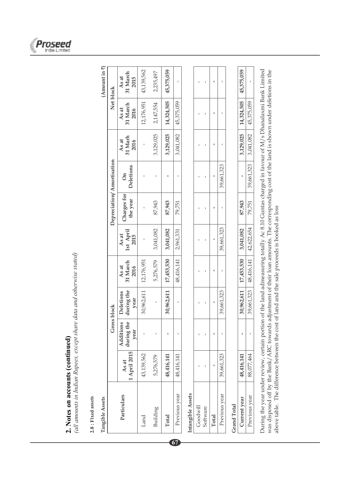

(all amounts in Indian Rupees, except share data and otherwise stated) *(all amounts in Indian Rupees, except share data and otherwise stated)*

 $2.8$  : Fixed assets **2.8 : Fixed assets**

J. **Tangible Assets**  $\mathbf{H}$ ť

| Tangible Assets   |                       |                   |                                            |                           |                                                                                            |                           |                           |                                                                               |                           | (Amount in 7)             |
|-------------------|-----------------------|-------------------|--------------------------------------------|---------------------------|--------------------------------------------------------------------------------------------|---------------------------|---------------------------|-------------------------------------------------------------------------------|---------------------------|---------------------------|
|                   |                       | Gross block       |                                            |                           |                                                                                            | Depreciation/Amortisation |                           |                                                                               | Net block                 |                           |
| Particulars       | 1 April 2015<br>As at | Additions<br>year | during the during the<br>Deletions<br>year | 31 March<br>As at<br>2016 | $\left\vert \begin{array}{c} 1 \text{st April} \\ 2015 \end{array} \right\vert$ .<br>As at | Charges for<br>the year   | Deletions<br>$\mathbf{a}$ | $\begin{array}{c} \text{As at} \\ \text{31 Marth} \\ \text{2016} \end{array}$ | 31 March<br>As at<br>2016 | 31 March<br>As at<br>2015 |
| Land              | 43,139,562            |                   | 30,962,611                                 | 12,176,951                |                                                                                            |                           |                           |                                                                               | 12,176,951                | 43,139,562                |
| Building          | 5,276,579             |                   |                                            | 5,276,579                 | 3,041,082                                                                                  | 87,943                    |                           | 3,129,025                                                                     | 2,147,554                 | 2,235,497                 |
| Total             | 48,416,141            |                   |                                            | 30,962,611   17,453,530   | 3,041,082                                                                                  | 87,943                    |                           | 3,129,025                                                                     | 14,324,505                | 45,375,059                |
| Previous year     | 48,416,141            |                   |                                            | 48,416,141   2,961,331    |                                                                                            | 79,751                    |                           | 3,041,082                                                                     | 45,375,059                |                           |
| Intangible Accete |                       |                   |                                            |                           |                                                                                            |                           |                           |                                                                               |                           |                           |

# **Intangible Assets**

**67**

|          |               |          |       | 39,661,323   |  |
|----------|---------------|----------|-------|--------------|--|
|          |               |          |       |              |  |
|          | $\mathfrak l$ |          |       | 39,661,323   |  |
|          |               |          |       |              |  |
|          |               |          |       | 39,661,323   |  |
|          |               |          |       |              |  |
|          | ť             | ı,       |       | 39,661,323   |  |
| $\sim$ 0 | Goodwill      | Software | Total | revious year |  |

# **Grand Total Grand Total**

| トーン としく クラ<br>خ<br>ج<br>J<br>c<br>C<br>ř<br>¢ |                  | <b>HHT'0TH</b> | ť            | 110/70/2 | יליקט בדי 1.1<br>745252 | 1.082          | 87,943 | f,     | ,129,025                              | 20.70<br>キノコニュアしい       | こうしゃ |
|-----------------------------------------------|------------------|----------------|--------------|----------|-------------------------|----------------|--------|--------|---------------------------------------|-------------------------|------|
| $\frac{1}{2}$                                 | year<br>cnotive. | .464           | $\mathbf{I}$ | הקרית    |                         | <b>ELVALLA</b> | 79,751 | 61,323 | 041.002<br>700Y<br>$\frac{1}{2}$<br>í | $4E$ 375 $0E$<br>יה ומי | ı    |

 $\Gamma$ 

During the year under review, certain portion of the land admeasuring totally Ac 8.10 Guntas charged in favour of M/s Dhanalaxmi Bank Limited During the year under review, certain portion of the land admeasuring totally Ac 8.10 Guntas charged in favour of M/s Dhanalaxmi Bank Limited was disposed off by the Bank/ARC towards adjustment of their loan amounts. The corresponding cost of the land is shown under deletions in the was disposed off by the Bank/ARC towards adjustment of their loan amounts. The corresponding cost of the land is shown under deletions in the above table. The difference between the cost of land and the sale proceeds is booked as loss above table. The difference between the cost of land and the sale proceeds is booked as loss

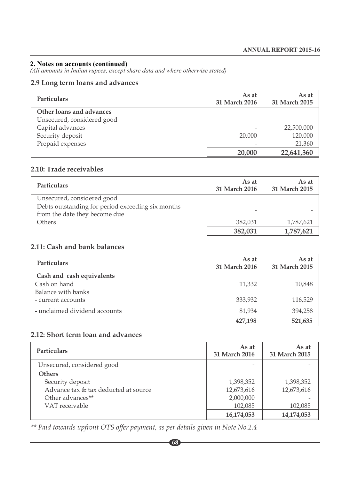*(All amounts in Indian rupees, except share data and where otherwise stated)*

# **2.9 Long term loans and advances**

| <b>Particulars</b>         | As at<br>31 March 2016   | As at<br>31 March 2015 |
|----------------------------|--------------------------|------------------------|
| Other loans and advances   |                          |                        |
| Unsecured, considered good |                          |                        |
| Capital advances           | $\overline{\phantom{0}}$ | 22,500,000             |
| Security deposit           | 20,000                   | 120,000                |
| Prepaid expenses           | $\overline{\phantom{0}}$ | 21,360                 |
|                            | 20,000                   | 22,641,360             |

# **2.10: Trade receivables**

| <b>Particulars</b>                                | As at<br>31 March 2016   | As at<br>31 March 2015 |
|---------------------------------------------------|--------------------------|------------------------|
| Unsecured, considered good                        |                          |                        |
| Debts outstanding for period exceeding six months | $\overline{\phantom{0}}$ |                        |
| from the date they become due                     |                          |                        |
| Others                                            | 382,031                  | 1,787,621              |
|                                                   | 382,031                  | 1,787,621              |

# **2.11: Cash and bank balances**

| <b>Particulars</b>            | As at<br>31 March 2016 | As at<br>31 March 2015 |
|-------------------------------|------------------------|------------------------|
| Cash and cash equivalents     |                        |                        |
| Cash on hand                  | 11,332                 | 10,848                 |
| Balance with banks            |                        |                        |
| - current accounts            | 333,932                | 116,529                |
| - unclaimed dividend accounts | 81,934                 | 394,258                |
|                               | 427,198                | 521,635                |

# **2.12: Short term loan and advances**

| <b>Particulars</b>                   | As at<br>31 March 2016 | As at<br>31 March 2015 |
|--------------------------------------|------------------------|------------------------|
| Unsecured, considered good           |                        |                        |
| <b>Others</b>                        |                        |                        |
| Security deposit                     | 1,398,352              | 1,398,352              |
| Advance tax & tax deducted at source | 12,673,616             | 12,673,616             |
| Other advances**                     | 2,000,000              |                        |
| VAT receivable                       | 102,085                | 102,085                |
|                                      | 16,174,053             | 14,174,053             |

*\*\* Paid towards upfront OTS offer payment, as per details given in Note No.2.4*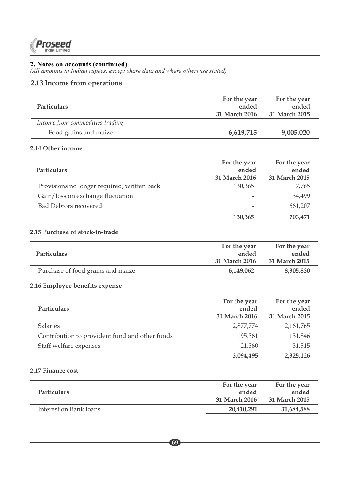

*(All amounts in Indian rupees, except share data and where otherwise stated)*

# **2.13 Income from operations**

|                                 | For the year  | For the year  |
|---------------------------------|---------------|---------------|
| <b>Particulars</b>              | ended         | ended         |
|                                 | 31 March 2016 | 31 March 2015 |
| Income from commodities trading |               |               |
| - Food grains and maize         | 6,619,715     | 9,005,020     |

#### **2.14 Other income**

| <b>Particulars</b>                          | For the year<br>ended<br>31 March 2016 | For the year<br>ended<br>31 March 2015 |
|---------------------------------------------|----------------------------------------|----------------------------------------|
| Provisions no longer required, written back | 130,365                                | 7.765                                  |
| Gain/loss on exchange flucuation            |                                        | 34.499                                 |
| Bad Debtors recovered                       |                                        | 661,207                                |
|                                             | 130,365                                | 703,471                                |

#### **2.15 Purchase of stock-in-trade**

|                                   | For the year  | For the year  |
|-----------------------------------|---------------|---------------|
| <b>Particulars</b>                | ended         | ended         |
|                                   | 31 March 2016 | 31 March 2015 |
| Purchase of food grains and maize | 6,149,062     | 8,305,830     |

#### **2.16 Employee benefits expense**

| <b>Particulars</b>                             | For the year<br>ended<br>31 March 2016 | For the year<br>ended<br>31 March 2015 |
|------------------------------------------------|----------------------------------------|----------------------------------------|
| <b>Salaries</b>                                | 2,877,774                              | 2,161,765                              |
| Contribution to provident fund and other funds | 195,361                                | 131,846                                |
| Staff welfare expenses                         | 21,360                                 | 31,515                                 |
|                                                | 3,094,495                              | 2,325,126                              |

#### **2.17 Finance cost**

|                        | For the year  | For the year  |
|------------------------|---------------|---------------|
| <b>Particulars</b>     | ended         | ended         |
|                        | 31 March 2016 | 31 March 2015 |
| Interest on Bank loans | 20,410,291    | 31,684,588    |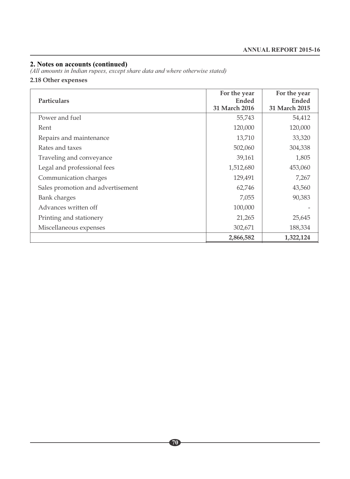*(All amounts in Indian rupees, except share data and where otherwise stated)*

#### **2.18 Other expenses**

| <b>Particulars</b>                | For the year<br>Ended<br>31 March 2016 | For the year<br>Ended<br>31 March 2015 |
|-----------------------------------|----------------------------------------|----------------------------------------|
| Power and fuel                    | 55,743                                 | 54,412                                 |
| Rent                              | 120,000                                | 120,000                                |
| Repairs and maintenance           | 13,710                                 | 33,320                                 |
| Rates and taxes                   | 502,060                                | 304,338                                |
| Traveling and conveyance          | 39,161                                 | 1,805                                  |
| Legal and professional fees       | 1,512,680                              | 453,060                                |
| Communication charges             | 129,491                                | 7,267                                  |
| Sales promotion and advertisement | 62,746                                 | 43,560                                 |
| <b>Bank</b> charges               | 7,055                                  | 90,383                                 |
| Advances written off              | 100,000                                |                                        |
| Printing and stationery           | 21,265                                 | 25,645                                 |
| Miscellaneous expenses            | 302,671                                | 188,334                                |
|                                   | 2,866,582                              | 1,322,124                              |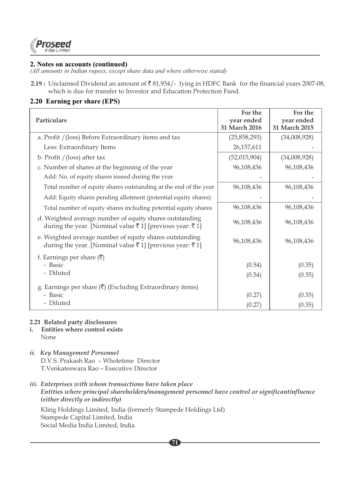

*(All amounts in Indian rupees, except share data and where otherwise stated)*

**2.19 :** Unclaimed Dividend an amount of  $\overline{8}$  81,934/- lying in HDFC Bank for the financial years 2007-08, which is due for transfer to Investor and Education Protection Fund.

# **2.20 Earning per share (EPS)**

| Particulars                                                                                                        | For the<br>year ended<br>31 March 2016 | For the<br>year ended<br>31 March 2015 |
|--------------------------------------------------------------------------------------------------------------------|----------------------------------------|----------------------------------------|
| a. Profit / (loss) Before Extraordinary items and tax                                                              | (25,858,293)                           | (34,008,928)                           |
| Less: Extraordinary Items                                                                                          | 26, 157, 611                           |                                        |
| b. Profit $/$ (loss) after tax                                                                                     | (52,015,904)                           | (34,008,928)                           |
| c. Number of shares at the beginning of the year                                                                   | 96,108,436                             | 96,108,436                             |
| Add: No. of equity shares issued during the year                                                                   |                                        |                                        |
| Total number of equity shares outstanding at the end of the year                                                   | 96,108,436                             | 96,108,436                             |
| Add: Equity shares pending allotment (potential equity shares)                                                     |                                        |                                        |
| Total number of equity shares including potential equity shares                                                    | 96,108,436                             | 96,108,436                             |
| d. Weighted average number of equity shares outstanding<br>during the year. [Nominal value ₹1] [previous year: ₹1] | 96,108,436                             | 96,108,436                             |
| e. Weighted average number of equity shares outstanding<br>during the year. [Nominal value ₹1] [previous year: ₹1] | 96,108,436                             | 96,108,436                             |
| f. Earnings per share $(\overline{\mathbf{x}})$                                                                    |                                        |                                        |
| - Basic                                                                                                            | (0.54)                                 | (0.35)                                 |
| - Diluted                                                                                                          | (0.54)                                 | (0.35)                                 |
| g. Earnings per share $(\bar{\zeta})$ (Excluding Extraordinary items)                                              |                                        |                                        |
| - Basic                                                                                                            | (0.27)                                 | (0.35)                                 |
| - Diluted                                                                                                          | (0.27)                                 | (0.35)                                 |

#### **2.21 Related party disclosures**

- **i. Entities where control exists** None
- *ii. Key Management Personnel* D.V.S. Prakash Rao – Wholetime Director T.Venkateswara Rao – Executive Director
- *iii. Enterprises with whom transactions have taken place Entities where principal shareholders/management personnel have control or significantinfluence (either directly or indirectly)*

**71**

 Kling Holdings Limited, India (formerly Stampede Holdings Ltd) Stampede Capital Limited, India Social Media India Limited, India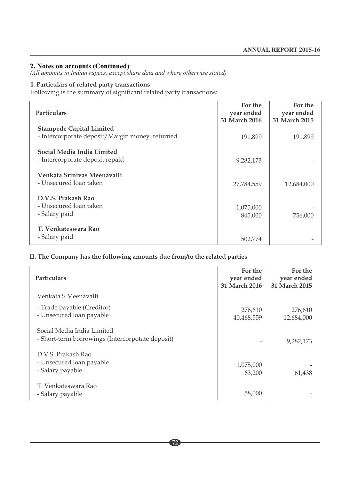*(All amounts in Indian rupees, except share data and where otherwise stated)*

# **I. Particulars of related party transactions**

Following is the summary of significant related party transactions:

| <b>Particulars</b>                                    | For the<br>year ended<br>31 March 2016 | For the<br>year ended<br>31 March 2015 |
|-------------------------------------------------------|----------------------------------------|----------------------------------------|
| <b>Stampede Capital Limited</b>                       |                                        |                                        |
| - Intercorporate deposit/Margin money returned        | 191,899                                | 191,899                                |
| Social Media India Limited                            |                                        |                                        |
| - Intercorporate deposit repaid                       | 9,282,173                              |                                        |
| Venkata Srinivas Meenavalli<br>- Unsecured loan taken | 27,784,559                             | 12,684,000                             |
| D.V.S. Prakash Rao                                    |                                        |                                        |
| - Unsecured loan taken                                | 1,075,000                              |                                        |
| - Salary paid                                         | 845,000                                | 756,000                                |
| T. Venkateswara Rao                                   |                                        |                                        |
| - Salary paid                                         | 502,774                                |                                        |

#### **II. The Company has the following amounts due from/to the related parties**

| <b>Particulars</b>                                                             | For the<br>year ended<br>31 March 2016 | For the<br>year ended<br>31 March 2015 |
|--------------------------------------------------------------------------------|----------------------------------------|----------------------------------------|
| Venkata S Meenavalli                                                           |                                        |                                        |
| - Trade payable (Creditor)<br>- Unsecured loan payable                         | 276,610<br>40,468,559                  | 276,610<br>12,684,000                  |
| Social Media India Limited<br>- Short-term borrowings (Intercorpotate deposit) | $\overline{a}$                         | 9,282,173                              |
| D.V.S. Prakash Rao<br>- Unsecured loan payable<br>- Salary payable             | 1,075,000<br>63,200                    | 61,438                                 |
| T. Venkateswara Rao<br>- Salary payable                                        | 58,000                                 |                                        |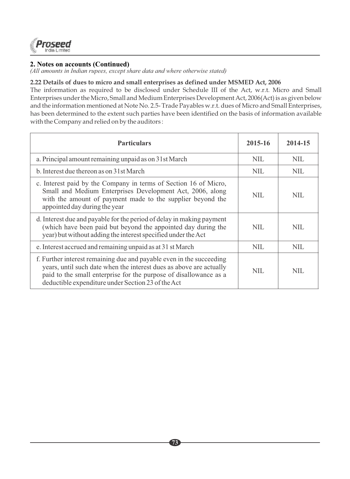

## **2. Notes on accounts (Continued)**

*(All amounts in Indian rupees, except share data and where otherwise stated)*

#### **2.22 Details of dues to micro and small enterprises as defined under MSMED Act, 2006**

The information as required to be disclosed under Schedule III of the Act, w.r.t. Micro and Small Enterprises under the Micro, Small and Medium Enterprises Development Act, 2006(Act) is as given below and the information mentioned at Note No. 2.5- Trade Payables w.r.t. dues of Micro and Small Enterprises, has been determined to the extent such parties have been identified on the basis of information available with the Company and relied on by the auditors :

| <b>Particulars</b>                                                                                                                                                                                                                                                     | 2015-16    | 2014-15    |
|------------------------------------------------------------------------------------------------------------------------------------------------------------------------------------------------------------------------------------------------------------------------|------------|------------|
| a. Principal amount remaining unpaid as on 31st March                                                                                                                                                                                                                  | <b>NIL</b> | <b>NIL</b> |
| b. Interest due thereon as on 31st March                                                                                                                                                                                                                               | <b>NIL</b> | <b>NIL</b> |
| c. Interest paid by the Company in terms of Section 16 of Micro,<br>Small and Medium Enterprises Development Act, 2006, along<br>with the amount of payment made to the supplier beyond the<br>appointed day during the year                                           | NIL.       | NIL.       |
| d. Interest due and payable for the period of delay in making payment<br>(which have been paid but beyond the appointed day during the<br>year) but without adding the interest specified under the Act                                                                | NIL.       | NIL.       |
| e. Interest accrued and remaining unpaid as at 31 st March                                                                                                                                                                                                             | <b>NIL</b> | <b>NIL</b> |
| f. Further interest remaining due and payable even in the succeeding<br>years, until such date when the interest dues as above are actually<br>paid to the small enterprise for the purpose of disallowance as a<br>deductible expenditure under Section 23 of the Act | <b>NIL</b> | <b>NIL</b> |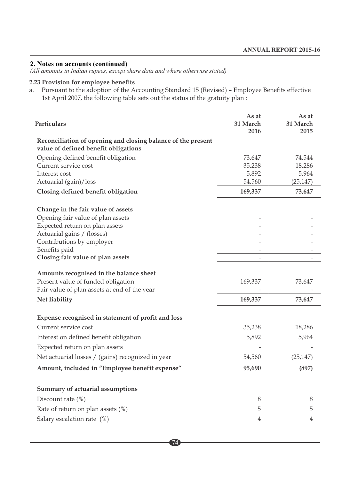### **2. Notes on accounts (continued)**

*(All amounts in Indian rupees, except share data and where otherwise stated)*

## **2.23 Provision for employee benefits**

a. Pursuant to the adoption of the Accounting Standard 15 (Revised) – Employee Benefits effective 1st April 2007, the following table sets out the status of the gratuity plan :

| Particulars                                                                                          | As at<br>31 March<br>2016 | As at<br>31 March<br>2015 |
|------------------------------------------------------------------------------------------------------|---------------------------|---------------------------|
| Reconciliation of opening and closing balance of the present<br>value of defined benefit obligations |                           |                           |
| Opening defined benefit obligation                                                                   | 73,647                    | 74,544                    |
| Current service cost                                                                                 | 35,238                    | 18,286                    |
| Interest cost                                                                                        | 5,892                     | 5,964                     |
| Actuarial (gain)/loss                                                                                | 54,560                    | (25, 147)                 |
| Closing defined benefit obligation                                                                   | 169,337                   | 73,647                    |
| Change in the fair value of assets                                                                   |                           |                           |
| Opening fair value of plan assets                                                                    |                           |                           |
| Expected return on plan assets                                                                       |                           |                           |
| Actuarial gains / (losses)                                                                           |                           |                           |
| Contributions by employer<br>Benefits paid                                                           |                           |                           |
| Closing fair value of plan assets                                                                    |                           |                           |
|                                                                                                      |                           |                           |
| Amounts recognised in the balance sheet                                                              |                           |                           |
| Present value of funded obligation                                                                   | 169,337                   | 73,647                    |
| Fair value of plan assets at end of the year                                                         |                           |                           |
| Net liability                                                                                        | 169,337                   | 73,647                    |
| Expense recognised in statement of profit and loss                                                   |                           |                           |
| Current service cost                                                                                 | 35,238                    | 18,286                    |
| Interest on defined benefit obligation                                                               | 5,892                     | 5,964                     |
| Expected return on plan assets                                                                       |                           |                           |
| Net actuarial losses / (gains) recognized in year                                                    | 54,560                    | (25, 147)                 |
| Amount, included in "Employee benefit expense"                                                       | 95,690                    | (897)                     |
|                                                                                                      |                           |                           |
| Summary of actuarial assumptions                                                                     |                           |                           |
| Discount rate $(\%)$                                                                                 | 8                         | 8                         |
| Rate of return on plan assets (%)                                                                    | 5                         | 5                         |
| Salary escalation rate (%)                                                                           | 4                         | 4                         |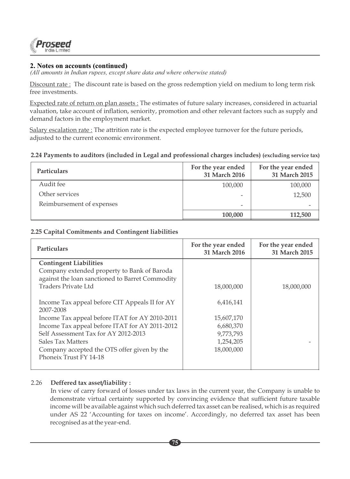

## **2. Notes on accounts (continued)**

*(All amounts in Indian rupees, except share data and where otherwise stated)*

Discount rate: The discount rate is based on the gross redemption yield on medium to long term risk free investments.

Expected rate of return on plan assets : The estimates of future salary increases, considered in actuarial valuation, take account of inflation, seniority, promotion and other relevant factors such as supply and demand factors in the employment market.

Salary escalation rate : The attrition rate is the expected employee turnover for the future periods, adjusted to the current economic environment.

#### **2.24 Payments to auditors (included in Legal and professional charges includes) (excluding service tax)**

| <b>Particulars</b>        | For the year ended<br>31 March 2016 | For the year ended<br>31 March 2015 |
|---------------------------|-------------------------------------|-------------------------------------|
| Audit fee                 | 100,000                             | 100,000                             |
| Other services            | $\overline{\phantom{0}}$            | 12,500                              |
| Reimbursement of expenses | -                                   |                                     |
|                           | 100,000                             | 112,500                             |

#### **2.25 Capital Comitments and Contingent liabilities**

| <b>Particulars</b>                              | For the year ended<br>31 March 2016 | For the year ended<br>31 March 2015 |
|-------------------------------------------------|-------------------------------------|-------------------------------------|
| <b>Contingent Liabilities</b>                   |                                     |                                     |
| Company extended property to Bank of Baroda     |                                     |                                     |
| against the loan sanctioned to Barret Commodity |                                     |                                     |
| Traders Private Ltd                             | 18,000,000                          | 18,000,000                          |
|                                                 |                                     |                                     |
| Income Tax appeal before CIT Appeals II for AY  | 6,416,141                           |                                     |
| 2007-2008                                       |                                     |                                     |
| Income Tax appeal before ITAT for AY 2010-2011  | 15,607,170                          |                                     |
| Income Tax appeal before ITAT for AY 2011-2012  | 6,680,370                           |                                     |
| Self Assessment Tax for AY 2012-2013            | 9,773,793                           |                                     |
| <b>Sales Tax Matters</b>                        | 1,254,205                           |                                     |
| Company accepted the OTS offer given by the     | 18,000,000                          |                                     |
| Phoneix Trust FY 14-18                          |                                     |                                     |
|                                                 |                                     |                                     |

## 2.26 **Deffered tax asset/liability :**

In view of carry forward of losses under tax laws in the current year, the Company is unable to demonstrate virtual certainty supported by convincing evidence that sufficient future taxable income will be available against which such deferred tax asset can be realised, which is as required under AS 22 'Accounting for taxes on income'. Accordingly, no deferred tax asset has been recognised as at the year-end.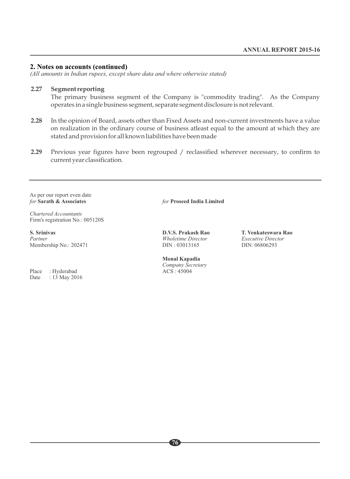#### **2. Notes on accounts (continued)**

*(All amounts in Indian rupees, except share data and where otherwise stated)*

#### **2.27 Segment reporting**

The primary business segment of the Company is "commodity trading". As the Company operates in a single business segment, separate segment disclosure is not relevant.

- **2.28** In the opinion of Board, assets other than Fixed Assets and non-current investments have a value on realization in the ordinary course of business atleast equal to the amount at which they are stated and provision for all known liabilities have been made
- **2.29** Previous year figures have been regrouped / reclassified wherever necessary, to confirm to current year classification.

As per our report even date<br>for **Sarath & Associates** 

*Chartered Accountants*  Firm's registration No.: 005120S

**S. Srinivas D.V.S. Prakash Rao T. Venkateswara Rao**  Membership No.: 202471

Place : Hyderabad<br>Date : 13 May 20  $: 13$  May 2016 *for* **Sarath & Associates** *for* **Proseed India Limited**

*Partner Director Executive Director Executive Director DIN*: 06806293

**Monal Kapadia** *Company Secretary*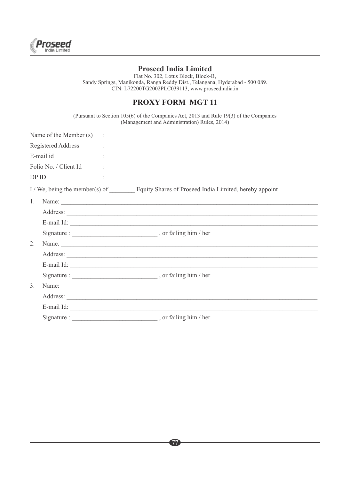

## **Proseed India Limited**

Flat No. 302, Lotus Block, Block-B, Sandy Springs, Manikonda, Ranga Reddy Dist., Telangana, Hyderabad - 500 089. CIN: L72200TG2002PLC039113, www.proseedindia.in

## **PROXY FORM MGT 11**

(Pursuant to Section 105(6) of the Companies Act, 2013 and Rule 19(3) of the Companies (Management and Administration) Rules, 2014)

|         | Name of the Member (s) : |                                                                                       |
|---------|--------------------------|---------------------------------------------------------------------------------------|
|         | Registered Address :     |                                                                                       |
|         | E-mail id                |                                                                                       |
|         | Folio No. / Client Id    |                                                                                       |
|         | DPID                     |                                                                                       |
|         |                          | I / We, being the member(s) of Equity Shares of Proseed India Limited, hereby appoint |
| $1_{-}$ |                          | Name:                                                                                 |
|         |                          |                                                                                       |
|         |                          | E-mail Id:                                                                            |
|         |                          |                                                                                       |
| 2.      |                          | Name:                                                                                 |
|         |                          | Address:                                                                              |
|         |                          |                                                                                       |
|         |                          |                                                                                       |
| 3.      |                          | Name:                                                                                 |
|         |                          |                                                                                       |
|         |                          |                                                                                       |
|         | Signature :              |                                                                                       |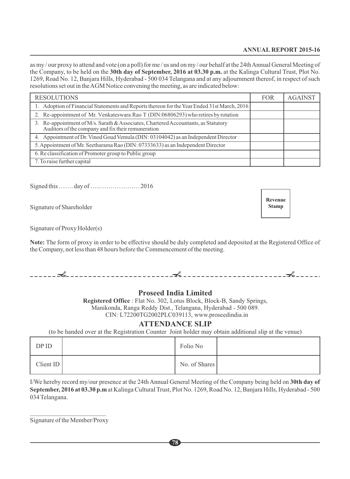## **ANNUAL REPORT 2015-16**

as my / our proxy to attend and vote (on a poll) for me / us and on my / our behalf at the 24th Annual General Meeting of the Company, to be held on the **30th day of September, 2016 at 03.30 p.m.** at the Kalinga Cultural Trust, Plot No. 1269, Road No. 12, Banjara Hills, Hyderabad - 500 034 Telangana and at any adjournment thereof, in respect of such resolutions set out in the AGM Notice convening the meeting, as are indicated below:

| <b>RESOLUTIONS</b>                                                                                                                       | <b>FOR</b> | <b>AGAINST</b> |
|------------------------------------------------------------------------------------------------------------------------------------------|------------|----------------|
| 1. Adoption of Financial Statements and Reports thereon for the Year Ended 31st March, 2016                                              |            |                |
| 2. Re-appointment of Mr. Venkateswara Rao T (DIN:06806293) who retires by rotation                                                       |            |                |
| 3. Re-appointment of M/s. Sarath & Associates, Chartered Accountants, as Statutory<br>Auditors of the company and fix their remuneration |            |                |
| 4. Appointment of Dr. Vinod Goud Vemula (DIN: 03104042) as an Independent Director                                                       |            |                |
| 5. Appointment of Mr. Seetharama Rao (DIN: 07333633) as an Independent Director                                                          |            |                |
| 6. Re classification of Promoter group to Public group                                                                                   |            |                |
| 7. To raise further capital                                                                                                              |            |                |

Signed this ……. day of …..…………….… 2016

Signature of Shareholder

Signature of Proxy Holder(s)

**Note:** The form of proxy in order to be effective should be duly completed and deposited at the Registered Office of the Company, not less than 48 hours before the Commencement of the meeting.

## **Proseed India Limited**

**Registered Office** : Flat No. 302, Lotus Block, Block-B, Sandy Springs, Manikonda, Ranga Reddy Dist., Telangana, Hyderabad - 500 089. CIN: L72200TG2002PLC039113, www.proseedindia.in

## **ATTENDANCE SLIP**

(to be handed over at the Registration Counter Joint holder may obtain additional slip at the venue)

| DP ID    | Folio No      |  |
|----------|---------------|--|
| ClientID | No. of Shares |  |

I/We hereby record my/our presence at the 24th Annual General Meeting of the Company being held on **30th day of September, 2016 at 03.30 p.m** at Kalinga Cultural Trust, Plot No. 1269, Road No. 12, Banjara Hills, Hyderabad - 500 034 Telangana.

**78**

 $\frac{1}{2}$  ,  $\frac{1}{2}$  ,  $\frac{1}{2}$  ,  $\frac{1}{2}$  ,  $\frac{1}{2}$  ,  $\frac{1}{2}$  ,  $\frac{1}{2}$  ,  $\frac{1}{2}$  ,  $\frac{1}{2}$  ,  $\frac{1}{2}$  ,  $\frac{1}{2}$  ,  $\frac{1}{2}$  ,  $\frac{1}{2}$ Signature of the Member/Proxy **Revenue Stamp**